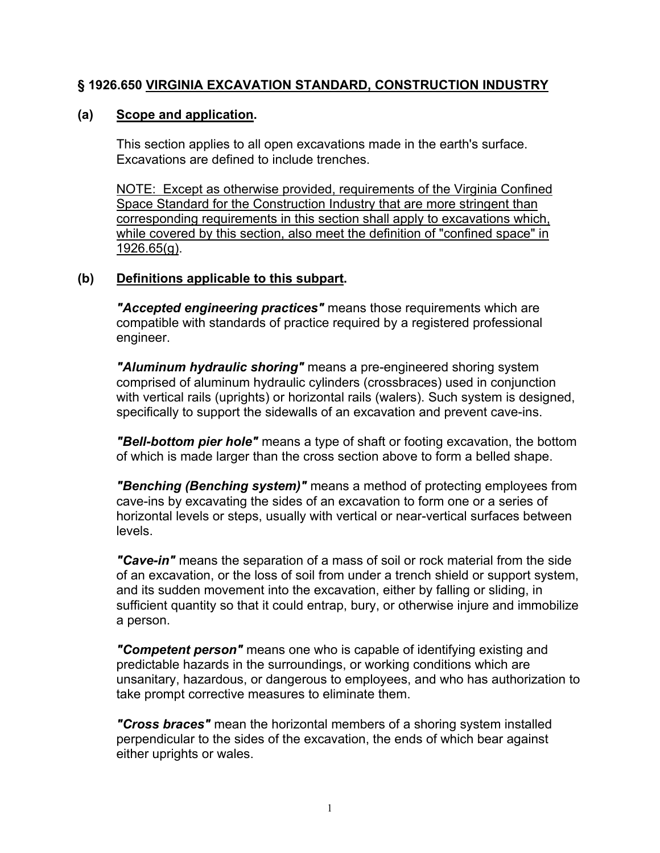## **§ 1926.650 VIRGINIA EXCAVATION STANDARD, CONSTRUCTION INDUSTRY**

### **(a) Scope and application.**

This section applies to all open excavations made in the earth's surface. Excavations are defined to include trenches.

NOTE: Except as otherwise provided, requirements of the Virginia Confined Space Standard for the Construction Industry that are more stringent than corresponding requirements in this section shall apply to excavations which, while covered by this section, also meet the definition of "confined space" in 1926.65(g).

## **(b) Definitions applicable to this subpart.**

*"Accepted engineering practices"* means those requirements which are compatible with standards of practice required by a registered professional engineer.

*"Aluminum hydraulic shoring"* means a pre-engineered shoring system comprised of aluminum hydraulic cylinders (crossbraces) used in conjunction with vertical rails (uprights) or horizontal rails (walers). Such system is designed, specifically to support the sidewalls of an excavation and prevent cave-ins.

*"Bell-bottom pier hole"* means a type of shaft or footing excavation, the bottom of which is made larger than the cross section above to form a belled shape.

*"Benching (Benching system)"* means a method of protecting employees from cave-ins by excavating the sides of an excavation to form one or a series of horizontal levels or steps, usually with vertical or near-vertical surfaces between levels.

*"Cave-in"* means the separation of a mass of soil or rock material from the side of an excavation, or the loss of soil from under a trench shield or support system, and its sudden movement into the excavation, either by falling or sliding, in sufficient quantity so that it could entrap, bury, or otherwise injure and immobilize a person.

*"Competent person"* means one who is capable of identifying existing and predictable hazards in the surroundings, or working conditions which are unsanitary, hazardous, or dangerous to employees, and who has authorization to take prompt corrective measures to eliminate them.

*"Cross braces"* mean the horizontal members of a shoring system installed perpendicular to the sides of the excavation, the ends of which bear against either uprights or wales.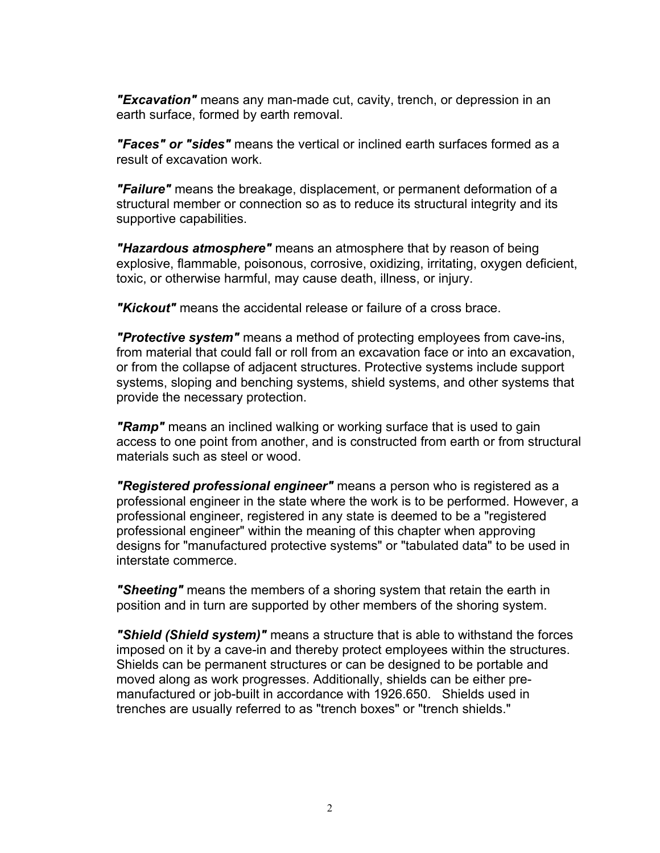*"Excavation"* means any man-made cut, cavity, trench, or depression in an earth surface, formed by earth removal.

*"Faces" or "sides"* means the vertical or inclined earth surfaces formed as a result of excavation work.

*"Failure"* means the breakage, displacement, or permanent deformation of a structural member or connection so as to reduce its structural integrity and its supportive capabilities.

*"Hazardous atmosphere"* means an atmosphere that by reason of being explosive, flammable, poisonous, corrosive, oxidizing, irritating, oxygen deficient, toxic, or otherwise harmful, may cause death, illness, or injury.

*"Kickout"* means the accidental release or failure of a cross brace.

*"Protective system"* means a method of protecting employees from cave-ins, from material that could fall or roll from an excavation face or into an excavation, or from the collapse of adjacent structures. Protective systems include support systems, sloping and benching systems, shield systems, and other systems that provide the necessary protection.

*"Ramp"* means an inclined walking or working surface that is used to gain access to one point from another, and is constructed from earth or from structural materials such as steel or wood.

*"Registered professional engineer"* means a person who is registered as a professional engineer in the state where the work is to be performed. However, a professional engineer, registered in any state is deemed to be a "registered professional engineer" within the meaning of this chapter when approving designs for "manufactured protective systems" or "tabulated data" to be used in interstate commerce.

*"Sheeting"* means the members of a shoring system that retain the earth in position and in turn are supported by other members of the shoring system.

*"Shield (Shield system)"* means a structure that is able to withstand the forces imposed on it by a cave-in and thereby protect employees within the structures. Shields can be permanent structures or can be designed to be portable and moved along as work progresses. Additionally, shields can be either premanufactured or job-built in accordance with 1926.650. Shields used in trenches are usually referred to as "trench boxes" or "trench shields."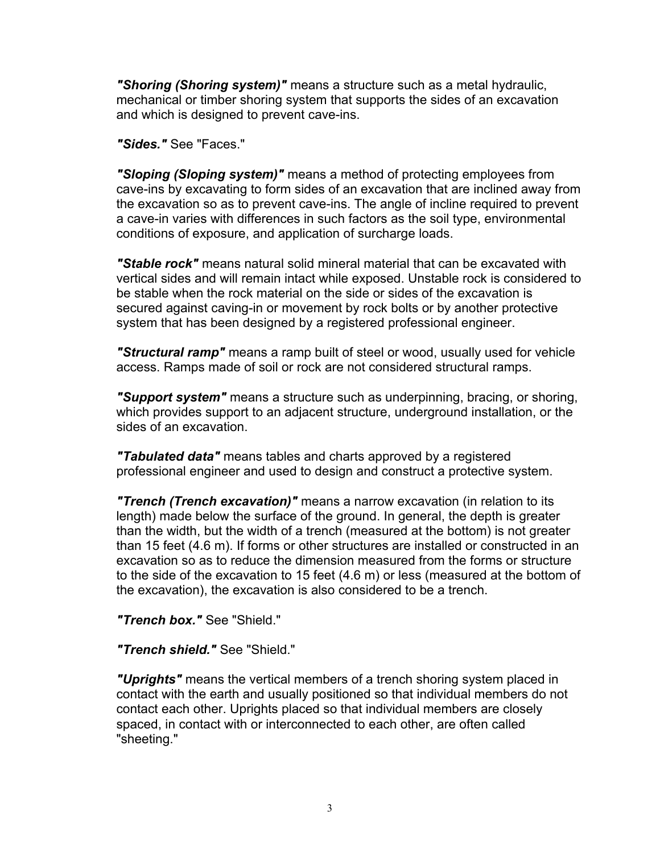*"Shoring (Shoring system)"* means a structure such as a metal hydraulic, mechanical or timber shoring system that supports the sides of an excavation and which is designed to prevent cave-ins.

*"Sides."* See "Faces."

*"Sloping (Sloping system)"* means a method of protecting employees from cave-ins by excavating to form sides of an excavation that are inclined away from the excavation so as to prevent cave-ins. The angle of incline required to prevent a cave-in varies with differences in such factors as the soil type, environmental conditions of exposure, and application of surcharge loads.

*"Stable rock"* means natural solid mineral material that can be excavated with vertical sides and will remain intact while exposed. Unstable rock is considered to be stable when the rock material on the side or sides of the excavation is secured against caving-in or movement by rock bolts or by another protective system that has been designed by a registered professional engineer.

*"Structural ramp"* means a ramp built of steel or wood, usually used for vehicle access. Ramps made of soil or rock are not considered structural ramps.

*"Support system"* means a structure such as underpinning, bracing, or shoring, which provides support to an adjacent structure, underground installation, or the sides of an excavation.

*"Tabulated data"* means tables and charts approved by a registered professional engineer and used to design and construct a protective system.

*"Trench (Trench excavation)"* means a narrow excavation (in relation to its length) made below the surface of the ground. In general, the depth is greater than the width, but the width of a trench (measured at the bottom) is not greater than 15 feet (4.6 m). If forms or other structures are installed or constructed in an excavation so as to reduce the dimension measured from the forms or structure to the side of the excavation to 15 feet (4.6 m) or less (measured at the bottom of the excavation), the excavation is also considered to be a trench.

*"Trench box."* See "Shield."

*"Trench shield."* See "Shield."

*"Uprights"* means the vertical members of a trench shoring system placed in contact with the earth and usually positioned so that individual members do not contact each other. Uprights placed so that individual members are closely spaced, in contact with or interconnected to each other, are often called "sheeting."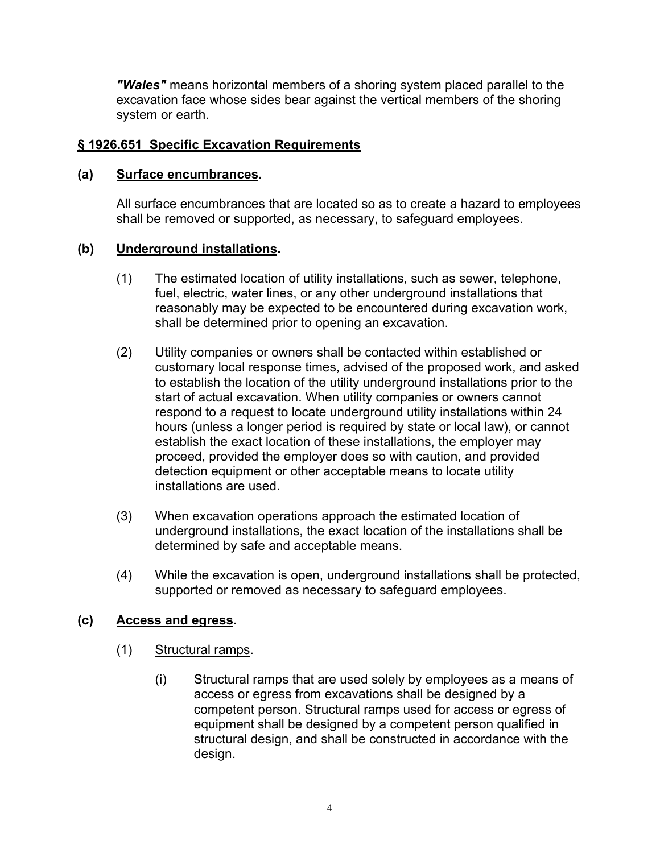*"Wales"* means horizontal members of a shoring system placed parallel to the excavation face whose sides bear against the vertical members of the shoring system or earth.

## **§ 1926.651 Specific Excavation Requirements**

### **(a) Surface encumbrances.**

All surface encumbrances that are located so as to create a hazard to employees shall be removed or supported, as necessary, to safeguard employees.

## **(b) Underground installations.**

- (1) The estimated location of utility installations, such as sewer, telephone, fuel, electric, water lines, or any other underground installations that reasonably may be expected to be encountered during excavation work, shall be determined prior to opening an excavation.
- (2) Utility companies or owners shall be contacted within established or customary local response times, advised of the proposed work, and asked to establish the location of the utility underground installations prior to the start of actual excavation. When utility companies or owners cannot respond to a request to locate underground utility installations within 24 hours (unless a longer period is required by state or local law), or cannot establish the exact location of these installations, the employer may proceed, provided the employer does so with caution, and provided detection equipment or other acceptable means to locate utility installations are used.
- (3) When excavation operations approach the estimated location of underground installations, the exact location of the installations shall be determined by safe and acceptable means.
- (4) While the excavation is open, underground installations shall be protected, supported or removed as necessary to safeguard employees.

### **(c) Access and egress.**

- (1) Structural ramps.
	- (i) Structural ramps that are used solely by employees as a means of access or egress from excavations shall be designed by a competent person. Structural ramps used for access or egress of equipment shall be designed by a competent person qualified in structural design, and shall be constructed in accordance with the design.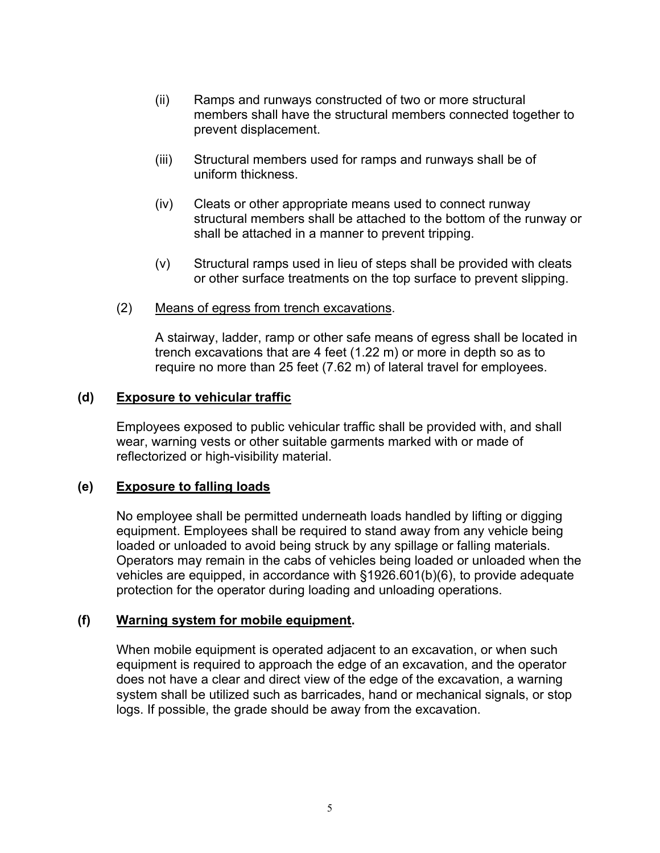- (ii) Ramps and runways constructed of two or more structural members shall have the structural members connected together to prevent displacement.
- (iii) Structural members used for ramps and runways shall be of uniform thickness.
- (iv) Cleats or other appropriate means used to connect runway structural members shall be attached to the bottom of the runway or shall be attached in a manner to prevent tripping.
- (v) Structural ramps used in lieu of steps shall be provided with cleats or other surface treatments on the top surface to prevent slipping.

#### (2) Means of egress from trench excavations.

A stairway, ladder, ramp or other safe means of egress shall be located in trench excavations that are 4 feet (1.22 m) or more in depth so as to require no more than 25 feet (7.62 m) of lateral travel for employees.

### **(d) Exposure to vehicular traffic**

Employees exposed to public vehicular traffic shall be provided with, and shall wear, warning vests or other suitable garments marked with or made of reflectorized or high-visibility material.

### **(e) Exposure to falling loads**

No employee shall be permitted underneath loads handled by lifting or digging equipment. Employees shall be required to stand away from any vehicle being loaded or unloaded to avoid being struck by any spillage or falling materials. Operators may remain in the cabs of vehicles being loaded or unloaded when the vehicles are equipped, in accordance with §1926.601(b)(6), to provide adequate protection for the operator during loading and unloading operations.

### **(f) Warning system for mobile equipment.**

When mobile equipment is operated adjacent to an excavation, or when such equipment is required to approach the edge of an excavation, and the operator does not have a clear and direct view of the edge of the excavation, a warning system shall be utilized such as barricades, hand or mechanical signals, or stop logs. If possible, the grade should be away from the excavation.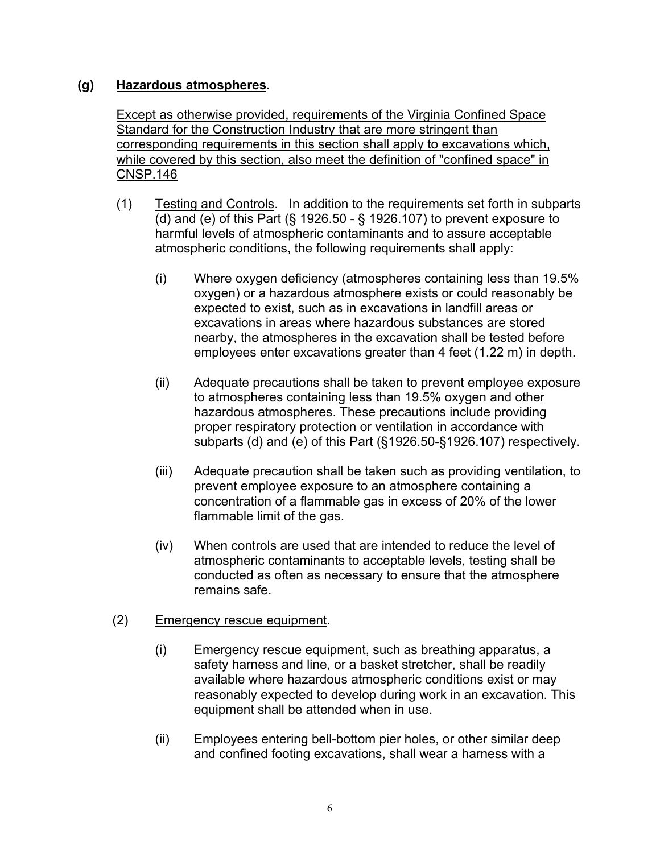## **(g) Hazardous atmospheres.**

Except as otherwise provided, requirements of the Virginia Confined Space Standard for the Construction Industry that are more stringent than corresponding requirements in this section shall apply to excavations which, while covered by this section, also meet the definition of "confined space" in CNSP.146

- (1) Testing and Controls. In addition to the requirements set forth in subparts (d) and (e) of this Part  $(\S 1926.50 - \S 1926.107)$  to prevent exposure to harmful levels of atmospheric contaminants and to assure acceptable atmospheric conditions, the following requirements shall apply:
	- (i) Where oxygen deficiency (atmospheres containing less than 19.5% oxygen) or a hazardous atmosphere exists or could reasonably be expected to exist, such as in excavations in landfill areas or excavations in areas where hazardous substances are stored nearby, the atmospheres in the excavation shall be tested before employees enter excavations greater than 4 feet (1.22 m) in depth.
	- (ii) Adequate precautions shall be taken to prevent employee exposure to atmospheres containing less than 19.5% oxygen and other hazardous atmospheres. These precautions include providing proper respiratory protection or ventilation in accordance with subparts (d) and (e) of this Part (§1926.50-§1926.107) respectively.
	- (iii) Adequate precaution shall be taken such as providing ventilation, to prevent employee exposure to an atmosphere containing a concentration of a flammable gas in excess of 20% of the lower flammable limit of the gas.
	- (iv) When controls are used that are intended to reduce the level of atmospheric contaminants to acceptable levels, testing shall be conducted as often as necessary to ensure that the atmosphere remains safe.

## (2) Emergency rescue equipment.

- (i) Emergency rescue equipment, such as breathing apparatus, a safety harness and line, or a basket stretcher, shall be readily available where hazardous atmospheric conditions exist or may reasonably expected to develop during work in an excavation. This equipment shall be attended when in use.
- (ii) Employees entering bell-bottom pier holes, or other similar deep and confined footing excavations, shall wear a harness with a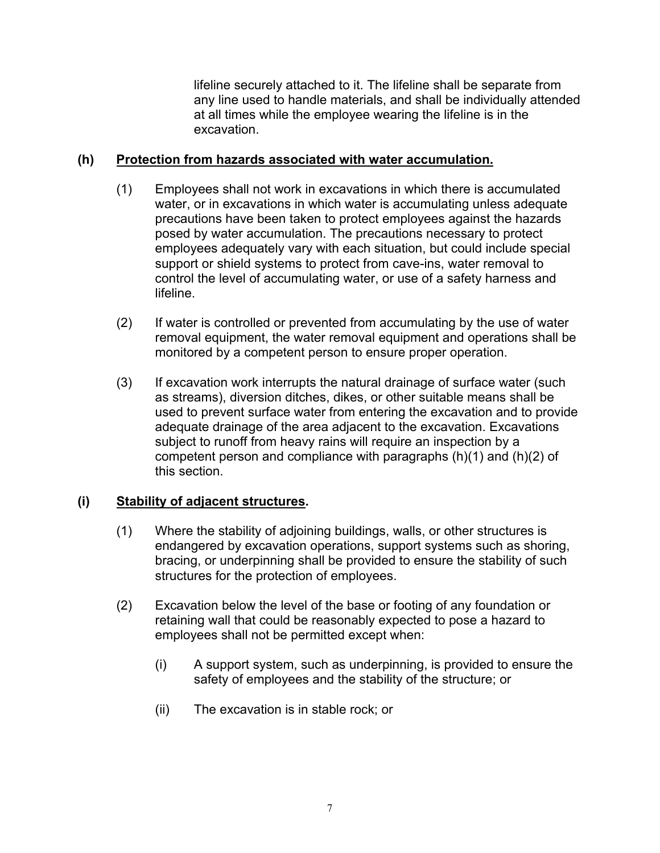lifeline securely attached to it. The lifeline shall be separate from any line used to handle materials, and shall be individually attended at all times while the employee wearing the lifeline is in the excavation.

## **(h) Protection from hazards associated with water accumulation.**

- (1) Employees shall not work in excavations in which there is accumulated water, or in excavations in which water is accumulating unless adequate precautions have been taken to protect employees against the hazards posed by water accumulation. The precautions necessary to protect employees adequately vary with each situation, but could include special support or shield systems to protect from cave-ins, water removal to control the level of accumulating water, or use of a safety harness and lifeline.
- (2) If water is controlled or prevented from accumulating by the use of water removal equipment, the water removal equipment and operations shall be monitored by a competent person to ensure proper operation.
- (3) If excavation work interrupts the natural drainage of surface water (such as streams), diversion ditches, dikes, or other suitable means shall be used to prevent surface water from entering the excavation and to provide adequate drainage of the area adjacent to the excavation. Excavations subject to runoff from heavy rains will require an inspection by a competent person and compliance with paragraphs (h)(1) and (h)(2) of this section.

## **(i) Stability of adjacent structures.**

- (1) Where the stability of adjoining buildings, walls, or other structures is endangered by excavation operations, support systems such as shoring, bracing, or underpinning shall be provided to ensure the stability of such structures for the protection of employees.
- (2) Excavation below the level of the base or footing of any foundation or retaining wall that could be reasonably expected to pose a hazard to employees shall not be permitted except when:
	- (i) A support system, such as underpinning, is provided to ensure the safety of employees and the stability of the structure; or
	- (ii) The excavation is in stable rock; or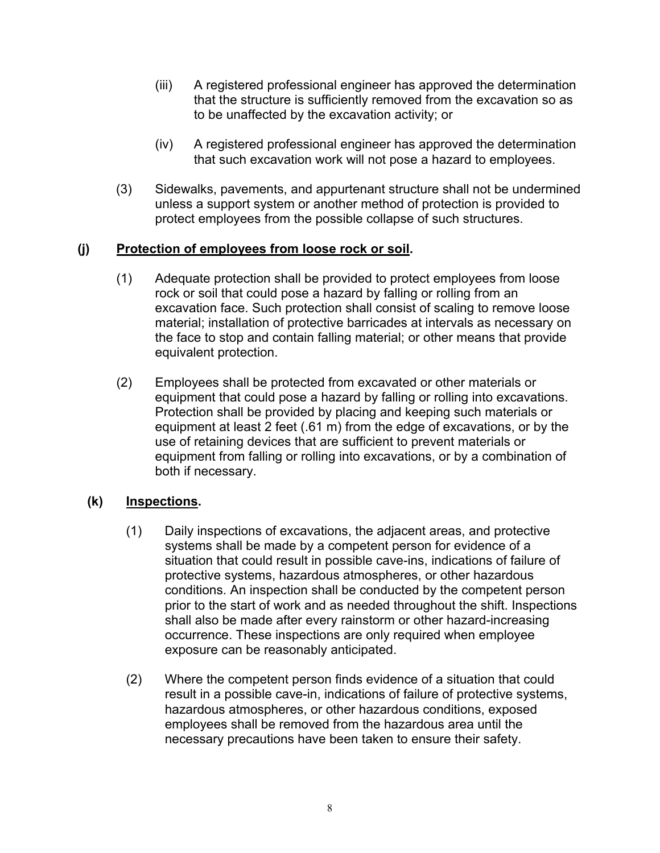- (iii) A registered professional engineer has approved the determination that the structure is sufficiently removed from the excavation so as to be unaffected by the excavation activity; or
- (iv) A registered professional engineer has approved the determination that such excavation work will not pose a hazard to employees.
- (3) Sidewalks, pavements, and appurtenant structure shall not be undermined unless a support system or another method of protection is provided to protect employees from the possible collapse of such structures.

## **(j) Protection of employees from loose rock or soil.**

- (1) Adequate protection shall be provided to protect employees from loose rock or soil that could pose a hazard by falling or rolling from an excavation face. Such protection shall consist of scaling to remove loose material; installation of protective barricades at intervals as necessary on the face to stop and contain falling material; or other means that provide equivalent protection.
- (2) Employees shall be protected from excavated or other materials or equipment that could pose a hazard by falling or rolling into excavations. Protection shall be provided by placing and keeping such materials or equipment at least 2 feet (.61 m) from the edge of excavations, or by the use of retaining devices that are sufficient to prevent materials or equipment from falling or rolling into excavations, or by a combination of both if necessary.

## **(k) Inspections.**

- (1) Daily inspections of excavations, the adjacent areas, and protective systems shall be made by a competent person for evidence of a situation that could result in possible cave-ins, indications of failure of protective systems, hazardous atmospheres, or other hazardous conditions. An inspection shall be conducted by the competent person prior to the start of work and as needed throughout the shift. Inspections shall also be made after every rainstorm or other hazard-increasing occurrence. These inspections are only required when employee exposure can be reasonably anticipated.
- (2) Where the competent person finds evidence of a situation that could result in a possible cave-in, indications of failure of protective systems, hazardous atmospheres, or other hazardous conditions, exposed employees shall be removed from the hazardous area until the necessary precautions have been taken to ensure their safety.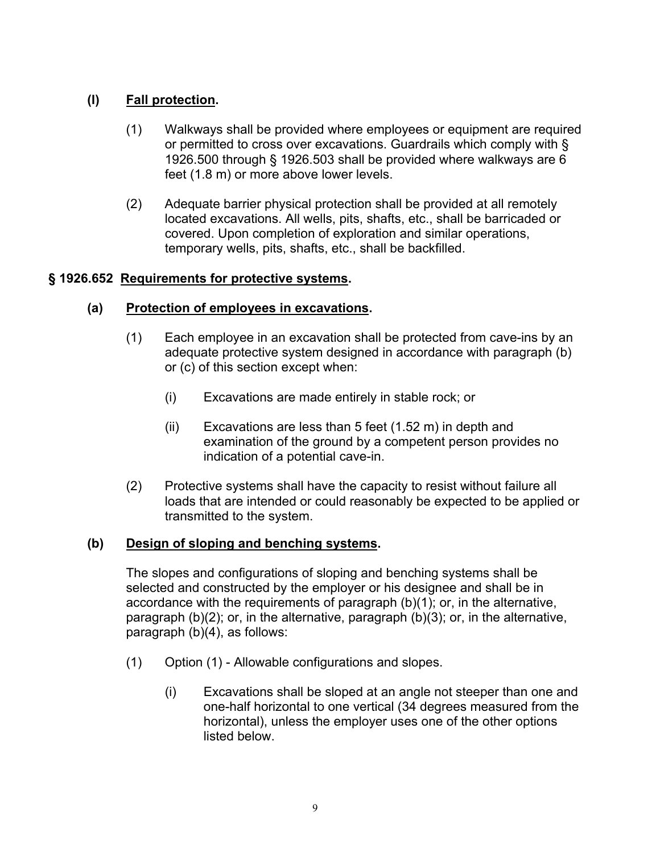# **(l) Fall protection.**

- (1) Walkways shall be provided where employees or equipment are required or permitted to cross over excavations. Guardrails which comply with § 1926.500 through § 1926.503 shall be provided where walkways are 6 feet (1.8 m) or more above lower levels.
- (2) Adequate barrier physical protection shall be provided at all remotely located excavations. All wells, pits, shafts, etc., shall be barricaded or covered. Upon completion of exploration and similar operations, temporary wells, pits, shafts, etc., shall be backfilled.

## **§ 1926.652 Requirements for protective systems.**

## **(a) Protection of employees in excavations.**

- (1) Each employee in an excavation shall be protected from cave-ins by an adequate protective system designed in accordance with paragraph (b) or (c) of this section except when:
	- (i) Excavations are made entirely in stable rock; or
	- (ii) Excavations are less than 5 feet (1.52 m) in depth and examination of the ground by a competent person provides no indication of a potential cave-in.
- (2) Protective systems shall have the capacity to resist without failure all loads that are intended or could reasonably be expected to be applied or transmitted to the system.

### **(b) Design of sloping and benching systems.**

The slopes and configurations of sloping and benching systems shall be selected and constructed by the employer or his designee and shall be in accordance with the requirements of paragraph (b)(1); or, in the alternative, paragraph (b)(2); or, in the alternative, paragraph (b)(3); or, in the alternative, paragraph (b)(4), as follows:

- (1) Option (1) Allowable configurations and slopes.
	- (i) Excavations shall be sloped at an angle not steeper than one and one-half horizontal to one vertical (34 degrees measured from the horizontal), unless the employer uses one of the other options listed below.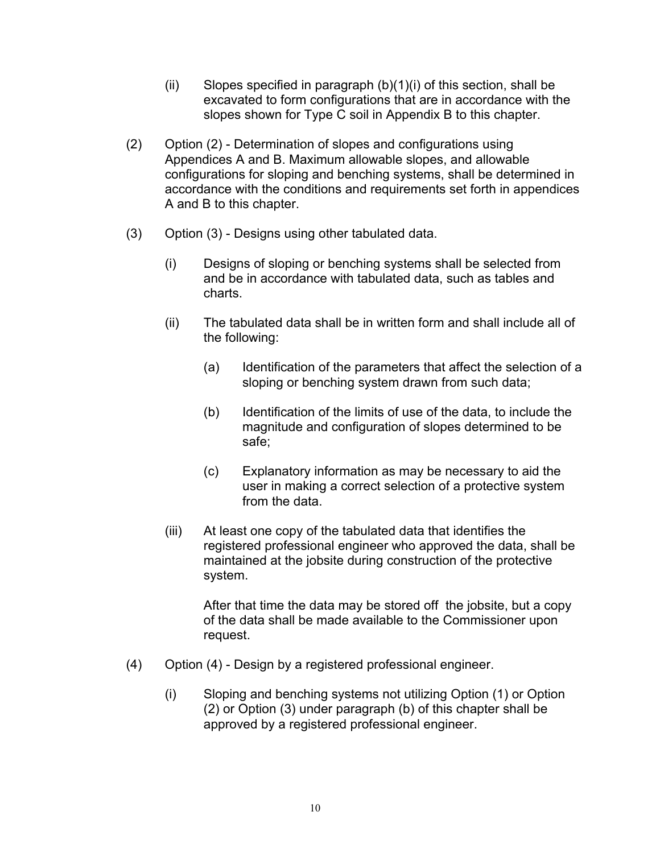- (ii) Slopes specified in paragraph  $(b)(1)(i)$  of this section, shall be excavated to form configurations that are in accordance with the slopes shown for Type C soil in Appendix B to this chapter.
- (2) Option (2) Determination of slopes and configurations using Appendices A and B. Maximum allowable slopes, and allowable configurations for sloping and benching systems, shall be determined in accordance with the conditions and requirements set forth in appendices A and B to this chapter.
- (3) Option (3) Designs using other tabulated data.
	- (i) Designs of sloping or benching systems shall be selected from and be in accordance with tabulated data, such as tables and charts.
	- (ii) The tabulated data shall be in written form and shall include all of the following:
		- (a) Identification of the parameters that affect the selection of a sloping or benching system drawn from such data;
		- (b) Identification of the limits of use of the data, to include the magnitude and configuration of slopes determined to be safe;
		- (c) Explanatory information as may be necessary to aid the user in making a correct selection of a protective system from the data.
	- (iii) At least one copy of the tabulated data that identifies the registered professional engineer who approved the data, shall be maintained at the jobsite during construction of the protective system.

After that time the data may be stored off the jobsite, but a copy of the data shall be made available to the Commissioner upon request.

- (4) Option (4) Design by a registered professional engineer.
	- (i) Sloping and benching systems not utilizing Option (1) or Option (2) or Option (3) under paragraph (b) of this chapter shall be approved by a registered professional engineer.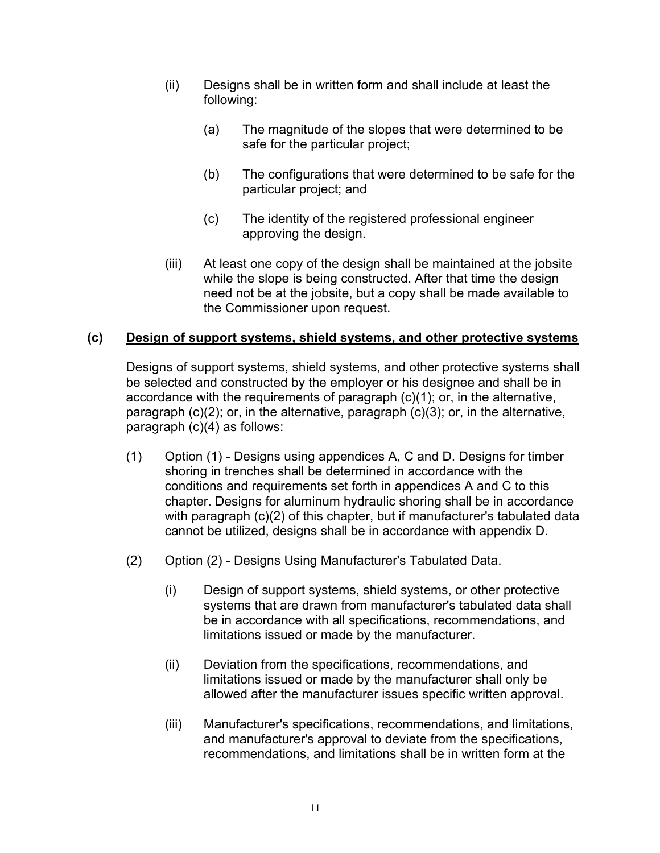- (ii) Designs shall be in written form and shall include at least the following:
	- (a) The magnitude of the slopes that were determined to be safe for the particular project;
	- (b) The configurations that were determined to be safe for the particular project; and
	- (c) The identity of the registered professional engineer approving the design.
- (iii) At least one copy of the design shall be maintained at the jobsite while the slope is being constructed. After that time the design need not be at the jobsite, but a copy shall be made available to the Commissioner upon request.

## **(c) Design of support systems, shield systems, and other protective systems**

Designs of support systems, shield systems, and other protective systems shall be selected and constructed by the employer or his designee and shall be in accordance with the requirements of paragraph (c)(1); or, in the alternative, paragraph (c)(2); or, in the alternative, paragraph (c)(3); or, in the alternative, paragraph (c)(4) as follows:

- (1) Option (1) Designs using appendices A, C and D. Designs for timber shoring in trenches shall be determined in accordance with the conditions and requirements set forth in appendices A and C to this chapter. Designs for aluminum hydraulic shoring shall be in accordance with paragraph (c)(2) of this chapter, but if manufacturer's tabulated data cannot be utilized, designs shall be in accordance with appendix D.
- (2) Option (2) Designs Using Manufacturer's Tabulated Data.
	- (i) Design of support systems, shield systems, or other protective systems that are drawn from manufacturer's tabulated data shall be in accordance with all specifications, recommendations, and limitations issued or made by the manufacturer.
	- (ii) Deviation from the specifications, recommendations, and limitations issued or made by the manufacturer shall only be allowed after the manufacturer issues specific written approval.
	- (iii) Manufacturer's specifications, recommendations, and limitations, and manufacturer's approval to deviate from the specifications, recommendations, and limitations shall be in written form at the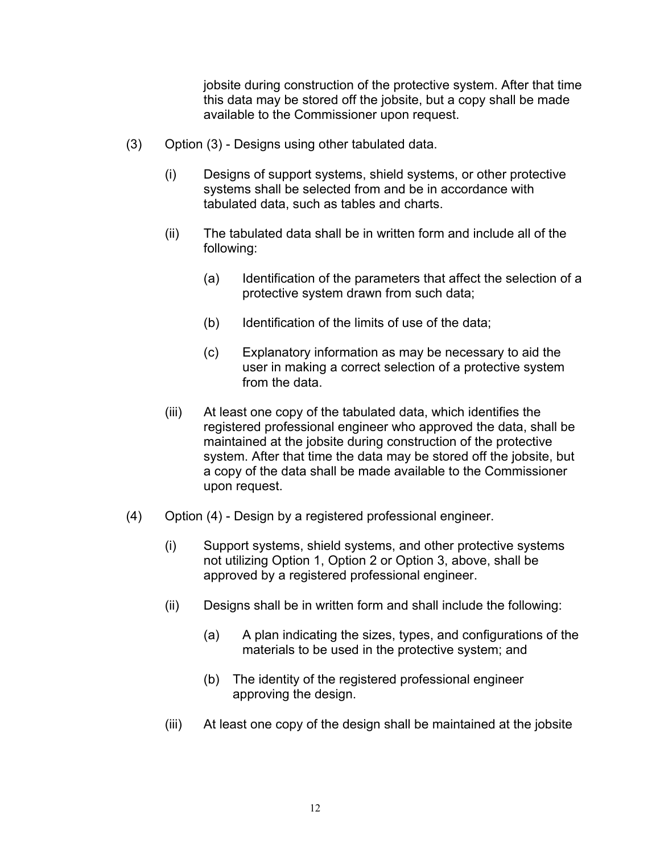jobsite during construction of the protective system. After that time this data may be stored off the jobsite, but a copy shall be made available to the Commissioner upon request.

- (3) Option (3) Designs using other tabulated data.
	- (i) Designs of support systems, shield systems, or other protective systems shall be selected from and be in accordance with tabulated data, such as tables and charts.
	- (ii) The tabulated data shall be in written form and include all of the following:
		- (a) Identification of the parameters that affect the selection of a protective system drawn from such data;
		- (b) Identification of the limits of use of the data;
		- (c) Explanatory information as may be necessary to aid the user in making a correct selection of a protective system from the data.
	- (iii) At least one copy of the tabulated data, which identifies the registered professional engineer who approved the data, shall be maintained at the jobsite during construction of the protective system. After that time the data may be stored off the jobsite, but a copy of the data shall be made available to the Commissioner upon request.
- (4) Option (4) Design by a registered professional engineer.
	- (i) Support systems, shield systems, and other protective systems not utilizing Option 1, Option 2 or Option 3, above, shall be approved by a registered professional engineer.
	- (ii) Designs shall be in written form and shall include the following:
		- (a) A plan indicating the sizes, types, and configurations of the materials to be used in the protective system; and
		- (b) The identity of the registered professional engineer approving the design.
	- (iii) At least one copy of the design shall be maintained at the jobsite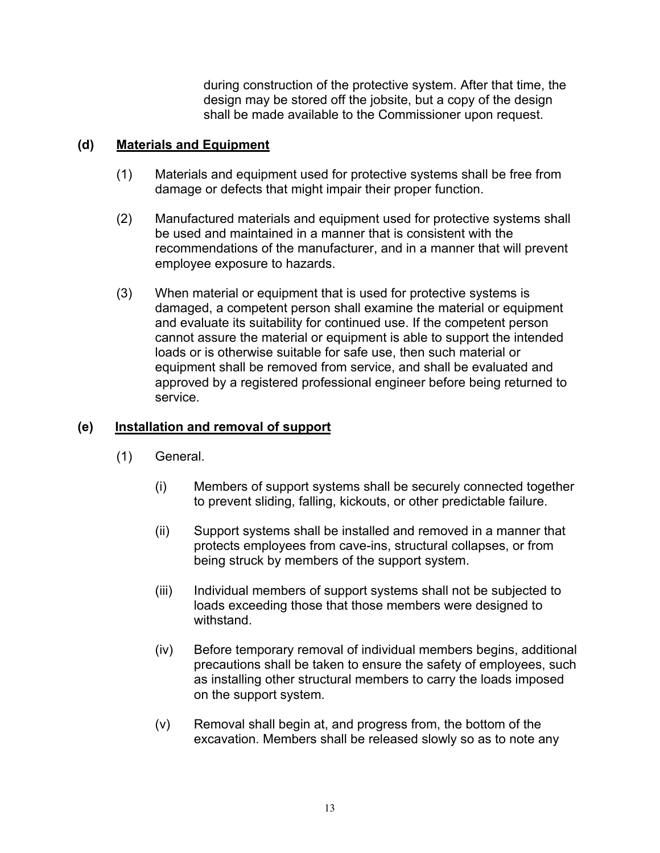during construction of the protective system. After that time, the design may be stored off the jobsite, but a copy of the design shall be made available to the Commissioner upon request.

## **(d) Materials and Equipment**

- (1) Materials and equipment used for protective systems shall be free from damage or defects that might impair their proper function.
- (2) Manufactured materials and equipment used for protective systems shall be used and maintained in a manner that is consistent with the recommendations of the manufacturer, and in a manner that will prevent employee exposure to hazards.
- (3) When material or equipment that is used for protective systems is damaged, a competent person shall examine the material or equipment and evaluate its suitability for continued use. If the competent person cannot assure the material or equipment is able to support the intended loads or is otherwise suitable for safe use, then such material or equipment shall be removed from service, and shall be evaluated and approved by a registered professional engineer before being returned to service.

## **(e) Installation and removal of support**

- (1) General.
	- (i) Members of support systems shall be securely connected together to prevent sliding, falling, kickouts, or other predictable failure.
	- (ii) Support systems shall be installed and removed in a manner that protects employees from cave-ins, structural collapses, or from being struck by members of the support system.
	- (iii) Individual members of support systems shall not be subjected to loads exceeding those that those members were designed to withstand.
	- (iv) Before temporary removal of individual members begins, additional precautions shall be taken to ensure the safety of employees, such as installing other structural members to carry the loads imposed on the support system.
	- (v) Removal shall begin at, and progress from, the bottom of the excavation. Members shall be released slowly so as to note any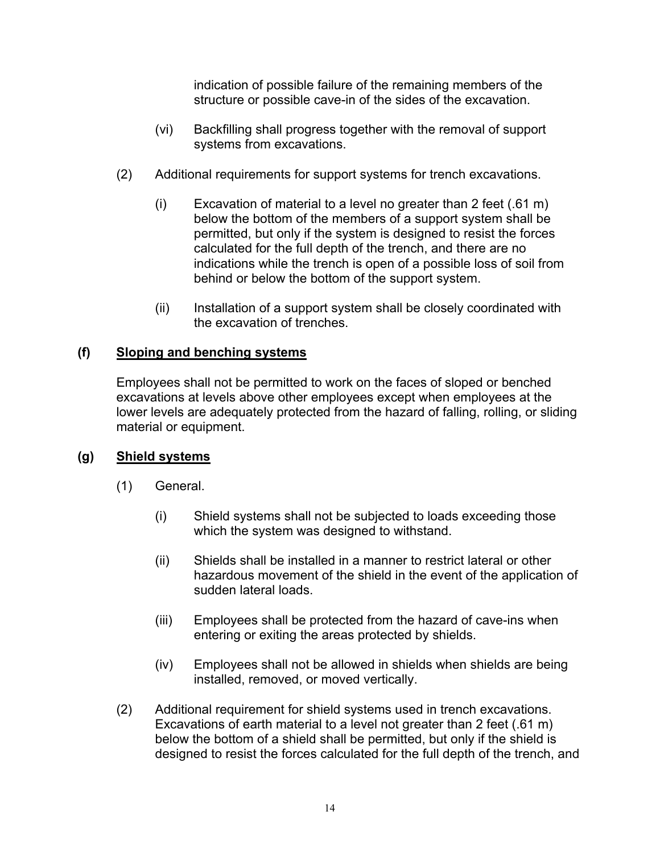indication of possible failure of the remaining members of the structure or possible cave-in of the sides of the excavation.

- (vi) Backfilling shall progress together with the removal of support systems from excavations.
- (2) Additional requirements for support systems for trench excavations.
	- (i) Excavation of material to a level no greater than 2 feet (.61 m) below the bottom of the members of a support system shall be permitted, but only if the system is designed to resist the forces calculated for the full depth of the trench, and there are no indications while the trench is open of a possible loss of soil from behind or below the bottom of the support system.
	- (ii) Installation of a support system shall be closely coordinated with the excavation of trenches.

# **(f) Sloping and benching systems**

Employees shall not be permitted to work on the faces of sloped or benched excavations at levels above other employees except when employees at the lower levels are adequately protected from the hazard of falling, rolling, or sliding material or equipment.

# **(g) Shield systems**

- (1) General.
	- (i) Shield systems shall not be subjected to loads exceeding those which the system was designed to withstand.
	- (ii) Shields shall be installed in a manner to restrict lateral or other hazardous movement of the shield in the event of the application of sudden lateral loads.
	- (iii) Employees shall be protected from the hazard of cave-ins when entering or exiting the areas protected by shields.
	- (iv) Employees shall not be allowed in shields when shields are being installed, removed, or moved vertically.
- (2) Additional requirement for shield systems used in trench excavations. Excavations of earth material to a level not greater than 2 feet (.61 m) below the bottom of a shield shall be permitted, but only if the shield is designed to resist the forces calculated for the full depth of the trench, and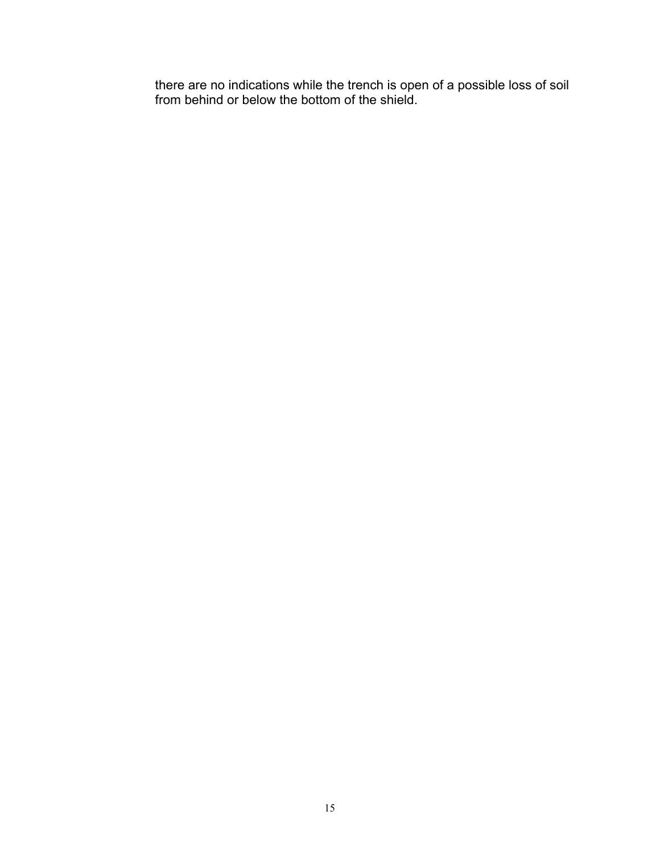there are no indications while the trench is open of a possible loss of soil from behind or below the bottom of the shield.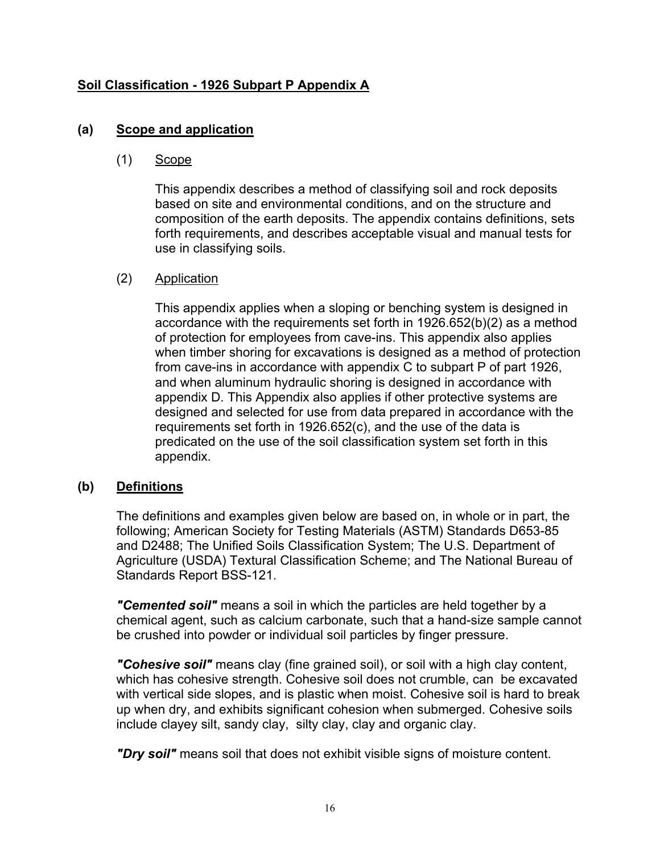## **Soil Classification - 1926 Subpart P Appendix A**

## **(a) Scope and application**

## (1) Scope

This appendix describes a method of classifying soil and rock deposits based on site and environmental conditions, and on the structure and composition of the earth deposits. The appendix contains definitions, sets forth requirements, and describes acceptable visual and manual tests for use in classifying soils.

## (2) Application

This appendix applies when a sloping or benching system is designed in accordance with the requirements set forth in 1926.652(b)(2) as a method of protection for employees from cave-ins. This appendix also applies when timber shoring for excavations is designed as a method of protection from cave-ins in accordance with appendix C to subpart P of part 1926, and when aluminum hydraulic shoring is designed in accordance with appendix D. This Appendix also applies if other protective systems are designed and selected for use from data prepared in accordance with the requirements set forth in 1926.652(c), and the use of the data is predicated on the use of the soil classification system set forth in this appendix.

## **(b) Definitions**

The definitions and examples given below are based on, in whole or in part, the following; American Society for Testing Materials (ASTM) Standards D653-85 and D2488; The Unified Soils Classification System; The U.S. Department of Agriculture (USDA) Textural Classification Scheme; and The National Bureau of Standards Report BSS-121.

*"Cemented soil"* means a soil in which the particles are held together by a chemical agent, such as calcium carbonate, such that a hand-size sample cannot be crushed into powder or individual soil particles by finger pressure.

*"Cohesive soil"* means clay (fine grained soil), or soil with a high clay content, which has cohesive strength. Cohesive soil does not crumble, can be excavated with vertical side slopes, and is plastic when moist. Cohesive soil is hard to break up when dry, and exhibits significant cohesion when submerged. Cohesive soils include clayey silt, sandy clay, silty clay, clay and organic clay.

*"Dry soil"* means soil that does not exhibit visible signs of moisture content.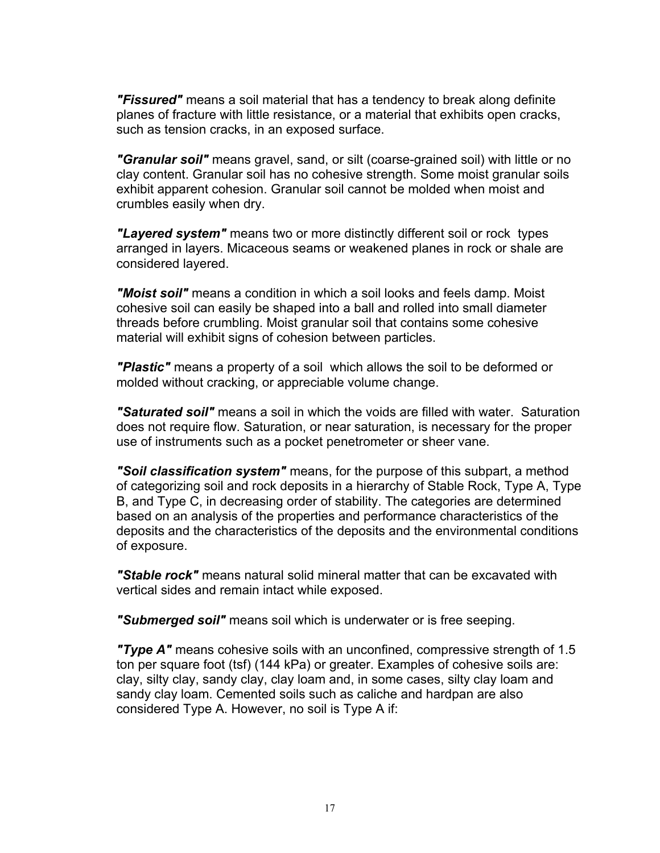*"Fissured"* means a soil material that has a tendency to break along definite planes of fracture with little resistance, or a material that exhibits open cracks, such as tension cracks, in an exposed surface.

*"Granular soil"* means gravel, sand, or silt (coarse-grained soil) with little or no clay content. Granular soil has no cohesive strength. Some moist granular soils exhibit apparent cohesion. Granular soil cannot be molded when moist and crumbles easily when dry.

*"Layered system"* means two or more distinctly different soil or rock types arranged in layers. Micaceous seams or weakened planes in rock or shale are considered layered.

*"Moist soil"* means a condition in which a soil looks and feels damp. Moist cohesive soil can easily be shaped into a ball and rolled into small diameter threads before crumbling. Moist granular soil that contains some cohesive material will exhibit signs of cohesion between particles.

*"Plastic"* means a property of a soil which allows the soil to be deformed or molded without cracking, or appreciable volume change.

*"Saturated soil"* means a soil in which the voids are filled with water. Saturation does not require flow. Saturation, or near saturation, is necessary for the proper use of instruments such as a pocket penetrometer or sheer vane.

*"Soil classification system"* means, for the purpose of this subpart, a method of categorizing soil and rock deposits in a hierarchy of Stable Rock, Type A, Type B, and Type C, in decreasing order of stability. The categories are determined based on an analysis of the properties and performance characteristics of the deposits and the characteristics of the deposits and the environmental conditions of exposure.

*"Stable rock"* means natural solid mineral matter that can be excavated with vertical sides and remain intact while exposed.

*"Submerged soil"* means soil which is underwater or is free seeping.

*"Type A"* means cohesive soils with an unconfined, compressive strength of 1.5 ton per square foot (tsf) (144 kPa) or greater. Examples of cohesive soils are: clay, silty clay, sandy clay, clay loam and, in some cases, silty clay loam and sandy clay loam. Cemented soils such as caliche and hardpan are also considered Type A. However, no soil is Type A if: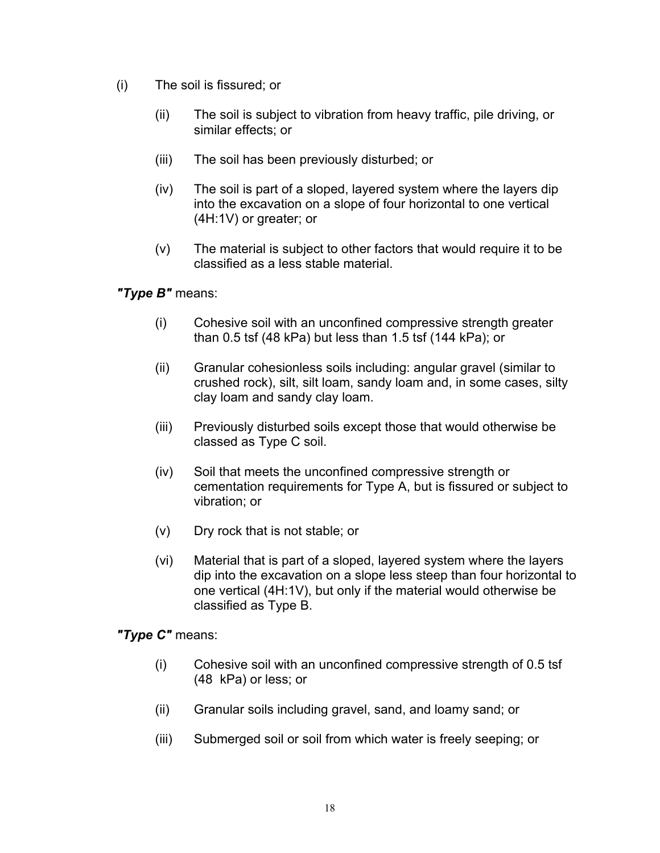- (i) The soil is fissured; or
	- (ii) The soil is subject to vibration from heavy traffic, pile driving, or similar effects; or
	- (iii) The soil has been previously disturbed; or
	- (iv) The soil is part of a sloped, layered system where the layers dip into the excavation on a slope of four horizontal to one vertical (4H:1V) or greater; or
	- (v) The material is subject to other factors that would require it to be classified as a less stable material.

*"Type B"* means:

- (i) Cohesive soil with an unconfined compressive strength greater than 0.5 tsf (48 kPa) but less than 1.5 tsf (144 kPa); or
- (ii) Granular cohesionless soils including: angular gravel (similar to crushed rock), silt, silt loam, sandy loam and, in some cases, silty clay loam and sandy clay loam.
- (iii) Previously disturbed soils except those that would otherwise be classed as Type C soil.
- (iv) Soil that meets the unconfined compressive strength or cementation requirements for Type A, but is fissured or subject to vibration; or
- (v) Dry rock that is not stable; or
- (vi) Material that is part of a sloped, layered system where the layers dip into the excavation on a slope less steep than four horizontal to one vertical (4H:1V), but only if the material would otherwise be classified as Type B.

*"Type C"* means:

- (i) Cohesive soil with an unconfined compressive strength of 0.5 tsf (48 kPa) or less; or
- (ii) Granular soils including gravel, sand, and loamy sand; or
- (iii) Submerged soil or soil from which water is freely seeping; or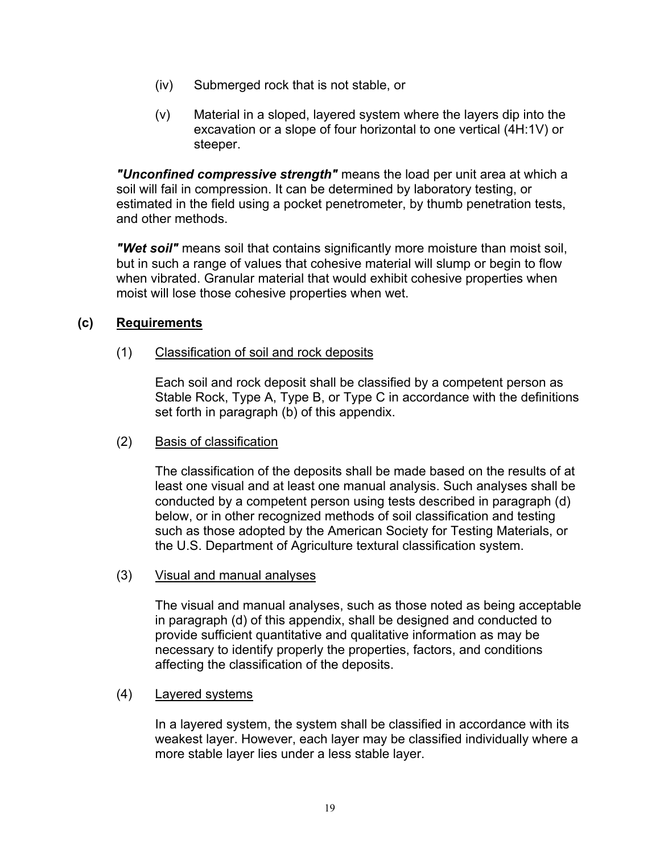- (iv) Submerged rock that is not stable, or
- (v) Material in a sloped, layered system where the layers dip into the excavation or a slope of four horizontal to one vertical (4H:1V) or steeper.

*"Unconfined compressive strength"* means the load per unit area at which a soil will fail in compression. It can be determined by laboratory testing, or estimated in the field using a pocket penetrometer, by thumb penetration tests, and other methods.

*"Wet soil"* means soil that contains significantly more moisture than moist soil, but in such a range of values that cohesive material will slump or begin to flow when vibrated. Granular material that would exhibit cohesive properties when moist will lose those cohesive properties when wet.

## **(c) Requirements**

### (1) Classification of soil and rock deposits

Each soil and rock deposit shall be classified by a competent person as Stable Rock, Type A, Type B, or Type C in accordance with the definitions set forth in paragraph (b) of this appendix.

### (2) Basis of classification

The classification of the deposits shall be made based on the results of at least one visual and at least one manual analysis. Such analyses shall be conducted by a competent person using tests described in paragraph (d) below, or in other recognized methods of soil classification and testing such as those adopted by the American Society for Testing Materials, or the U.S. Department of Agriculture textural classification system.

### (3) Visual and manual analyses

The visual and manual analyses, such as those noted as being acceptable in paragraph (d) of this appendix, shall be designed and conducted to provide sufficient quantitative and qualitative information as may be necessary to identify properly the properties, factors, and conditions affecting the classification of the deposits.

### (4) Layered systems

In a layered system, the system shall be classified in accordance with its weakest layer. However, each layer may be classified individually where a more stable layer lies under a less stable layer.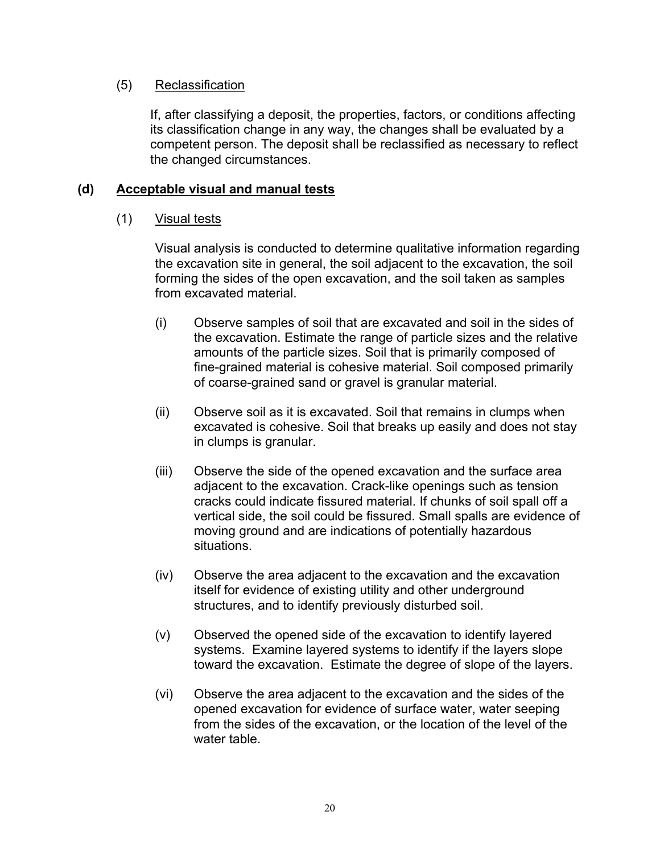## (5) Reclassification

If, after classifying a deposit, the properties, factors, or conditions affecting its classification change in any way, the changes shall be evaluated by a competent person. The deposit shall be reclassified as necessary to reflect the changed circumstances.

## **(d) Acceptable visual and manual tests**

## (1) Visual tests

Visual analysis is conducted to determine qualitative information regarding the excavation site in general, the soil adjacent to the excavation, the soil forming the sides of the open excavation, and the soil taken as samples from excavated material.

- (i) Observe samples of soil that are excavated and soil in the sides of the excavation. Estimate the range of particle sizes and the relative amounts of the particle sizes. Soil that is primarily composed of fine-grained material is cohesive material. Soil composed primarily of coarse-grained sand or gravel is granular material.
- (ii) Observe soil as it is excavated. Soil that remains in clumps when excavated is cohesive. Soil that breaks up easily and does not stay in clumps is granular.
- (iii) Observe the side of the opened excavation and the surface area adjacent to the excavation. Crack-like openings such as tension cracks could indicate fissured material. If chunks of soil spall off a vertical side, the soil could be fissured. Small spalls are evidence of moving ground and are indications of potentially hazardous situations.
- (iv) Observe the area adjacent to the excavation and the excavation itself for evidence of existing utility and other underground structures, and to identify previously disturbed soil.
- (v) Observed the opened side of the excavation to identify layered systems. Examine layered systems to identify if the layers slope toward the excavation. Estimate the degree of slope of the layers.
- (vi) Observe the area adjacent to the excavation and the sides of the opened excavation for evidence of surface water, water seeping from the sides of the excavation, or the location of the level of the water table.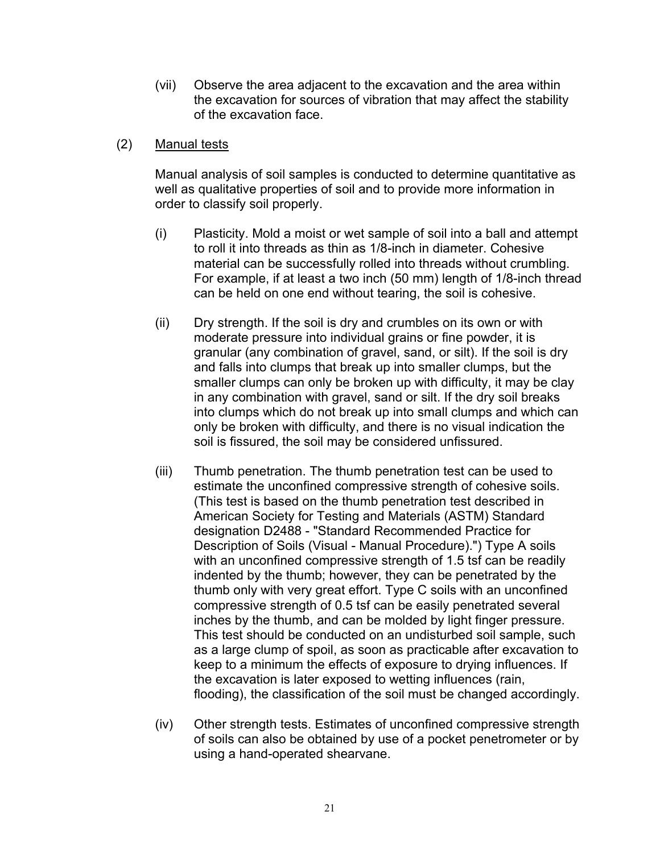- (vii) Observe the area adjacent to the excavation and the area within the excavation for sources of vibration that may affect the stability of the excavation face.
- (2) Manual tests

Manual analysis of soil samples is conducted to determine quantitative as well as qualitative properties of soil and to provide more information in order to classify soil properly.

- (i) Plasticity. Mold a moist or wet sample of soil into a ball and attempt to roll it into threads as thin as 1/8-inch in diameter. Cohesive material can be successfully rolled into threads without crumbling. For example, if at least a two inch (50 mm) length of 1/8-inch thread can be held on one end without tearing, the soil is cohesive.
- (ii) Dry strength. If the soil is dry and crumbles on its own or with moderate pressure into individual grains or fine powder, it is granular (any combination of gravel, sand, or silt). If the soil is dry and falls into clumps that break up into smaller clumps, but the smaller clumps can only be broken up with difficulty, it may be clay in any combination with gravel, sand or silt. If the dry soil breaks into clumps which do not break up into small clumps and which can only be broken with difficulty, and there is no visual indication the soil is fissured, the soil may be considered unfissured.
- (iii) Thumb penetration. The thumb penetration test can be used to estimate the unconfined compressive strength of cohesive soils. (This test is based on the thumb penetration test described in American Society for Testing and Materials (ASTM) Standard designation D2488 - "Standard Recommended Practice for Description of Soils (Visual - Manual Procedure).") Type A soils with an unconfined compressive strength of 1.5 tsf can be readily indented by the thumb; however, they can be penetrated by the thumb only with very great effort. Type C soils with an unconfined compressive strength of 0.5 tsf can be easily penetrated several inches by the thumb, and can be molded by light finger pressure. This test should be conducted on an undisturbed soil sample, such as a large clump of spoil, as soon as practicable after excavation to keep to a minimum the effects of exposure to drying influences. If the excavation is later exposed to wetting influences (rain, flooding), the classification of the soil must be changed accordingly.
- (iv) Other strength tests. Estimates of unconfined compressive strength of soils can also be obtained by use of a pocket penetrometer or by using a hand-operated shearvane.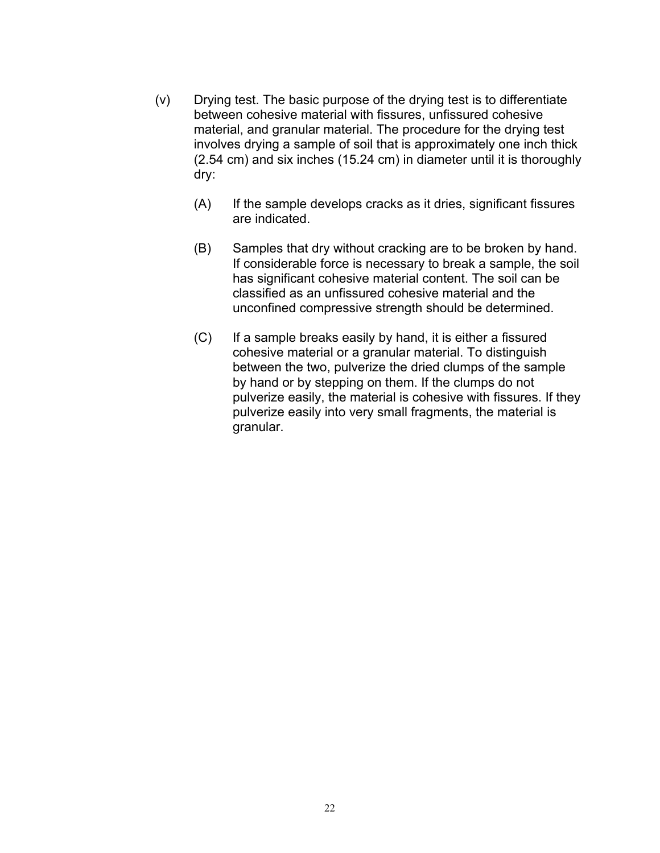- (v) Drying test. The basic purpose of the drying test is to differentiate between cohesive material with fissures, unfissured cohesive material, and granular material. The procedure for the drying test involves drying a sample of soil that is approximately one inch thick (2.54 cm) and six inches (15.24 cm) in diameter until it is thoroughly dry:
	- (A) If the sample develops cracks as it dries, significant fissures are indicated.
	- (B) Samples that dry without cracking are to be broken by hand. If considerable force is necessary to break a sample, the soil has significant cohesive material content. The soil can be classified as an unfissured cohesive material and the unconfined compressive strength should be determined.
	- (C) If a sample breaks easily by hand, it is either a fissured cohesive material or a granular material. To distinguish between the two, pulverize the dried clumps of the sample by hand or by stepping on them. If the clumps do not pulverize easily, the material is cohesive with fissures. If they pulverize easily into very small fragments, the material is granular.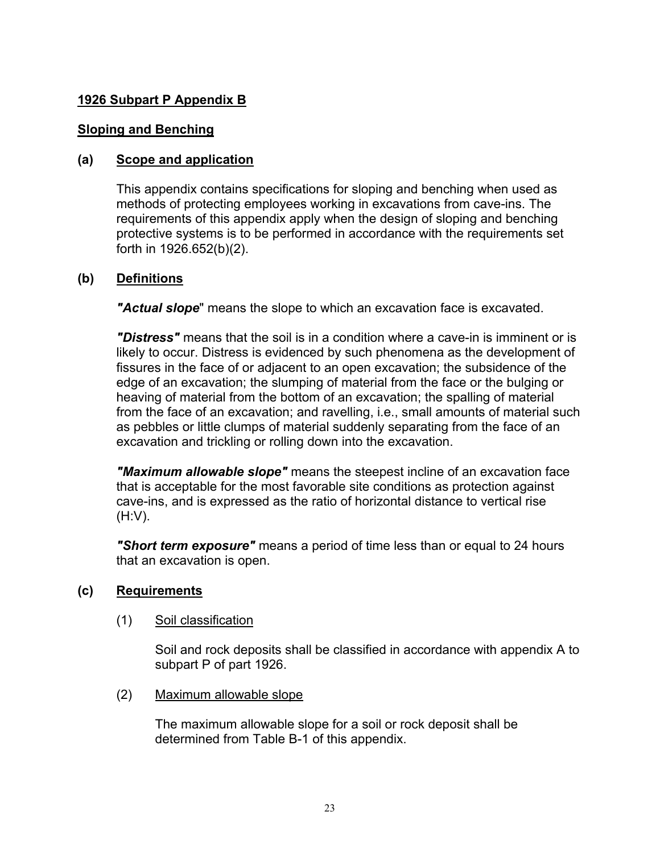# **1926 Subpart P Appendix B**

## **Sloping and Benching**

### **(a) Scope and application**

This appendix contains specifications for sloping and benching when used as methods of protecting employees working in excavations from cave-ins. The requirements of this appendix apply when the design of sloping and benching protective systems is to be performed in accordance with the requirements set forth in 1926.652(b)(2).

#### **(b) Definitions**

*"Actual slope*" means the slope to which an excavation face is excavated.

*"Distress"* means that the soil is in a condition where a cave-in is imminent or is likely to occur. Distress is evidenced by such phenomena as the development of fissures in the face of or adjacent to an open excavation; the subsidence of the edge of an excavation; the slumping of material from the face or the bulging or heaving of material from the bottom of an excavation; the spalling of material from the face of an excavation; and ravelling, i.e., small amounts of material such as pebbles or little clumps of material suddenly separating from the face of an excavation and trickling or rolling down into the excavation.

*"Maximum allowable slope"* means the steepest incline of an excavation face that is acceptable for the most favorable site conditions as protection against cave-ins, and is expressed as the ratio of horizontal distance to vertical rise (H:V).

*"Short term exposure"* means a period of time less than or equal to 24 hours that an excavation is open.

### **(c) Requirements**

### (1) Soil classification

Soil and rock deposits shall be classified in accordance with appendix A to subpart P of part 1926.

(2) Maximum allowable slope

The maximum allowable slope for a soil or rock deposit shall be determined from Table B-1 of this appendix.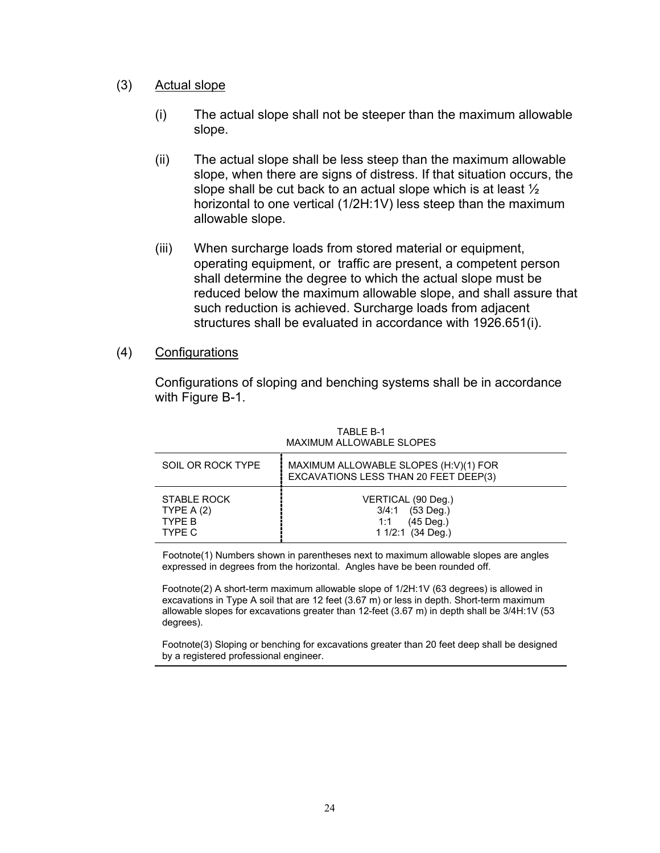#### (3) Actual slope

- (i) The actual slope shall not be steeper than the maximum allowable slope.
- (ii) The actual slope shall be less steep than the maximum allowable slope, when there are signs of distress. If that situation occurs, the slope shall be cut back to an actual slope which is at least ½ horizontal to one vertical (1/2H:1V) less steep than the maximum allowable slope.
- (iii) When surcharge loads from stored material or equipment, operating equipment, or traffic are present, a competent person shall determine the degree to which the actual slope must be reduced below the maximum allowable slope, and shall assure that such reduction is achieved. Surcharge loads from adjacent structures shall be evaluated in accordance with 1926.651(i).

#### (4) Configurations

Configurations of sloping and benching systems shall be in accordance with Figure B-1.

| SOIL OR ROCK TYPE                               | MAXIMUM ALLOWABLE SLOPES (H:V)(1) FOR<br>EXCAVATIONS LESS THAN 20 FEET DEEP(3)        |  |  |  |  |  |  |  |
|-------------------------------------------------|---------------------------------------------------------------------------------------|--|--|--|--|--|--|--|
| STABLE ROCK<br>TYPE A $(2)$<br>TYPE B<br>TYPE C | VERTICAL (90 Deg.)<br>$(53$ Deg.)<br>3/4:1<br>$(45$ Deg.)<br>1:1<br>1 1/2:1 (34 Deg.) |  |  |  |  |  |  |  |

TABLE B-1 MAXIMUM ALLOWABLE SLOPES

 Footnote(1) Numbers shown in parentheses next to maximum allowable slopes are angles expressed in degrees from the horizontal. Angles have be been rounded off.

Footnote(2) A short-term maximum allowable slope of 1/2H:1V (63 degrees) is allowed in excavations in Type A soil that are 12 feet (3.67 m) or less in depth. Short-term maximum allowable slopes for excavations greater than 12-feet (3.67 m) in depth shall be 3/4H:1V (53 degrees).

Footnote(3) Sloping or benching for excavations greater than 20 feet deep shall be designed by a registered professional engineer.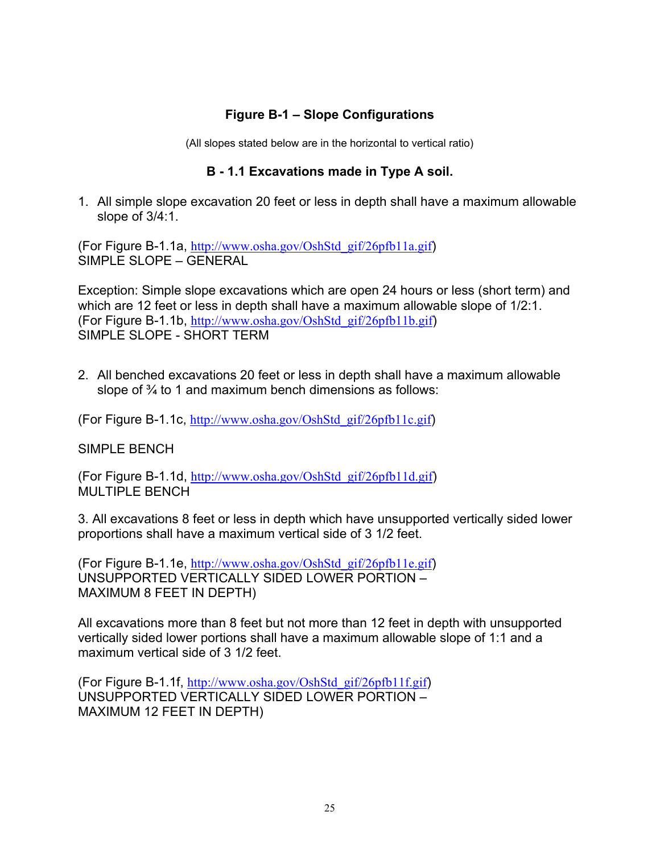# **Figure B-1 – Slope Configurations**

(All slopes stated below are in the horizontal to vertical ratio)

## **B - 1.1 Excavations made in Type A soil.**

1. All simple slope excavation 20 feet or less in depth shall have a maximum allowable slope of 3/4:1.

(For Figure B-1.1a, [http://www.osha.gov/OshStd\\_gif/26pfb11a.gif](http://www.osha.gov/OshStd_gif/26pfb11a.gif)) SIMPLE SLOPE – GENERAL

Exception: Simple slope excavations which are open 24 hours or less (short term) and which are 12 feet or less in depth shall have a maximum allowable slope of 1/2:1. (For Figure B-1.1b, [http://www.osha.gov/OshStd\\_gif/26pfb11b.gif](http://www.osha.gov/OshStd_gif/26pfb11b.gif)) SIMPLE SLOPE - SHORT TERM

2. All benched excavations 20 feet or less in depth shall have a maximum allowable slope of ¾ to 1 and maximum bench dimensions as follows:

(For Figure B-1.1c, [http://www.osha.gov/OshStd\\_gif/26pfb11c.gif](http://www.osha.gov/OshStd_gif/26pfb11c.gif))

SIMPLE BENCH

(For Figure B-1.1d, [http://www.osha.gov/OshStd\\_gif/26pfb11d.gif](http://www.osha.gov/OshStd_gif/26pfb11d.gif)) MULTIPLE BENCH

3. All excavations 8 feet or less in depth which have unsupported vertically sided lower proportions shall have a maximum vertical side of 3 1/2 feet.

(For Figure B-1.1e, [http://www.osha.gov/OshStd\\_gif/26pfb11e.gif](http://www.osha.gov/OshStd_gif/26pfb11e.gif)) UNSUPPORTED VERTICALLY SIDED LOWER PORTION – MAXIMUM 8 FEET IN DEPTH)

All excavations more than 8 feet but not more than 12 feet in depth with unsupported vertically sided lower portions shall have a maximum allowable slope of 1:1 and a maximum vertical side of 3 1/2 feet.

(For Figure B-1.1f, [http://www.osha.gov/OshStd\\_gif/26pfb11f.gif](http://www.osha.gov/OshStd_gif/26pfb11f.gif)) UNSUPPORTED VERTICALLY SIDED LOWER PORTION – MAXIMUM 12 FEET IN DEPTH)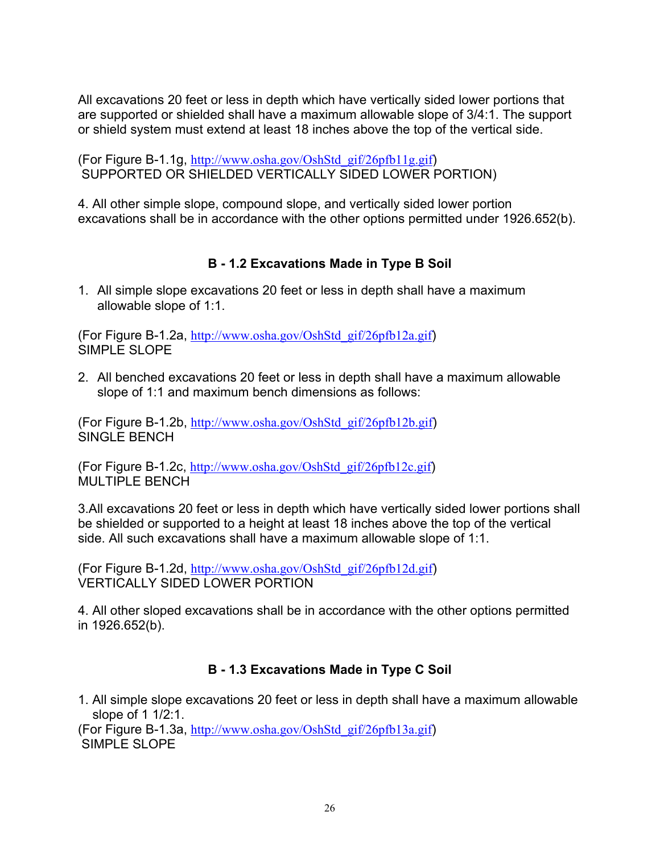All excavations 20 feet or less in depth which have vertically sided lower portions that are supported or shielded shall have a maximum allowable slope of 3/4:1. The support or shield system must extend at least 18 inches above the top of the vertical side.

(For Figure B-1.1g, [http://www.osha.gov/OshStd\\_gif/26pfb11g.gif](http://www.osha.gov/OshStd_gif/26pfb11g.gif)) SUPPORTED OR SHIELDED VERTICALLY SIDED LOWER PORTION)

4. All other simple slope, compound slope, and vertically sided lower portion excavations shall be in accordance with the other options permitted under 1926.652(b).

# **B - 1.2 Excavations Made in Type B Soil**

1. All simple slope excavations 20 feet or less in depth shall have a maximum allowable slope of 1:1.

(For Figure B-1.2a, [http://www.osha.gov/OshStd\\_gif/26pfb12a.gif](http://www.osha.gov/OshStd_gif/26pfb12a.gif)) SIMPLE SLOPE

2. All benched excavations 20 feet or less in depth shall have a maximum allowable slope of 1:1 and maximum bench dimensions as follows:

(For Figure B-1.2b, [http://www.osha.gov/OshStd\\_gif/26pfb12b.gif](http://www.osha.gov/OshStd_gif/26pfb12b.gif)) SINGLE BENCH

(For Figure B-1.2c, [http://www.osha.gov/OshStd\\_gif/26pfb12c.gif](http://www.osha.gov/OshStd_gif/26pfb12c.gif)) MULTIPLE BENCH

3.All excavations 20 feet or less in depth which have vertically sided lower portions shall be shielded or supported to a height at least 18 inches above the top of the vertical side. All such excavations shall have a maximum allowable slope of 1:1.

(For Figure B-1.2d, [http://www.osha.gov/OshStd\\_gif/26pfb12d.gif](http://www.osha.gov/OshStd_gif/26pfb12d.gif)) VERTICALLY SIDED LOWER PORTION

4. All other sloped excavations shall be in accordance with the other options permitted in 1926.652(b).

# **B - 1.3 Excavations Made in Type C Soil**

1. All simple slope excavations 20 feet or less in depth shall have a maximum allowable slope of 1 1/2:1.

(For Figure B-1.3a, [http://www.osha.gov/OshStd\\_gif/26pfb13a.gif](http://www.osha.gov/OshStd_gif/26pfb13a.gif)) SIMPLE SLOPE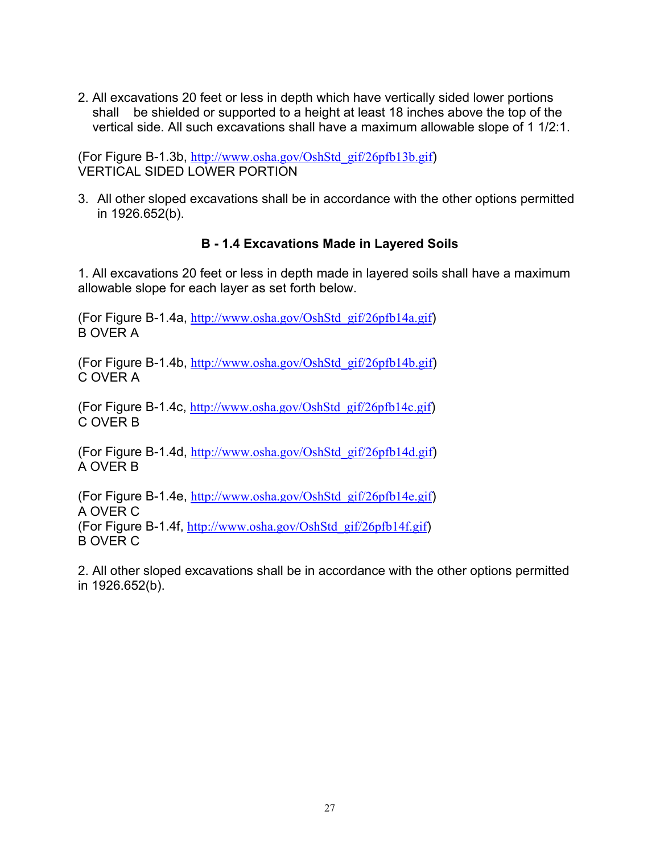2. All excavations 20 feet or less in depth which have vertically sided lower portions shall be shielded or supported to a height at least 18 inches above the top of the vertical side. All such excavations shall have a maximum allowable slope of 1 1/2:1.

(For Figure B-1.3b, [http://www.osha.gov/OshStd\\_gif/26pfb13b.gif](http://www.osha.gov/OshStd_gif/26pfb13b.gif)) VERTICAL SIDED LOWER PORTION

3. All other sloped excavations shall be in accordance with the other options permitted in 1926.652(b).

## **B - 1.4 Excavations Made in Layered Soils**

1. All excavations 20 feet or less in depth made in layered soils shall have a maximum allowable slope for each layer as set forth below.

(For Figure B-1.4a, [http://www.osha.gov/OshStd\\_gif/26pfb14a.gif](http://www.osha.gov/OshStd_gif/26pfb14a.gif)) B OVER A

(For Figure B-1.4b, [http://www.osha.gov/OshStd\\_gif/26pfb14b.gif](http://www.osha.gov/OshStd_gif/26pfb14b.gif)) C OVER A

(For Figure B-1.4c, [http://www.osha.gov/OshStd\\_gif/26pfb14c.gif](http://www.osha.gov/OshStd_gif/26pfb14c.gif)) C OVER B

(For Figure B-1.4d, [http://www.osha.gov/OshStd\\_gif/26pfb14d.gif](http://www.osha.gov/OshStd_gif/26pfb14d.gif)) A OVER B

(For Figure B-1.4e, [http://www.osha.gov/OshStd\\_gif/26pfb14e.gif](http://www.osha.gov/OshStd_gif/26pfb14e.gif)) A OVER C (For Figure B-1.4f, [http://www.osha.gov/OshStd\\_gif/26pfb14f.gif](http://www.osha.gov/OshStd_gif/26pfb14f.gif)) B OVER C

2. All other sloped excavations shall be in accordance with the other options permitted in 1926.652(b).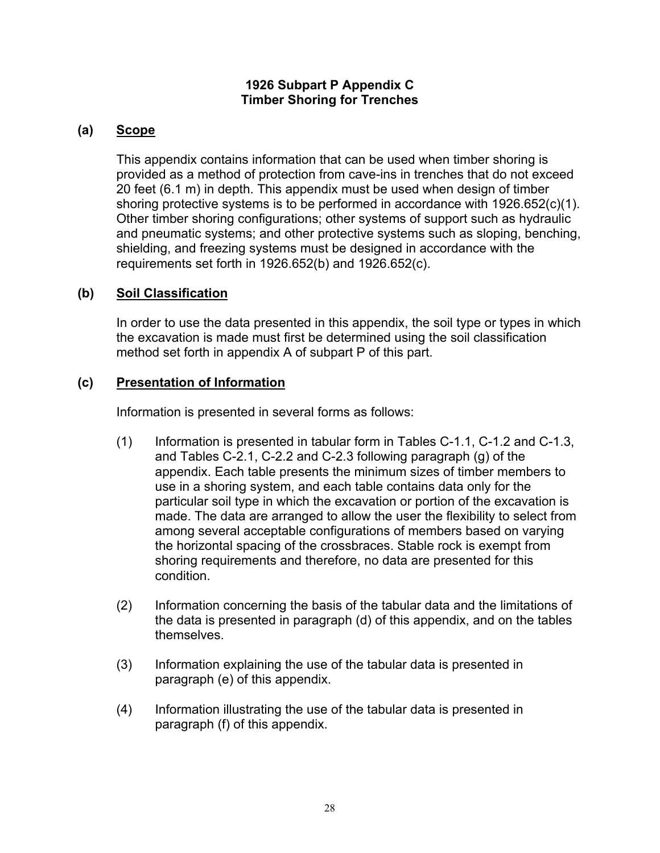### **1926 Subpart P Appendix C Timber Shoring for Trenches**

## **(a) Scope**

This appendix contains information that can be used when timber shoring is provided as a method of protection from cave-ins in trenches that do not exceed 20 feet (6.1 m) in depth. This appendix must be used when design of timber shoring protective systems is to be performed in accordance with 1926.652(c)(1). Other timber shoring configurations; other systems of support such as hydraulic and pneumatic systems; and other protective systems such as sloping, benching, shielding, and freezing systems must be designed in accordance with the requirements set forth in 1926.652(b) and 1926.652(c).

## **(b) Soil Classification**

In order to use the data presented in this appendix, the soil type or types in which the excavation is made must first be determined using the soil classification method set forth in appendix A of subpart P of this part.

## **(c) Presentation of Information**

Information is presented in several forms as follows:

- (1) Information is presented in tabular form in Tables C-1.1, C-1.2 and C-1.3, and Tables C-2.1, C-2.2 and C-2.3 following paragraph (g) of the appendix. Each table presents the minimum sizes of timber members to use in a shoring system, and each table contains data only for the particular soil type in which the excavation or portion of the excavation is made. The data are arranged to allow the user the flexibility to select from among several acceptable configurations of members based on varying the horizontal spacing of the crossbraces. Stable rock is exempt from shoring requirements and therefore, no data are presented for this condition.
- (2) Information concerning the basis of the tabular data and the limitations of the data is presented in paragraph (d) of this appendix, and on the tables themselves.
- (3) Information explaining the use of the tabular data is presented in paragraph (e) of this appendix.
- (4) Information illustrating the use of the tabular data is presented in paragraph (f) of this appendix.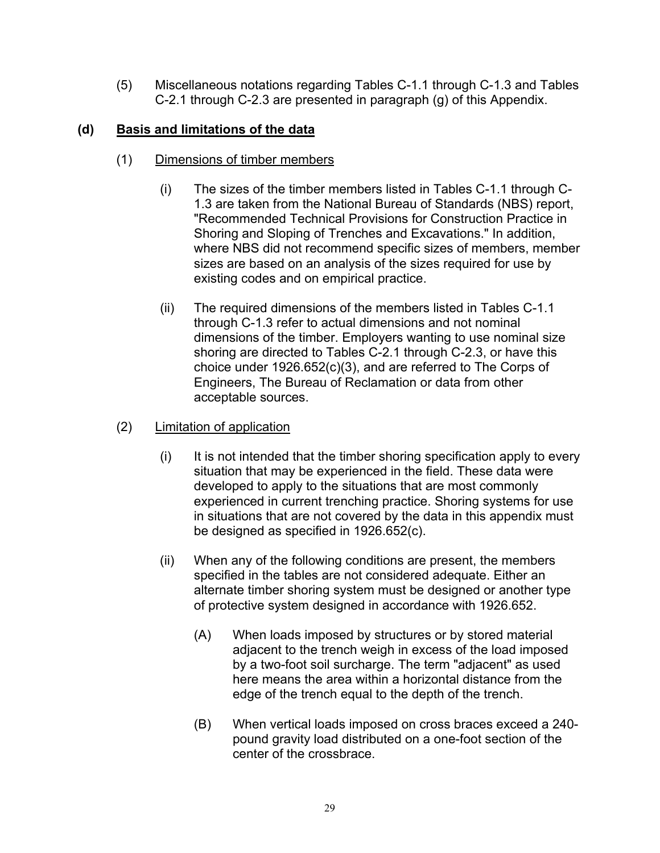(5) Miscellaneous notations regarding Tables C-1.1 through C-1.3 and Tables C-2.1 through C-2.3 are presented in paragraph (g) of this Appendix.

# **(d) Basis and limitations of the data**

- (1) Dimensions of timber members
	- (i) The sizes of the timber members listed in Tables C-1.1 through C-1.3 are taken from the National Bureau of Standards (NBS) report, "Recommended Technical Provisions for Construction Practice in Shoring and Sloping of Trenches and Excavations." In addition, where NBS did not recommend specific sizes of members, member sizes are based on an analysis of the sizes required for use by existing codes and on empirical practice.
	- (ii) The required dimensions of the members listed in Tables C-1.1 through C-1.3 refer to actual dimensions and not nominal dimensions of the timber. Employers wanting to use nominal size shoring are directed to Tables C-2.1 through C-2.3, or have this choice under 1926.652(c)(3), and are referred to The Corps of Engineers, The Bureau of Reclamation or data from other acceptable sources.

## (2) Limitation of application

- (i) It is not intended that the timber shoring specification apply to every situation that may be experienced in the field. These data were developed to apply to the situations that are most commonly experienced in current trenching practice. Shoring systems for use in situations that are not covered by the data in this appendix must be designed as specified in 1926.652(c).
- (ii) When any of the following conditions are present, the members specified in the tables are not considered adequate. Either an alternate timber shoring system must be designed or another type of protective system designed in accordance with 1926.652.
	- (A) When loads imposed by structures or by stored material adjacent to the trench weigh in excess of the load imposed by a two-foot soil surcharge. The term "adjacent" as used here means the area within a horizontal distance from the edge of the trench equal to the depth of the trench.
	- (B) When vertical loads imposed on cross braces exceed a 240 pound gravity load distributed on a one-foot section of the center of the crossbrace.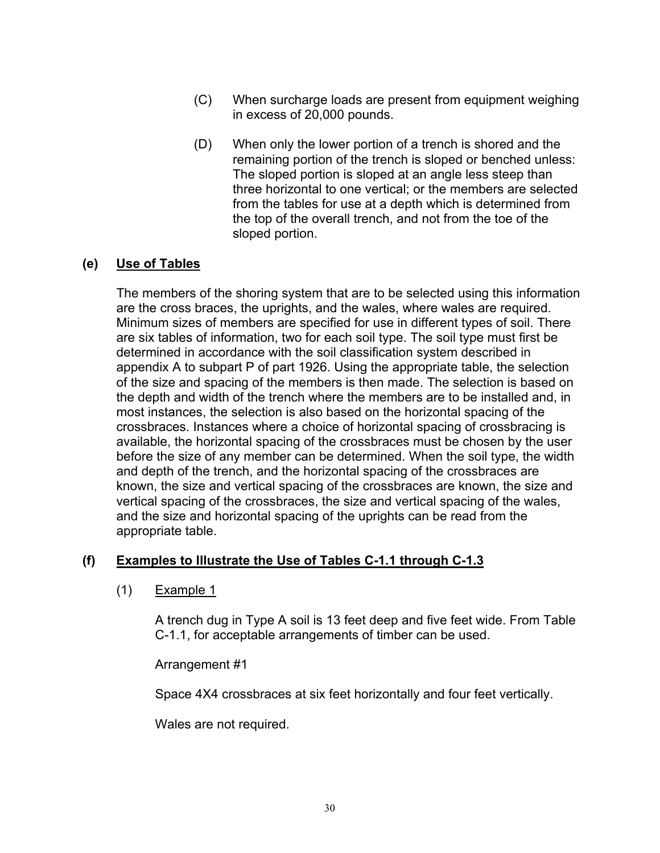- (C) When surcharge loads are present from equipment weighing in excess of 20,000 pounds.
- (D) When only the lower portion of a trench is shored and the remaining portion of the trench is sloped or benched unless: The sloped portion is sloped at an angle less steep than three horizontal to one vertical; or the members are selected from the tables for use at a depth which is determined from the top of the overall trench, and not from the toe of the sloped portion.

## **(e) Use of Tables**

The members of the shoring system that are to be selected using this information are the cross braces, the uprights, and the wales, where wales are required. Minimum sizes of members are specified for use in different types of soil. There are six tables of information, two for each soil type. The soil type must first be determined in accordance with the soil classification system described in appendix A to subpart P of part 1926. Using the appropriate table, the selection of the size and spacing of the members is then made. The selection is based on the depth and width of the trench where the members are to be installed and, in most instances, the selection is also based on the horizontal spacing of the crossbraces. Instances where a choice of horizontal spacing of crossbracing is available, the horizontal spacing of the crossbraces must be chosen by the user before the size of any member can be determined. When the soil type, the width and depth of the trench, and the horizontal spacing of the crossbraces are known, the size and vertical spacing of the crossbraces are known, the size and vertical spacing of the crossbraces, the size and vertical spacing of the wales, and the size and horizontal spacing of the uprights can be read from the appropriate table.

## **(f) Examples to Illustrate the Use of Tables C-1.1 through C-1.3**

(1) Example 1

A trench dug in Type A soil is 13 feet deep and five feet wide. From Table C-1.1, for acceptable arrangements of timber can be used.

### Arrangement #1

Space 4X4 crossbraces at six feet horizontally and four feet vertically.

Wales are not required.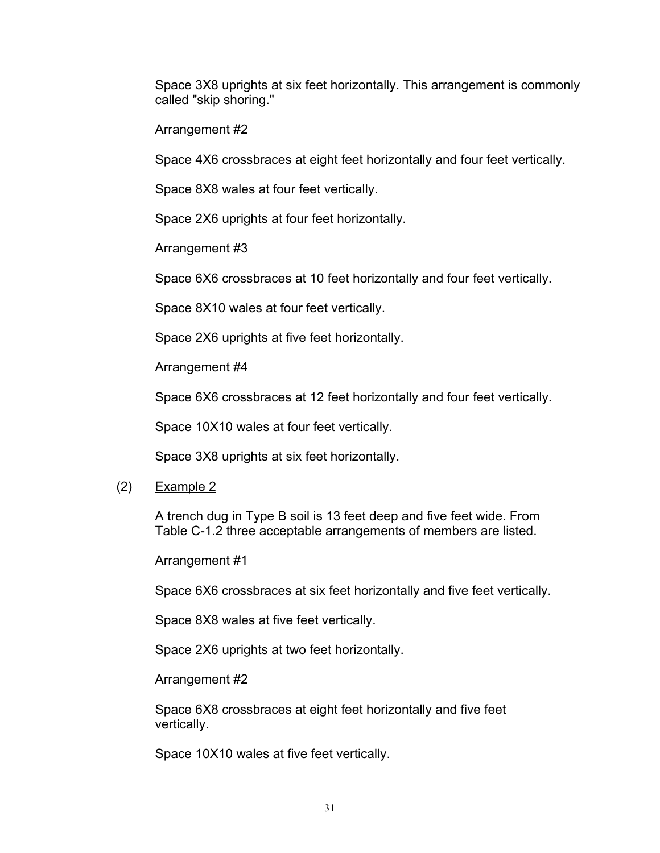Space 3X8 uprights at six feet horizontally. This arrangement is commonly called "skip shoring."

Arrangement #2

Space 4X6 crossbraces at eight feet horizontally and four feet vertically.

Space 8X8 wales at four feet vertically.

Space 2X6 uprights at four feet horizontally.

Arrangement #3

Space 6X6 crossbraces at 10 feet horizontally and four feet vertically.

Space 8X10 wales at four feet vertically.

Space 2X6 uprights at five feet horizontally.

Arrangement #4

Space 6X6 crossbraces at 12 feet horizontally and four feet vertically.

Space 10X10 wales at four feet vertically.

Space 3X8 uprights at six feet horizontally.

(2) Example 2

A trench dug in Type B soil is 13 feet deep and five feet wide. From Table C-1.2 three acceptable arrangements of members are listed.

Arrangement #1

Space 6X6 crossbraces at six feet horizontally and five feet vertically.

Space 8X8 wales at five feet vertically.

Space 2X6 uprights at two feet horizontally.

Arrangement #2

Space 6X8 crossbraces at eight feet horizontally and five feet vertically.

Space 10X10 wales at five feet vertically.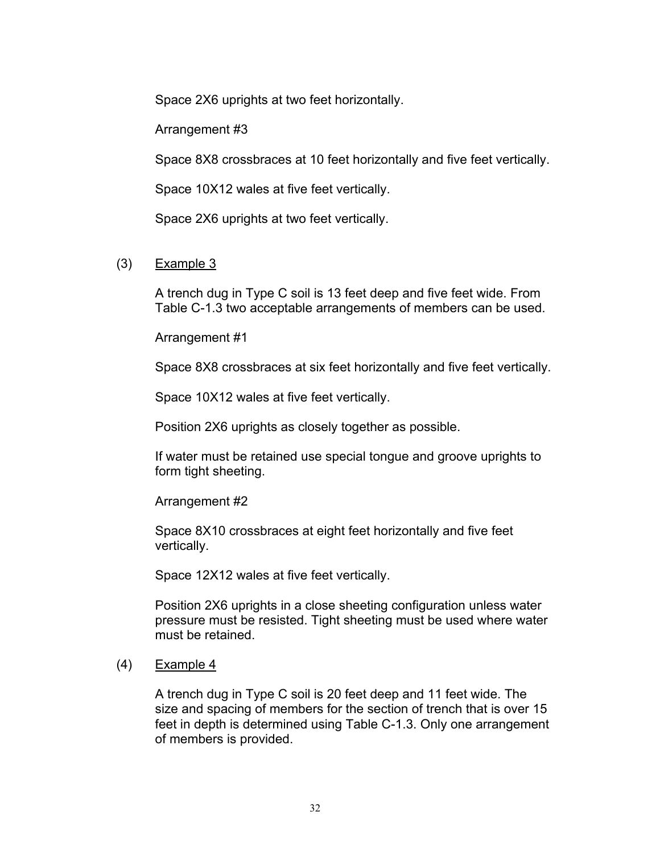Space 2X6 uprights at two feet horizontally.

Arrangement #3

Space 8X8 crossbraces at 10 feet horizontally and five feet vertically.

Space 10X12 wales at five feet vertically.

Space 2X6 uprights at two feet vertically.

## (3) Example 3

A trench dug in Type C soil is 13 feet deep and five feet wide. From Table C-1.3 two acceptable arrangements of members can be used.

Arrangement #1

Space 8X8 crossbraces at six feet horizontally and five feet vertically.

Space 10X12 wales at five feet vertically.

Position 2X6 uprights as closely together as possible.

If water must be retained use special tongue and groove uprights to form tight sheeting.

Arrangement #2

Space 8X10 crossbraces at eight feet horizontally and five feet vertically.

Space 12X12 wales at five feet vertically.

Position 2X6 uprights in a close sheeting configuration unless water pressure must be resisted. Tight sheeting must be used where water must be retained.

(4) Example 4

A trench dug in Type C soil is 20 feet deep and 11 feet wide. The size and spacing of members for the section of trench that is over 15 feet in depth is determined using Table C-1.3. Only one arrangement of members is provided.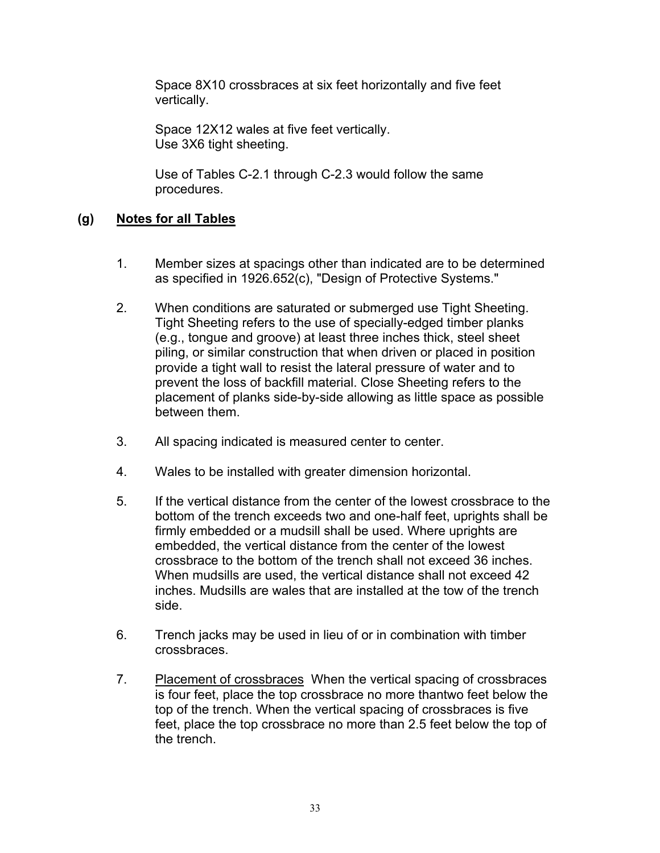Space 8X10 crossbraces at six feet horizontally and five feet vertically.

Space 12X12 wales at five feet vertically. Use 3X6 tight sheeting.

Use of Tables C-2.1 through C-2.3 would follow the same procedures.

# **(g) Notes for all Tables**

- 1. Member sizes at spacings other than indicated are to be determined as specified in 1926.652(c), "Design of Protective Systems."
- 2. When conditions are saturated or submerged use Tight Sheeting. Tight Sheeting refers to the use of specially-edged timber planks (e.g., tongue and groove) at least three inches thick, steel sheet piling, or similar construction that when driven or placed in position provide a tight wall to resist the lateral pressure of water and to prevent the loss of backfill material. Close Sheeting refers to the placement of planks side-by-side allowing as little space as possible between them.
- 3. All spacing indicated is measured center to center.
- 4. Wales to be installed with greater dimension horizontal.
- 5. If the vertical distance from the center of the lowest crossbrace to the bottom of the trench exceeds two and one-half feet, uprights shall be firmly embedded or a mudsill shall be used. Where uprights are embedded, the vertical distance from the center of the lowest crossbrace to the bottom of the trench shall not exceed 36 inches. When mudsills are used, the vertical distance shall not exceed 42 inches. Mudsills are wales that are installed at the tow of the trench side.
- 6. Trench jacks may be used in lieu of or in combination with timber crossbraces.
- 7. Placement of crossbraces When the vertical spacing of crossbraces is four feet, place the top crossbrace no more thantwo feet below the top of the trench. When the vertical spacing of crossbraces is five feet, place the top crossbrace no more than 2.5 feet below the top of the trench.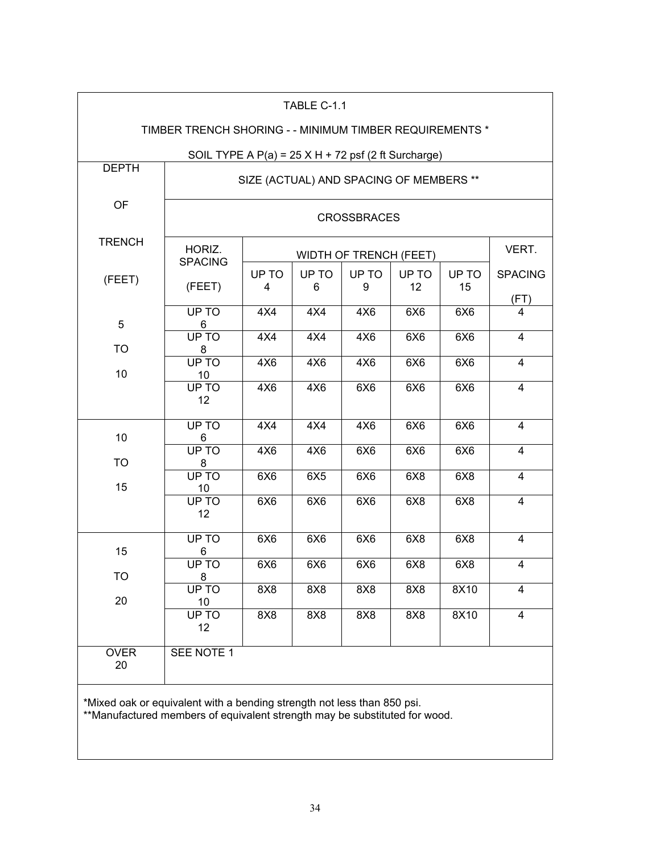| TABLE C-1.1                                                             |                                                         |                                         |            |                        |             |             |                        |  |  |  |
|-------------------------------------------------------------------------|---------------------------------------------------------|-----------------------------------------|------------|------------------------|-------------|-------------|------------------------|--|--|--|
|                                                                         | TIMBER TRENCH SHORING - - MINIMUM TIMBER REQUIREMENTS * |                                         |            |                        |             |             |                        |  |  |  |
| SOIL TYPE A $P(a) = 25 X H + 72 psf(2 ft Surface)$                      |                                                         |                                         |            |                        |             |             |                        |  |  |  |
| <b>DEPTH</b>                                                            |                                                         | SIZE (ACTUAL) AND SPACING OF MEMBERS ** |            |                        |             |             |                        |  |  |  |
| <b>OF</b>                                                               |                                                         |                                         |            |                        |             |             |                        |  |  |  |
|                                                                         |                                                         | <b>CROSSBRACES</b>                      |            |                        |             |             |                        |  |  |  |
| <b>TRENCH</b>                                                           | HORIZ.                                                  |                                         |            | WIDTH OF TRENCH (FEET) |             |             | VERT.                  |  |  |  |
| (FEET)                                                                  | <b>SPACING</b><br>(FEET)                                | UP TO<br>4                              | UP TO<br>6 | UP TO<br>9             | UP TO<br>12 | UP TO<br>15 | <b>SPACING</b>         |  |  |  |
|                                                                         | UP TO                                                   | 4X4                                     | 4X4        | 4X6                    | 6X6         | 6X6         | (FT)<br>$\overline{4}$ |  |  |  |
| 5                                                                       | 6<br>UP TO                                              | 4X4                                     | 4X4        | 4X6                    | 6X6         | 6X6         | 4                      |  |  |  |
| <b>TO</b>                                                               | 8                                                       |                                         |            |                        |             |             |                        |  |  |  |
| 10                                                                      | UP TO<br>10                                             | 4X6                                     | 4X6        | 4X6                    | 6X6         | 6X6         | 4                      |  |  |  |
|                                                                         | UP TO<br>12                                             | 4X6                                     | 4X6        | 6X6                    | 6X6         | 6X6         | 4                      |  |  |  |
| 10                                                                      | UP TO<br>6                                              | $\overline{4}$ X4                       | 4X4        | 4X6                    | 6X6         | 6X6         | 4                      |  |  |  |
| <b>TO</b>                                                               | UP TO<br>8                                              | 4X6                                     | 4X6        | 6X6                    | 6X6         | 6X6         | $\overline{4}$         |  |  |  |
| 15                                                                      | UP TO<br>10                                             | 6X6                                     | 6X5        | 6X6                    | 6X8         | 6X8         | $\overline{4}$         |  |  |  |
|                                                                         | UP TO<br>12                                             | 6X6                                     | 6X6        | 6X6                    | 6X8         | 6X8         | 4                      |  |  |  |
| 15                                                                      | UP TO<br>6                                              | 6X6                                     | 6X6        | 6X6                    | 6X8         | 6X8         | $\overline{4}$         |  |  |  |
| TO                                                                      | UPTO<br>8                                               | 6X6                                     | 6X6        | 6X6                    | 6X8         | 6X8         | 4                      |  |  |  |
| 20                                                                      | UPTO<br>10                                              | 8X8                                     | 8X8        | 8X8                    | 8X8         | 8X10        | 4                      |  |  |  |
|                                                                         | UP TO<br>12                                             | 8X8                                     | 8X8        | 8X8                    | 8X8         | 8X10        | 4                      |  |  |  |
| <b>OVER</b><br>20                                                       | SEE NOTE 1                                              |                                         |            |                        |             |             |                        |  |  |  |
| *Mixed oak or equivalent with a bending strength not less than 850 psi. |                                                         |                                         |            |                        |             |             |                        |  |  |  |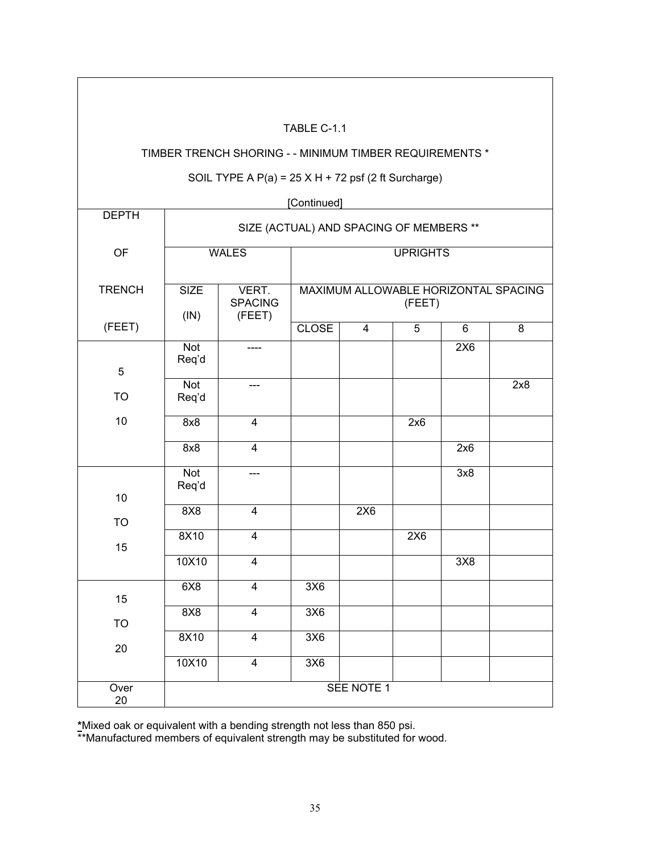TABLE C-1.1 TIMBER TRENCH SHORING - - MINIMUM TIMBER REQUIREMENTS \* SOIL TYPE A  $P(a) = 25 X H + 72 psf (2 ft Surface)$ [Continued] SIZE (ACTUAL) AND SPACING OF MEMBERS \*\* WALES **UPRIGHTS** MAXIMUM ALLOWABLE HORIZONTAL SPACING (FEET) DEPTH OF **TRENCH** (FEET) **SIZE** (IN) VERT. SPACING (FEET)  $CLOSE$  4 5 6 8 Not Req'd ---- 2X6 Not Req'd --- 2x8 8x8 | 4 | | | 2x6 5 TO 10 8x8 | 4 | | | | | | 2x6 Not Req'd --- 3x8 8X8 4 2X6 8X10 | 4 | | | | 2X6 10 TO 15 10X10 | 4 | | | | | | 3X8 6X8 4 3X6 8X8 4 3X6 8X10 4 3X6 15 TO 20 10X10 4 3X6 **Over** 20 SEE NOTE 1

**\***Mixed oak or equivalent with a bending strength not less than 850 psi.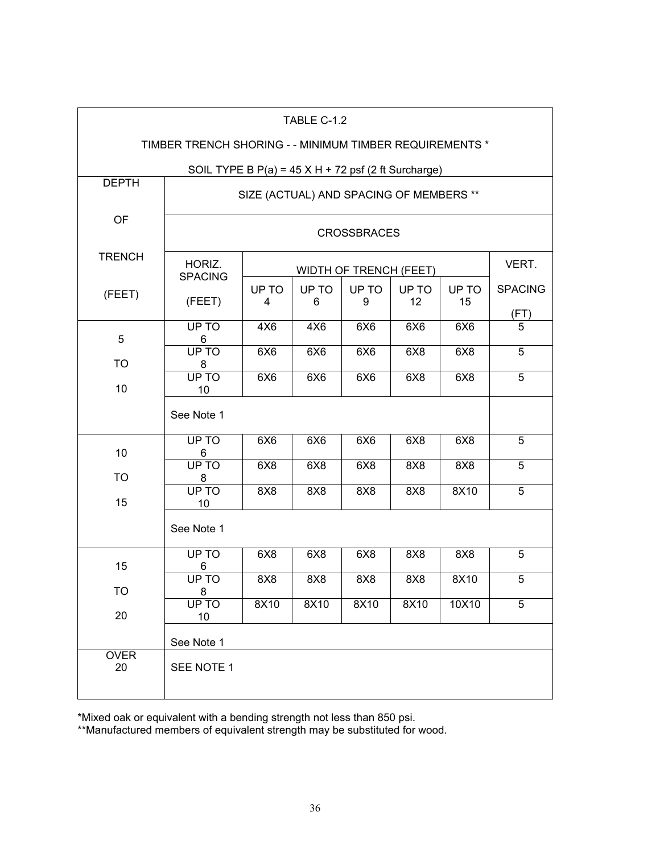| TABLE C-1.2                                             |                                                    |                                         |                 |                        |             |             |                               |  |  |  |
|---------------------------------------------------------|----------------------------------------------------|-----------------------------------------|-----------------|------------------------|-------------|-------------|-------------------------------|--|--|--|
| TIMBER TRENCH SHORING - - MINIMUM TIMBER REQUIREMENTS * |                                                    |                                         |                 |                        |             |             |                               |  |  |  |
|                                                         | SOIL TYPE B $P(a) = 45 X H + 72 psf(2 ft Surface)$ |                                         |                 |                        |             |             |                               |  |  |  |
| <b>DEPTH</b>                                            |                                                    | SIZE (ACTUAL) AND SPACING OF MEMBERS ** |                 |                        |             |             |                               |  |  |  |
| <b>OF</b>                                               |                                                    | <b>CROSSBRACES</b>                      |                 |                        |             |             |                               |  |  |  |
| <b>TRENCH</b>                                           | HORIZ.<br><b>SPACING</b>                           |                                         |                 | WIDTH OF TRENCH (FEET) |             |             | VERT.                         |  |  |  |
| (FEET)                                                  | (FEET)                                             | UP TO<br>4                              | UP TO<br>6      | UP TO<br>9             | UP TO<br>12 | UP TO<br>15 | <b>SPACING</b>                |  |  |  |
| 5                                                       | UP TO<br>6                                         | 4X6                                     | 4X6             | 6X6                    | 6X6         | 6X6         | <u>(FT)</u><br>$\overline{5}$ |  |  |  |
| <b>TO</b>                                               | UP TO<br>8                                         | 6X6                                     | 6X6             | 6X6                    | 6X8         | 6X8         | 5                             |  |  |  |
| 10                                                      | UP TO<br>10                                        | 6X6                                     | 6X6             | 6X6                    | 6X8         | 6X8         | 5                             |  |  |  |
|                                                         | See Note 1                                         |                                         |                 |                        |             |             |                               |  |  |  |
| 10                                                      | UP TO<br>6                                         | 6X6                                     | 6X6             | 6X6                    | 6X8         | 6X8         | $\overline{5}$                |  |  |  |
| <b>TO</b>                                               | UP TO<br>8                                         | 6X8                                     | 6X8             | 6X <sub>8</sub>        | 8X8         | 8X8         | 5                             |  |  |  |
| 15                                                      | UP TO<br>10                                        | 8X8                                     | 8X8             | 8X8                    | 8X8         | 8X10        | 5                             |  |  |  |
|                                                         | See Note 1                                         |                                         |                 |                        |             |             |                               |  |  |  |
| 15                                                      | UP TO<br>6                                         | 6X <sub>8</sub>                         | 6X <sub>8</sub> | 6X <sub>8</sub>        | 8X8         | 8X8         | 5                             |  |  |  |
| ТO                                                      | UP TO<br>8                                         | 8X8                                     | 8X8             | 8X8                    | 8X8         | 8X10        | $\overline{5}$                |  |  |  |
| 20                                                      | UP TO<br>10                                        | 8X10                                    | 8X10            | 8X10                   | 8X10        | 10X10       | 5                             |  |  |  |
|                                                         | See Note 1                                         |                                         |                 |                        |             |             |                               |  |  |  |
| <b>OVER</b><br>20                                       | SEE NOTE 1                                         |                                         |                 |                        |             |             |                               |  |  |  |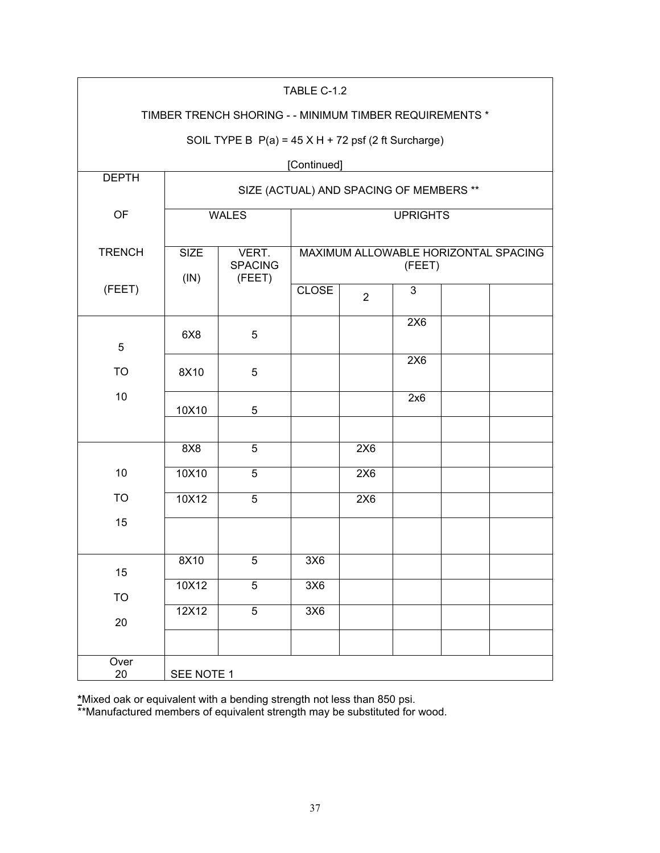|               | TABLE C-1.2                                             |                                   |                                         |                |                 |  |                                      |  |  |  |
|---------------|---------------------------------------------------------|-----------------------------------|-----------------------------------------|----------------|-----------------|--|--------------------------------------|--|--|--|
|               | TIMBER TRENCH SHORING - - MINIMUM TIMBER REQUIREMENTS * |                                   |                                         |                |                 |  |                                      |  |  |  |
|               | SOIL TYPE B $P(a) = 45 X H + 72 psf (2 ft Surface)$     |                                   |                                         |                |                 |  |                                      |  |  |  |
| [Continued]   |                                                         |                                   |                                         |                |                 |  |                                      |  |  |  |
| <b>DEPTH</b>  |                                                         |                                   | SIZE (ACTUAL) AND SPACING OF MEMBERS ** |                |                 |  |                                      |  |  |  |
| OF            |                                                         | <b>WALES</b>                      |                                         |                | <b>UPRIGHTS</b> |  |                                      |  |  |  |
| <b>TRENCH</b> | <b>SIZE</b><br>(IN)                                     | VERT.<br><b>SPACING</b><br>(FEET) |                                         |                | (FEET)          |  | MAXIMUM ALLOWABLE HORIZONTAL SPACING |  |  |  |
| (FEET)        |                                                         |                                   | <b>CLOSE</b>                            | $\overline{2}$ | $\mathfrak{Z}$  |  |                                      |  |  |  |
| $\sqrt{5}$    | 6X8                                                     | 5                                 |                                         |                | 2X6             |  |                                      |  |  |  |
| <b>TO</b>     | 8X10                                                    | 5                                 |                                         |                | 2X6             |  |                                      |  |  |  |
| 10            | 10X10                                                   | 5                                 |                                         |                | 2x6             |  |                                      |  |  |  |
|               | 8X8                                                     | 5                                 |                                         | 2X6            |                 |  |                                      |  |  |  |
| 10            | 10X10                                                   | $\overline{5}$                    |                                         | 2X6            |                 |  |                                      |  |  |  |
| <b>TO</b>     | 10X12                                                   | 5                                 |                                         | 2X6            |                 |  |                                      |  |  |  |
| 15            |                                                         |                                   |                                         |                |                 |  |                                      |  |  |  |
| 15            | 8X10                                                    | 5                                 | 3X6                                     |                |                 |  |                                      |  |  |  |
| <b>TO</b>     | 10X12                                                   | $\sqrt{5}$                        | 3X6                                     |                |                 |  |                                      |  |  |  |
| 20            | $\overline{12X12}$                                      | $\overline{5}$                    | 3X6                                     |                |                 |  |                                      |  |  |  |
|               |                                                         |                                   |                                         |                |                 |  |                                      |  |  |  |
| Over<br>20    | SEE NOTE 1                                              |                                   |                                         |                |                 |  |                                      |  |  |  |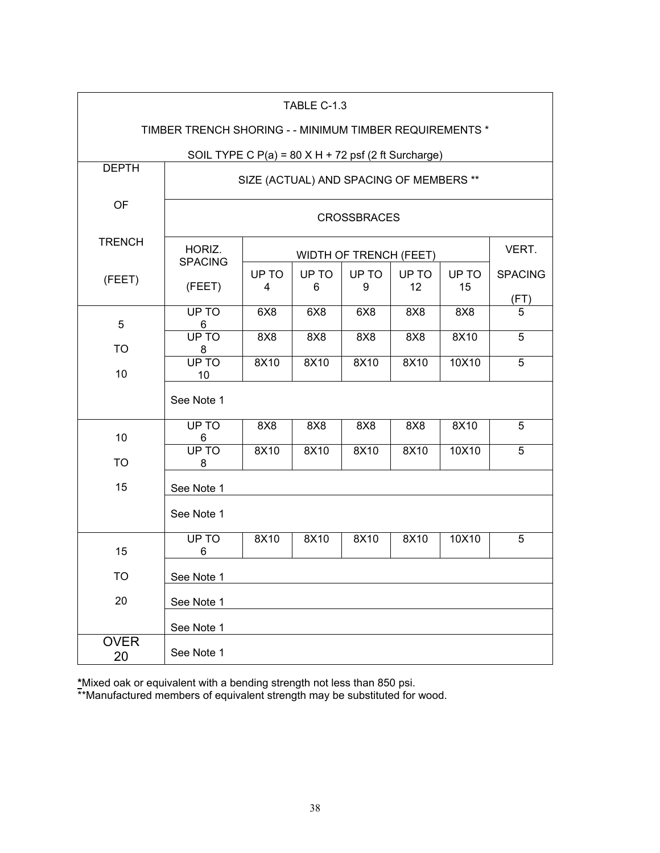|                                                            | TABLE C-1.3                                             |                                         |                 |            |             |             |                        |  |  |  |  |
|------------------------------------------------------------|---------------------------------------------------------|-----------------------------------------|-----------------|------------|-------------|-------------|------------------------|--|--|--|--|
|                                                            | TIMBER TRENCH SHORING - - MINIMUM TIMBER REQUIREMENTS * |                                         |                 |            |             |             |                        |  |  |  |  |
| SOIL TYPE C $P(a) = 80 \times H + 72$ psf (2 ft Surcharge) |                                                         |                                         |                 |            |             |             |                        |  |  |  |  |
| <b>DEPTH</b>                                               |                                                         | SIZE (ACTUAL) AND SPACING OF MEMBERS ** |                 |            |             |             |                        |  |  |  |  |
| <b>OF</b>                                                  | <b>CROSSBRACES</b>                                      |                                         |                 |            |             |             |                        |  |  |  |  |
| <b>TRENCH</b>                                              | HORIZ.<br><b>SPACING</b>                                | VERT.<br>WIDTH OF TRENCH (FEET)         |                 |            |             |             |                        |  |  |  |  |
| (FEET)                                                     | (FEET)                                                  | UP TO<br>4                              | UP TO<br>6      | UP TO<br>9 | UP TO<br>12 | UP TO<br>15 | <b>SPACING</b><br>(FT) |  |  |  |  |
| 5                                                          | UP TO<br>6                                              | 6X8                                     | 6X <sub>8</sub> | 6X8        | 8X8         | 8X8         | 5                      |  |  |  |  |
| <b>TO</b>                                                  | UP TO<br>8                                              | 8X8                                     | 8X8             | 8X8        | 8X8         | 8X10        | 5                      |  |  |  |  |
| 10                                                         | UP TO<br>10                                             | 8X10                                    | 8X10            | 8X10       | 8X10        | 10X10       | 5                      |  |  |  |  |
|                                                            | See Note 1                                              |                                         |                 |            |             |             |                        |  |  |  |  |
| 10                                                         | UP TO<br>6                                              | 8X8                                     | 8X8             | 8X8        | 8X8         | 8X10        | 5                      |  |  |  |  |
| <b>TO</b>                                                  | UP TO<br>8                                              | 8X10                                    | 8X10            | 8X10       | 8X10        | 10X10       | $\overline{5}$         |  |  |  |  |
| 15                                                         | See Note 1                                              |                                         |                 |            |             |             |                        |  |  |  |  |
|                                                            | See Note 1                                              |                                         |                 |            |             |             |                        |  |  |  |  |
| 15                                                         | UP TO<br>6                                              | 8X10                                    | 8X10            | 8X10       | 8X10        | 10X10       | 5                      |  |  |  |  |
| <b>TO</b>                                                  | See Note 1                                              |                                         |                 |            |             |             |                        |  |  |  |  |
| 20                                                         | See Note 1                                              |                                         |                 |            |             |             |                        |  |  |  |  |
|                                                            | See Note 1                                              |                                         |                 |            |             |             |                        |  |  |  |  |
| <b>OVER</b><br>20                                          | See Note 1                                              |                                         |                 |            |             |             |                        |  |  |  |  |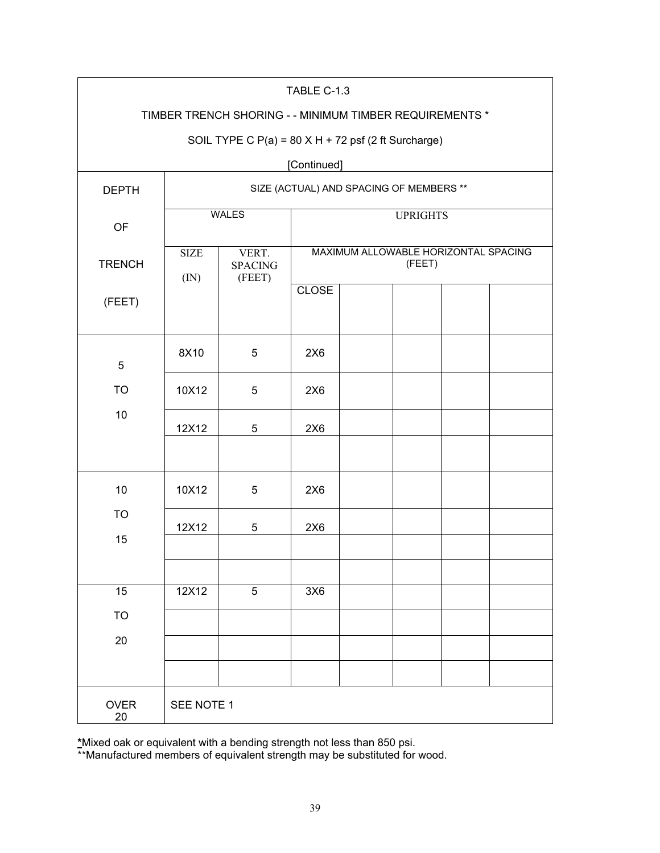| TABLE C-1.3       |                                                                   |                                         |              |                                      |                 |  |  |  |  |  |  |
|-------------------|-------------------------------------------------------------------|-----------------------------------------|--------------|--------------------------------------|-----------------|--|--|--|--|--|--|
|                   | TIMBER TRENCH SHORING - - MINIMUM TIMBER REQUIREMENTS *           |                                         |              |                                      |                 |  |  |  |  |  |  |
|                   | SOIL TYPE C $P(a) = 80 \times H + 72$ psf (2 ft Surcharge)        |                                         |              |                                      |                 |  |  |  |  |  |  |
| [Continued]       |                                                                   |                                         |              |                                      |                 |  |  |  |  |  |  |
| <b>DEPTH</b>      |                                                                   | SIZE (ACTUAL) AND SPACING OF MEMBERS ** |              |                                      |                 |  |  |  |  |  |  |
| OF                |                                                                   | <b>WALES</b>                            |              |                                      | <b>UPRIGHTS</b> |  |  |  |  |  |  |
| <b>TRENCH</b>     | VERT.<br><b>SIZE</b><br><b>SPACING</b><br>$(\text{IN})$<br>(FEET) |                                         |              | MAXIMUM ALLOWABLE HORIZONTAL SPACING | (FEET)          |  |  |  |  |  |  |
| (FEET)            |                                                                   |                                         | <b>CLOSE</b> |                                      |                 |  |  |  |  |  |  |
| 5                 | 8X10                                                              | 5                                       | 2X6          |                                      |                 |  |  |  |  |  |  |
| <b>TO</b>         | 10X12                                                             | 5                                       | 2X6          |                                      |                 |  |  |  |  |  |  |
| 10                | 12X12                                                             | 5                                       | 2X6          |                                      |                 |  |  |  |  |  |  |
|                   |                                                                   |                                         |              |                                      |                 |  |  |  |  |  |  |
| 10                | 10X12                                                             | 5                                       | 2X6          |                                      |                 |  |  |  |  |  |  |
| <b>TO</b>         | 12X12                                                             | 5                                       | 2X6          |                                      |                 |  |  |  |  |  |  |
| 15                |                                                                   |                                         |              |                                      |                 |  |  |  |  |  |  |
| $\overline{15}$   | 12X12                                                             | 5                                       | 3X6          |                                      |                 |  |  |  |  |  |  |
| <b>TO</b>         |                                                                   |                                         |              |                                      |                 |  |  |  |  |  |  |
| 20                |                                                                   |                                         |              |                                      |                 |  |  |  |  |  |  |
|                   |                                                                   |                                         |              |                                      |                 |  |  |  |  |  |  |
| <b>OVER</b><br>20 | SEE NOTE 1                                                        |                                         |              |                                      |                 |  |  |  |  |  |  |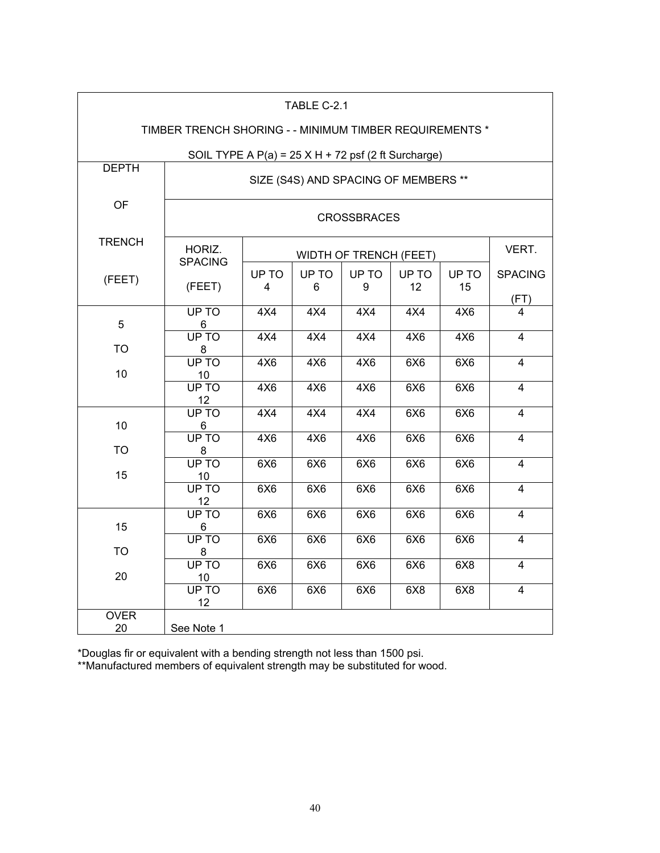| TABLE C-2.1       |                                                         |                                      |            |                        |                          |                  |                         |  |  |  |
|-------------------|---------------------------------------------------------|--------------------------------------|------------|------------------------|--------------------------|------------------|-------------------------|--|--|--|
|                   | TIMBER TRENCH SHORING - - MINIMUM TIMBER REQUIREMENTS * |                                      |            |                        |                          |                  |                         |  |  |  |
|                   | SOIL TYPE A $P(a) = 25 X H + 72 psf(2 ft Surface)$      |                                      |            |                        |                          |                  |                         |  |  |  |
| <b>DEPTH</b>      |                                                         | SIZE (S4S) AND SPACING OF MEMBERS ** |            |                        |                          |                  |                         |  |  |  |
| <b>OF</b>         | <b>CROSSBRACES</b>                                      |                                      |            |                        |                          |                  |                         |  |  |  |
| <b>TRENCH</b>     | HORIZ.<br><b>SPACING</b>                                |                                      |            | WIDTH OF TRENCH (FEET) |                          |                  | VERT.                   |  |  |  |
| (FEET)            | (FEET)                                                  | UP TO<br>4                           | UP TO<br>6 | UP TO<br>9             | UP TO<br>12 <sup>2</sup> | UP TO<br>15      | <b>SPACING</b><br>(FT)  |  |  |  |
| 5                 | UP TO<br>6                                              | 4X4                                  | 4X4        | 4X4                    | 4X4                      | 4X6              | 4                       |  |  |  |
| <b>TO</b>         | UP TO<br>8                                              | 4X4                                  | 4X4        | 4X4                    | 4X6                      | 4X6              | $\overline{4}$          |  |  |  |
| 10                | UP TO<br>10                                             | 4X6                                  | 4X6        | 4X6                    | 6X6                      | 6X6              | 4                       |  |  |  |
|                   | UP TO<br>12                                             | 4X6                                  | 4X6        | 4X6                    | 6X6                      | 6X6              | 4                       |  |  |  |
| 10                | UP TO<br>6                                              | 4X4                                  | 4X4        | 4X4                    | 6X6                      | 6X6              | $\overline{4}$          |  |  |  |
| <b>TO</b>         | UP TO<br>8                                              | 4X6                                  | 4X6        | 4X6                    | 6X6                      | 6X6              | $\overline{4}$          |  |  |  |
| 15                | UP TO<br>10                                             | 6X6                                  | 6X6        | 6X6                    | 6X6                      | 6X6              | $\overline{\mathbf{4}}$ |  |  |  |
|                   | UP TO<br>12                                             | 6X6                                  | 6X6        | 6X6                    | 6X6                      | 6X6              | $\overline{4}$          |  |  |  |
| 15                | UP TO<br>6                                              | 6X6                                  | 6X6        | 6X6                    | $\overline{6X6}$         | $\overline{6X6}$ | $\overline{4}$          |  |  |  |
| <b>TO</b>         | UP TO<br>8                                              | 6X6                                  | 6X6        | 6X6                    | 6X6                      | 6X6              | $\overline{4}$          |  |  |  |
| 20                | UP TO                                                   | 6X6                                  | 6X6        | 6X6                    | 6X6                      | 6X8              | $\overline{4}$          |  |  |  |
|                   | 10<br>UP TO<br>12                                       | 6X6                                  | 6X6        | 6X6                    | 6X8                      | 6X8              | $\overline{4}$          |  |  |  |
| <b>OVER</b><br>20 | See Note 1                                              |                                      |            |                        |                          |                  |                         |  |  |  |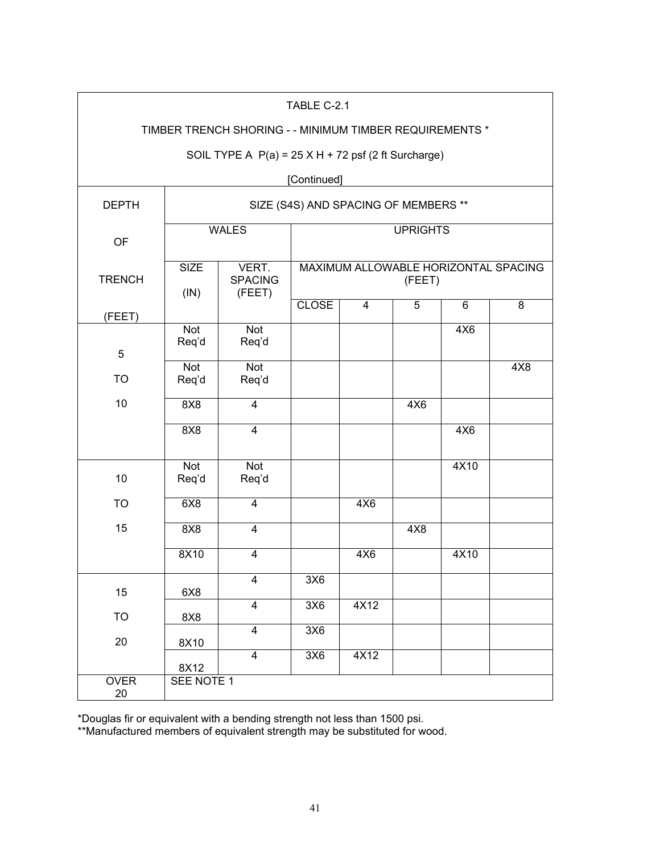| TABLE C-2.1           |                 |                                                            |              |                |                 |                |                                      |  |  |  |
|-----------------------|-----------------|------------------------------------------------------------|--------------|----------------|-----------------|----------------|--------------------------------------|--|--|--|
|                       |                 | TIMBER TRENCH SHORING - - MINIMUM TIMBER REQUIREMENTS *    |              |                |                 |                |                                      |  |  |  |
|                       |                 | SOIL TYPE A $P(a) = 25 \times H + 72$ psf (2 ft Surcharge) |              |                |                 |                |                                      |  |  |  |
| [Continued]           |                 |                                                            |              |                |                 |                |                                      |  |  |  |
| <b>DEPTH</b>          |                 | SIZE (S4S) AND SPACING OF MEMBERS **                       |              |                |                 |                |                                      |  |  |  |
| <b>OF</b>             |                 | <b>WALES</b>                                               |              |                | <b>UPRIGHTS</b> |                |                                      |  |  |  |
| <b>TRENCH</b>         | <b>SIZE</b>     | VERT.<br><b>SPACING</b><br>(FEET)                          |              |                | (FEET)          |                | MAXIMUM ALLOWABLE HORIZONTAL SPACING |  |  |  |
| (FEET)                | (IN)            |                                                            | <b>CLOSE</b> | $\overline{4}$ | 5               | $6\phantom{1}$ | $\overline{8}$                       |  |  |  |
| 5                     | Not<br>Req'd    | Not<br>Req'd                                               |              |                |                 | 4X6            |                                      |  |  |  |
| <b>TO</b>             | Not<br>Req'd    | Not<br>Req'd                                               |              |                |                 |                | 4X8                                  |  |  |  |
| 10                    | 8X8             | $\overline{4}$                                             |              |                | 4X6             |                |                                      |  |  |  |
|                       | 8X8             | $\overline{4}$                                             |              |                |                 | 4X6            |                                      |  |  |  |
| 10                    | Not<br>Req'd    | Not<br>Req'd                                               |              |                |                 | 4X10           |                                      |  |  |  |
| <b>TO</b>             | 6X <sub>8</sub> | 4                                                          |              | 4X6            |                 |                |                                      |  |  |  |
| 15                    | 8X8             | 4                                                          |              |                | 4X8             |                |                                      |  |  |  |
|                       | 8X10            | $\overline{4}$                                             |              | 4X6            |                 | 4X10           |                                      |  |  |  |
| 15                    | 6X8             | 4                                                          | 3X6          |                |                 |                |                                      |  |  |  |
| <b>TO</b>             | 8X8             | $\overline{4}$                                             | 3X6          | 4X12           |                 |                |                                      |  |  |  |
| 20                    | 8X10            | $\overline{4}$                                             | 3X6          |                |                 |                |                                      |  |  |  |
|                       | 8X12            | $\overline{\mathbf{4}}$                                    | 3X6          | 4X12           |                 |                |                                      |  |  |  |
| <b>OVER</b><br>$20\,$ | SEE NOTE 1      |                                                            |              |                |                 |                |                                      |  |  |  |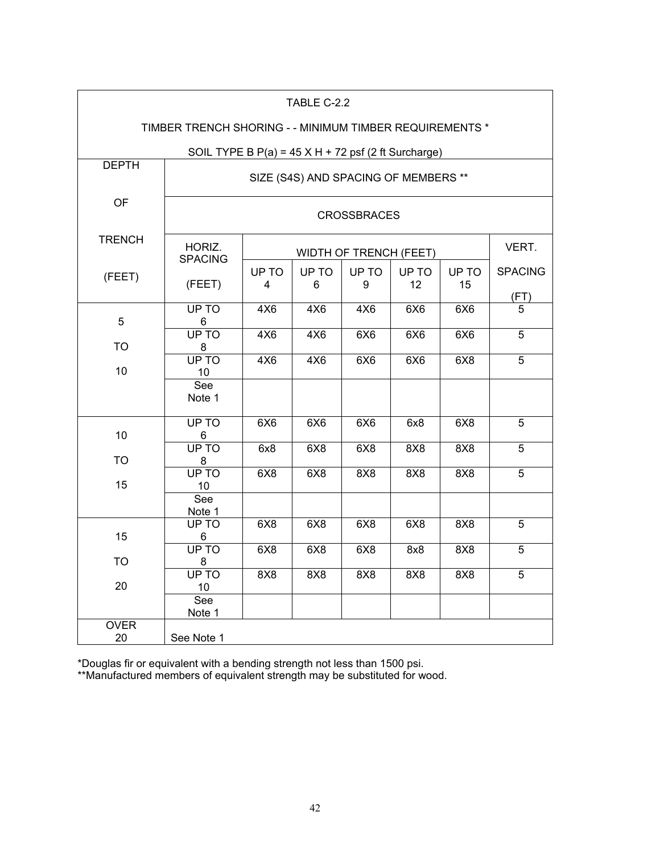|                   | TABLE C-2.2                                             |                                      |            |                        |                 |                 |                        |  |  |  |
|-------------------|---------------------------------------------------------|--------------------------------------|------------|------------------------|-----------------|-----------------|------------------------|--|--|--|
|                   | TIMBER TRENCH SHORING - - MINIMUM TIMBER REQUIREMENTS * |                                      |            |                        |                 |                 |                        |  |  |  |
|                   | SOIL TYPE B $P(a) = 45 X H + 72 psf (2 ft Surface)$     |                                      |            |                        |                 |                 |                        |  |  |  |
| <b>DEPTH</b>      |                                                         | SIZE (S4S) AND SPACING OF MEMBERS ** |            |                        |                 |                 |                        |  |  |  |
| <b>OF</b>         |                                                         | <b>CROSSBRACES</b>                   |            |                        |                 |                 |                        |  |  |  |
| <b>TRENCH</b>     | HORIZ.<br><b>SPACING</b>                                |                                      |            | WIDTH OF TRENCH (FEET) |                 |                 | VERT.                  |  |  |  |
| (FEET)            | (FEET)                                                  | UP TO<br>4                           | UP TO<br>6 | UP TO<br>9             | UP TO<br>12     | UP TO<br>15     | <b>SPACING</b><br>(FT) |  |  |  |
| $\overline{5}$    | UP TO<br>6                                              | $\overline{4}$ $\times$ 6            | 4X6        | 4X6                    | 6X6             | 6X6             | 5                      |  |  |  |
| <b>TO</b>         | UP TO<br>8                                              | 4X6                                  | 4X6        | 6X6                    | 6X6             | 6X6             | 5                      |  |  |  |
| 10                | UP TO<br>10                                             | 4X6                                  | 4X6        | 6X6                    | 6X6             | 6X <sub>8</sub> | $\overline{5}$         |  |  |  |
|                   | See<br>Note 1                                           |                                      |            |                        |                 |                 |                        |  |  |  |
| 10                | UP TO<br>6                                              | 6X6                                  | 6X6        | 6X6                    | 6x8             | 6X8             | $\overline{5}$         |  |  |  |
| <b>TO</b>         | UP TO<br>8                                              | 6x8                                  | 6X8        | 6X8                    | 8X8             | 8X8             | 5                      |  |  |  |
| 15                | UP TO<br>10                                             | 6X8                                  | 6X8        | 8X8                    | 8X8             | 8X8             | $\overline{5}$         |  |  |  |
|                   | See<br>Note 1                                           |                                      |            |                        |                 |                 |                        |  |  |  |
| 15                | UP TO<br>6                                              | 6X8                                  | 6X8        | 6X8                    | 6X <sub>8</sub> | 8X8             | 5                      |  |  |  |
| <b>TO</b>         | UP TO<br>8                                              | 6X8                                  | 6X8        | 6X8                    | 8x8             | 8X8             | $\overline{5}$         |  |  |  |
| 20                | UP TO<br>10                                             | 8X8                                  | 8X8        | 8X8                    | 8X8             | 8X8             | 5                      |  |  |  |
|                   | See<br>Note 1                                           |                                      |            |                        |                 |                 |                        |  |  |  |
| <b>OVER</b><br>20 | See Note 1                                              |                                      |            |                        |                 |                 |                        |  |  |  |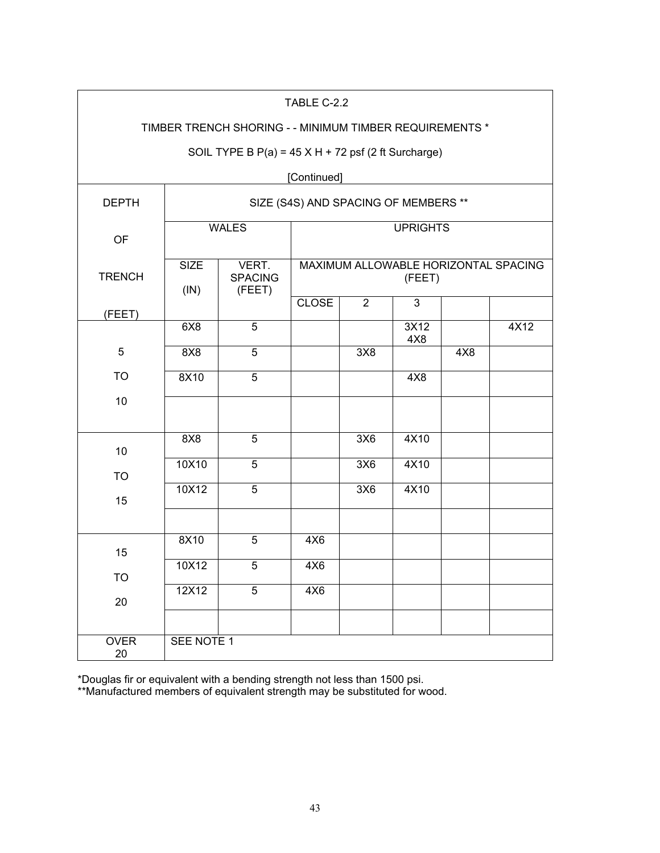|                                                            | TABLE C-2.2         |                                                         |              |                |                 |     |                                      |  |  |  |
|------------------------------------------------------------|---------------------|---------------------------------------------------------|--------------|----------------|-----------------|-----|--------------------------------------|--|--|--|
|                                                            |                     | TIMBER TRENCH SHORING - - MINIMUM TIMBER REQUIREMENTS * |              |                |                 |     |                                      |  |  |  |
| SOIL TYPE B $P(a) = 45 \times H + 72$ psf (2 ft Surcharge) |                     |                                                         |              |                |                 |     |                                      |  |  |  |
|                                                            | [Continued]         |                                                         |              |                |                 |     |                                      |  |  |  |
| <b>DEPTH</b>                                               |                     | SIZE (S4S) AND SPACING OF MEMBERS **                    |              |                |                 |     |                                      |  |  |  |
| <b>OF</b>                                                  |                     | <b>WALES</b>                                            |              |                | <b>UPRIGHTS</b> |     |                                      |  |  |  |
| <b>TRENCH</b>                                              | <b>SIZE</b><br>(IN) | VERT.<br><b>SPACING</b><br>(FEET)                       |              |                | (FEET)          |     | MAXIMUM ALLOWABLE HORIZONTAL SPACING |  |  |  |
| (FEET)                                                     |                     |                                                         | <b>CLOSE</b> | $\overline{2}$ | 3               |     |                                      |  |  |  |
|                                                            | 6X8                 | $\overline{5}$                                          |              |                | 3X12<br>4X8     |     | 4X12                                 |  |  |  |
| 5                                                          | 8X8                 | 5                                                       |              | 3X8            |                 | 4X8 |                                      |  |  |  |
| <b>TO</b>                                                  | 8X10                | 5                                                       |              |                | 4X8             |     |                                      |  |  |  |
| 10                                                         |                     |                                                         |              |                |                 |     |                                      |  |  |  |
| 10                                                         | 8X8                 | 5                                                       |              | 3X6            | 4X10            |     |                                      |  |  |  |
| <b>TO</b>                                                  | 10X10               | $\overline{5}$                                          |              | 3X6            | 4X10            |     |                                      |  |  |  |
| 15                                                         | 10X12               | 5                                                       |              | 3X6            | 4X10            |     |                                      |  |  |  |
|                                                            |                     |                                                         |              |                |                 |     |                                      |  |  |  |
| 15                                                         | 8X10                | 5                                                       | 4X6          |                |                 |     |                                      |  |  |  |
| <b>TO</b>                                                  | 10X12               | 5                                                       | 4X6          |                |                 |     |                                      |  |  |  |
| 20                                                         | 12X12               | 5                                                       | 4X6          |                |                 |     |                                      |  |  |  |
|                                                            |                     |                                                         |              |                |                 |     |                                      |  |  |  |
| <b>OVER</b><br>20                                          | SEE NOTE 1          |                                                         |              |                |                 |     |                                      |  |  |  |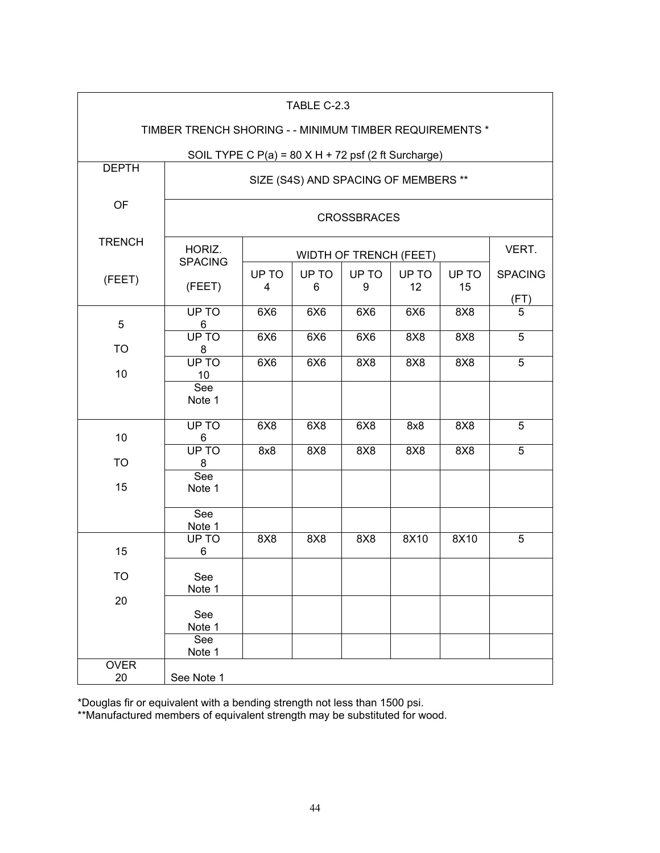|                   | TABLE C-2.3                                                |                                      |            |                        |             |             |                |  |  |  |  |
|-------------------|------------------------------------------------------------|--------------------------------------|------------|------------------------|-------------|-------------|----------------|--|--|--|--|
|                   | TIMBER TRENCH SHORING - - MINIMUM TIMBER REQUIREMENTS *    |                                      |            |                        |             |             |                |  |  |  |  |
|                   | SOIL TYPE C $P(a) = 80 \times H + 72$ psf (2 ft Surcharge) |                                      |            |                        |             |             |                |  |  |  |  |
| <b>DEPTH</b>      |                                                            | SIZE (S4S) AND SPACING OF MEMBERS ** |            |                        |             |             |                |  |  |  |  |
| OF                | <b>CROSSBRACES</b>                                         |                                      |            |                        |             |             |                |  |  |  |  |
| <b>TRENCH</b>     | HORIZ.<br><b>SPACING</b>                                   |                                      |            | WIDTH OF TRENCH (FEET) |             |             | VERT.          |  |  |  |  |
| (FEET)            | (FEET)                                                     | UP TO<br>4                           | UP TO<br>6 | UP TO<br>9             | UP TO<br>12 | UP TO<br>15 | <b>SPACING</b> |  |  |  |  |
| 5                 | UP TO<br>6                                                 | 6X6                                  | 6X6        | 6X6                    | 6X6         | 8X8         | (FT)<br>5      |  |  |  |  |
| <b>TO</b>         | UP TO<br>8                                                 | 6X6                                  | 6X6        | 6X6                    | 8X8         | 8X8         | 5              |  |  |  |  |
| 10                | UP TO<br>10                                                | 6X6                                  | 6X6        | 8X8                    | 8X8         | 8X8         | 5              |  |  |  |  |
|                   | See<br>Note 1                                              |                                      |            |                        |             |             |                |  |  |  |  |
| 10                | UP TO<br>6                                                 | 6X8                                  | 6X8        | 6X <sub>8</sub>        | 8x8         | 8X8         | 5              |  |  |  |  |
| <b>TO</b>         | UP TO<br>8                                                 | 8x8                                  | 8X8        | 8X8                    | 8X8         | 8X8         | 5              |  |  |  |  |
| 15                | See<br>Note 1                                              |                                      |            |                        |             |             |                |  |  |  |  |
|                   | See<br>Note 1                                              |                                      |            |                        |             |             |                |  |  |  |  |
| 15                | UP TO<br>6                                                 | 8X8                                  | 8X8        | 8X8                    | 8X10        | 8X10        | 5              |  |  |  |  |
| ТO                | See<br>Note 1                                              |                                      |            |                        |             |             |                |  |  |  |  |
| 20                | See<br>Note 1                                              |                                      |            |                        |             |             |                |  |  |  |  |
|                   | See<br>Note 1                                              |                                      |            |                        |             |             |                |  |  |  |  |
| <b>OVER</b><br>20 | See Note 1                                                 |                                      |            |                        |             |             |                |  |  |  |  |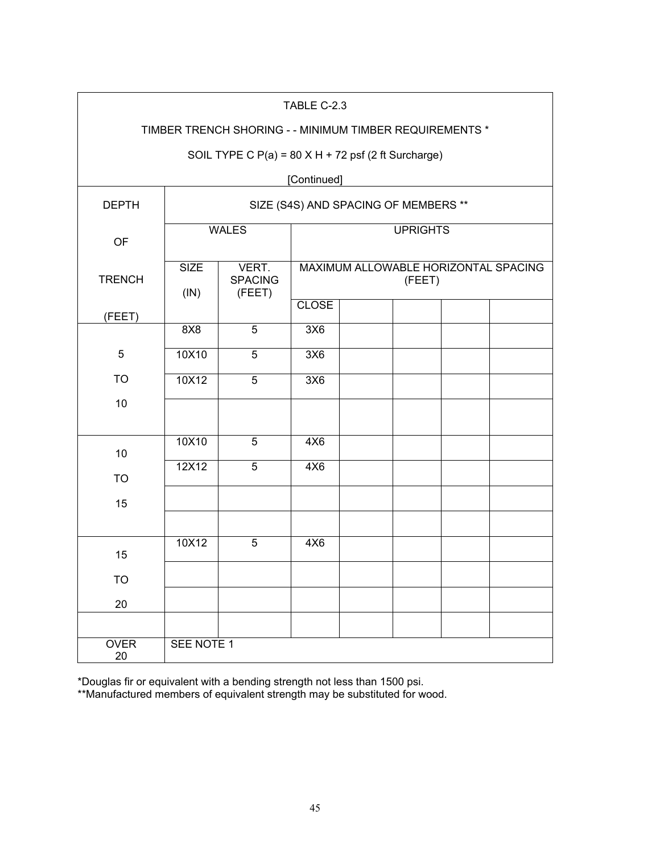| TABLE C-2.3                                                |                     |                                                         |              |  |                 |  |                                      |  |  |  |
|------------------------------------------------------------|---------------------|---------------------------------------------------------|--------------|--|-----------------|--|--------------------------------------|--|--|--|
|                                                            |                     | TIMBER TRENCH SHORING - - MINIMUM TIMBER REQUIREMENTS * |              |  |                 |  |                                      |  |  |  |
| SOIL TYPE C $P(a) = 80 \times H + 72$ psf (2 ft Surcharge) |                     |                                                         |              |  |                 |  |                                      |  |  |  |
|                                                            | [Continued]         |                                                         |              |  |                 |  |                                      |  |  |  |
| <b>DEPTH</b>                                               |                     | SIZE (S4S) AND SPACING OF MEMBERS **                    |              |  |                 |  |                                      |  |  |  |
| OF                                                         |                     | <b>WALES</b>                                            |              |  | <b>UPRIGHTS</b> |  |                                      |  |  |  |
| <b>TRENCH</b>                                              | <b>SIZE</b><br>(IN) | VERT.<br><b>SPACING</b><br>(FEET)                       |              |  | (FEET)          |  | MAXIMUM ALLOWABLE HORIZONTAL SPACING |  |  |  |
| (FEET)                                                     |                     |                                                         | <b>CLOSE</b> |  |                 |  |                                      |  |  |  |
|                                                            | 8X8                 | 5                                                       | 3X6          |  |                 |  |                                      |  |  |  |
| 5                                                          | 10X10               | 5                                                       | 3X6          |  |                 |  |                                      |  |  |  |
| <b>TO</b>                                                  | 10X12               | 5                                                       | 3X6          |  |                 |  |                                      |  |  |  |
| 10                                                         |                     |                                                         |              |  |                 |  |                                      |  |  |  |
| 10                                                         | 10X10               | 5                                                       | 4X6          |  |                 |  |                                      |  |  |  |
| <b>TO</b>                                                  | 12X12               | $\overline{5}$                                          | 4X6          |  |                 |  |                                      |  |  |  |
| 15                                                         |                     |                                                         |              |  |                 |  |                                      |  |  |  |
|                                                            |                     |                                                         |              |  |                 |  |                                      |  |  |  |
| 15                                                         | 10X12               | 5                                                       | 4X6          |  |                 |  |                                      |  |  |  |
| <b>TO</b>                                                  |                     |                                                         |              |  |                 |  |                                      |  |  |  |
| 20                                                         |                     |                                                         |              |  |                 |  |                                      |  |  |  |
|                                                            |                     |                                                         |              |  |                 |  |                                      |  |  |  |
| <b>OVER</b><br>20                                          | SEE NOTE 1          |                                                         |              |  |                 |  |                                      |  |  |  |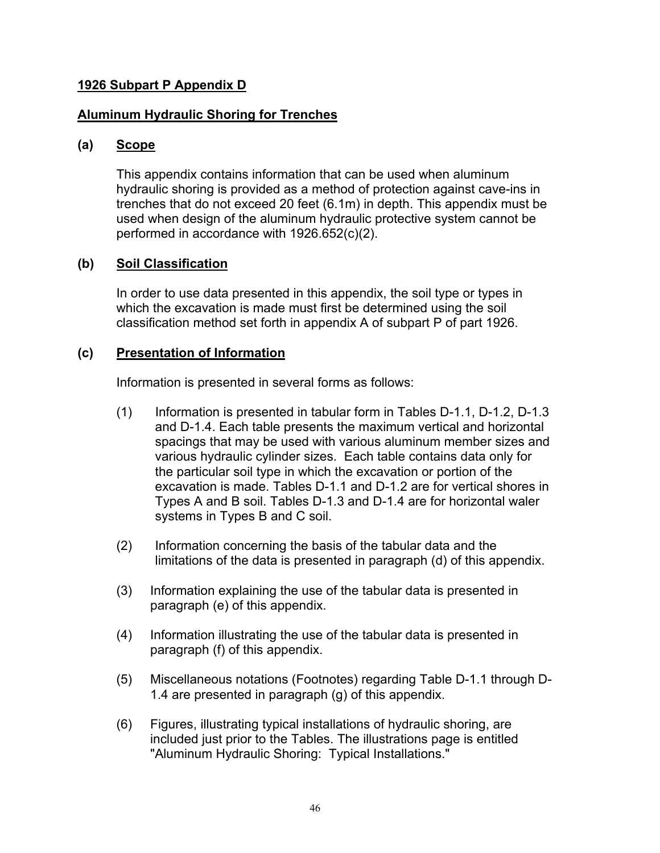### **1926 Subpart P Appendix D**

### **Aluminum Hydraulic Shoring for Trenches**

### **(a) Scope**

This appendix contains information that can be used when aluminum hydraulic shoring is provided as a method of protection against cave-ins in trenches that do not exceed 20 feet (6.1m) in depth. This appendix must be used when design of the aluminum hydraulic protective system cannot be performed in accordance with 1926.652(c)(2).

### **(b) Soil Classification**

In order to use data presented in this appendix, the soil type or types in which the excavation is made must first be determined using the soil classification method set forth in appendix A of subpart P of part 1926.

### **(c) Presentation of Information**

Information is presented in several forms as follows:

- (1) Information is presented in tabular form in Tables D-1.1, D-1.2, D-1.3 and D-1.4. Each table presents the maximum vertical and horizontal spacings that may be used with various aluminum member sizes and various hydraulic cylinder sizes. Each table contains data only for the particular soil type in which the excavation or portion of the excavation is made. Tables D-1.1 and D-1.2 are for vertical shores in Types A and B soil. Tables D-1.3 and D-1.4 are for horizontal waler systems in Types B and C soil.
- (2) Information concerning the basis of the tabular data and the limitations of the data is presented in paragraph (d) of this appendix.
- (3) Information explaining the use of the tabular data is presented in paragraph (e) of this appendix.
- (4) Information illustrating the use of the tabular data is presented in paragraph (f) of this appendix.
- (5) Miscellaneous notations (Footnotes) regarding Table D-1.1 through D-1.4 are presented in paragraph (g) of this appendix.
- (6) Figures, illustrating typical installations of hydraulic shoring, are included just prior to the Tables. The illustrations page is entitled "Aluminum Hydraulic Shoring: Typical Installations."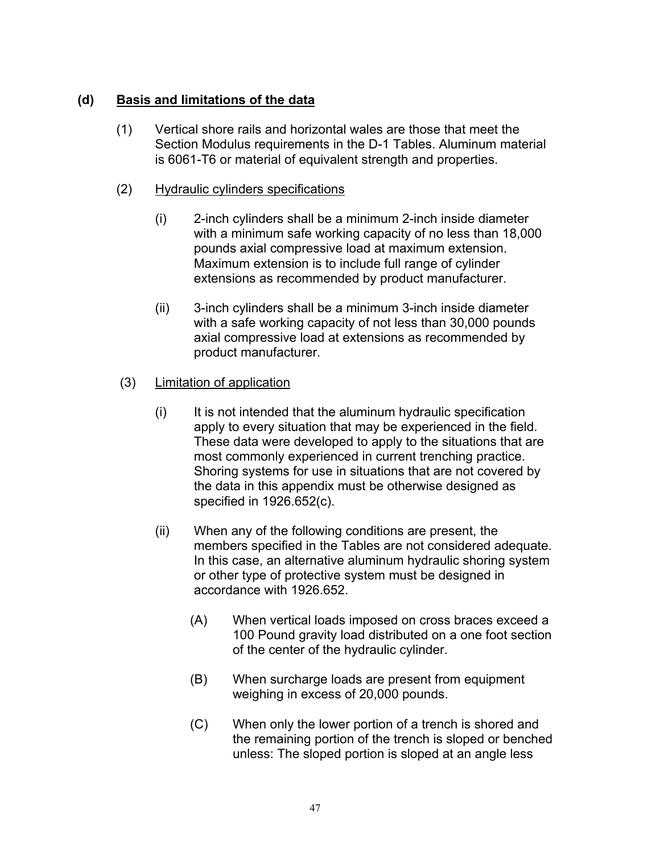## **(d) Basis and limitations of the data**

- (1) Vertical shore rails and horizontal wales are those that meet the Section Modulus requirements in the D-1 Tables. Aluminum material is 6061-T6 or material of equivalent strength and properties.
- (2) Hydraulic cylinders specifications
	- (i) 2-inch cylinders shall be a minimum 2-inch inside diameter with a minimum safe working capacity of no less than 18,000 pounds axial compressive load at maximum extension. Maximum extension is to include full range of cylinder extensions as recommended by product manufacturer.
	- (ii) 3-inch cylinders shall be a minimum 3-inch inside diameter with a safe working capacity of not less than 30,000 pounds axial compressive load at extensions as recommended by product manufacturer.
- (3) Limitation of application
	- (i) It is not intended that the aluminum hydraulic specification apply to every situation that may be experienced in the field. These data were developed to apply to the situations that are most commonly experienced in current trenching practice. Shoring systems for use in situations that are not covered by the data in this appendix must be otherwise designed as specified in 1926.652(c).
	- (ii) When any of the following conditions are present, the members specified in the Tables are not considered adequate. In this case, an alternative aluminum hydraulic shoring system or other type of protective system must be designed in accordance with 1926.652.
		- (A) When vertical loads imposed on cross braces exceed a 100 Pound gravity load distributed on a one foot section of the center of the hydraulic cylinder.
		- (B) When surcharge loads are present from equipment weighing in excess of 20,000 pounds.
		- (C) When only the lower portion of a trench is shored and the remaining portion of the trench is sloped or benched unless: The sloped portion is sloped at an angle less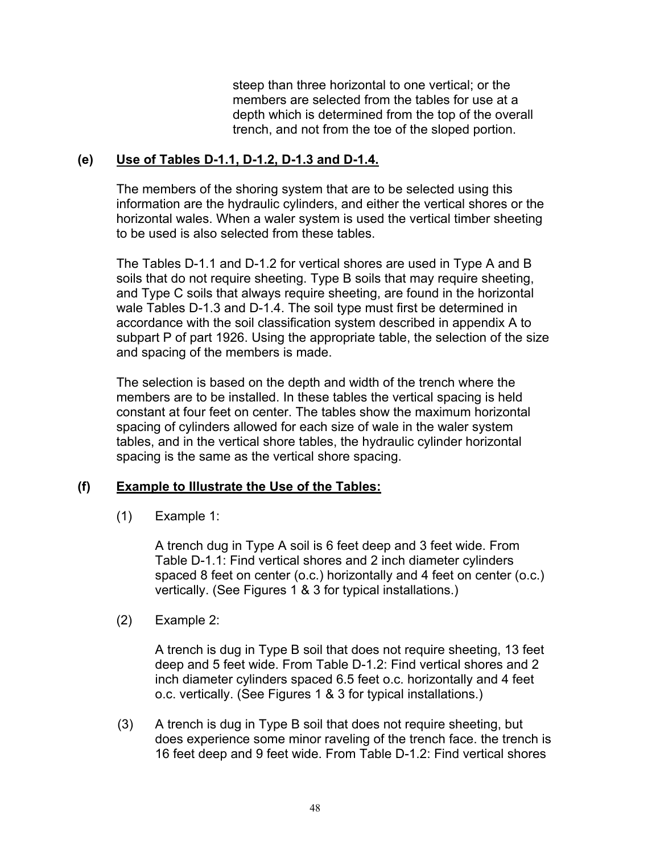steep than three horizontal to one vertical; or the members are selected from the tables for use at a depth which is determined from the top of the overall trench, and not from the toe of the sloped portion.

## **(e) Use of Tables D-1.1, D-1.2, D-1.3 and D-1.4.**

The members of the shoring system that are to be selected using this information are the hydraulic cylinders, and either the vertical shores or the horizontal wales. When a waler system is used the vertical timber sheeting to be used is also selected from these tables.

The Tables D-1.1 and D-1.2 for vertical shores are used in Type A and B soils that do not require sheeting. Type B soils that may require sheeting, and Type C soils that always require sheeting, are found in the horizontal wale Tables D-1.3 and D-1.4. The soil type must first be determined in accordance with the soil classification system described in appendix A to subpart P of part 1926. Using the appropriate table, the selection of the size and spacing of the members is made.

The selection is based on the depth and width of the trench where the members are to be installed. In these tables the vertical spacing is held constant at four feet on center. The tables show the maximum horizontal spacing of cylinders allowed for each size of wale in the waler system tables, and in the vertical shore tables, the hydraulic cylinder horizontal spacing is the same as the vertical shore spacing.

# **(f) Example to Illustrate the Use of the Tables:**

(1) Example 1:

A trench dug in Type A soil is 6 feet deep and 3 feet wide. From Table D-1.1: Find vertical shores and 2 inch diameter cylinders spaced 8 feet on center (o.c.) horizontally and 4 feet on center (o.c.) vertically. (See Figures 1 & 3 for typical installations.)

(2) Example 2:

A trench is dug in Type B soil that does not require sheeting, 13 feet deep and 5 feet wide. From Table D-1.2: Find vertical shores and 2 inch diameter cylinders spaced 6.5 feet o.c. horizontally and 4 feet o.c. vertically. (See Figures 1 & 3 for typical installations.)

 (3) A trench is dug in Type B soil that does not require sheeting, but does experience some minor raveling of the trench face. the trench is 16 feet deep and 9 feet wide. From Table D-1.2: Find vertical shores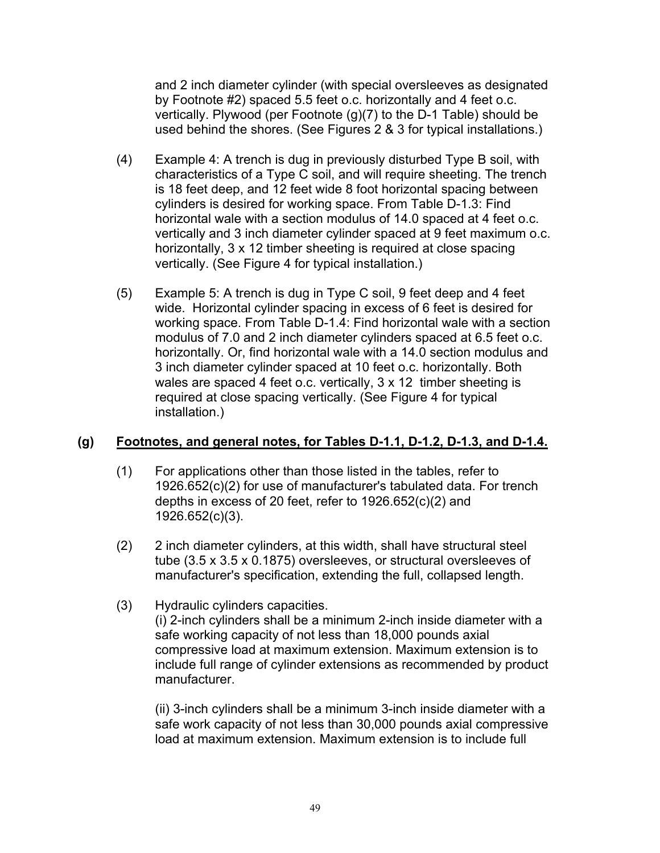and 2 inch diameter cylinder (with special oversleeves as designated by Footnote #2) spaced 5.5 feet o.c. horizontally and 4 feet o.c. vertically. Plywood (per Footnote (g)(7) to the D-1 Table) should be used behind the shores. (See Figures 2 & 3 for typical installations.)

- (4) Example 4: A trench is dug in previously disturbed Type B soil, with characteristics of a Type C soil, and will require sheeting. The trench is 18 feet deep, and 12 feet wide 8 foot horizontal spacing between cylinders is desired for working space. From Table D-1.3: Find horizontal wale with a section modulus of 14.0 spaced at 4 feet o.c. vertically and 3 inch diameter cylinder spaced at 9 feet maximum o.c. horizontally, 3 x 12 timber sheeting is required at close spacing vertically. (See Figure 4 for typical installation.)
- (5) Example 5: A trench is dug in Type C soil, 9 feet deep and 4 feet wide. Horizontal cylinder spacing in excess of 6 feet is desired for working space. From Table D-1.4: Find horizontal wale with a section modulus of 7.0 and 2 inch diameter cylinders spaced at 6.5 feet o.c. horizontally. Or, find horizontal wale with a 14.0 section modulus and 3 inch diameter cylinder spaced at 10 feet o.c. horizontally. Both wales are spaced 4 feet o.c. vertically, 3 x 12 timber sheeting is required at close spacing vertically. (See Figure 4 for typical installation.)

### **(g) Footnotes, and general notes, for Tables D-1.1, D-1.2, D-1.3, and D-1.4.**

- (1) For applications other than those listed in the tables, refer to 1926.652(c)(2) for use of manufacturer's tabulated data. For trench depths in excess of 20 feet, refer to 1926.652(c)(2) and 1926.652(c)(3).
- (2) 2 inch diameter cylinders, at this width, shall have structural steel tube (3.5 x 3.5 x 0.1875) oversleeves, or structural oversleeves of manufacturer's specification, extending the full, collapsed length.
- (3) Hydraulic cylinders capacities. (i) 2-inch cylinders shall be a minimum 2-inch inside diameter with a safe working capacity of not less than 18,000 pounds axial compressive load at maximum extension. Maximum extension is to include full range of cylinder extensions as recommended by product manufacturer.

(ii) 3-inch cylinders shall be a minimum 3-inch inside diameter with a safe work capacity of not less than 30,000 pounds axial compressive load at maximum extension. Maximum extension is to include full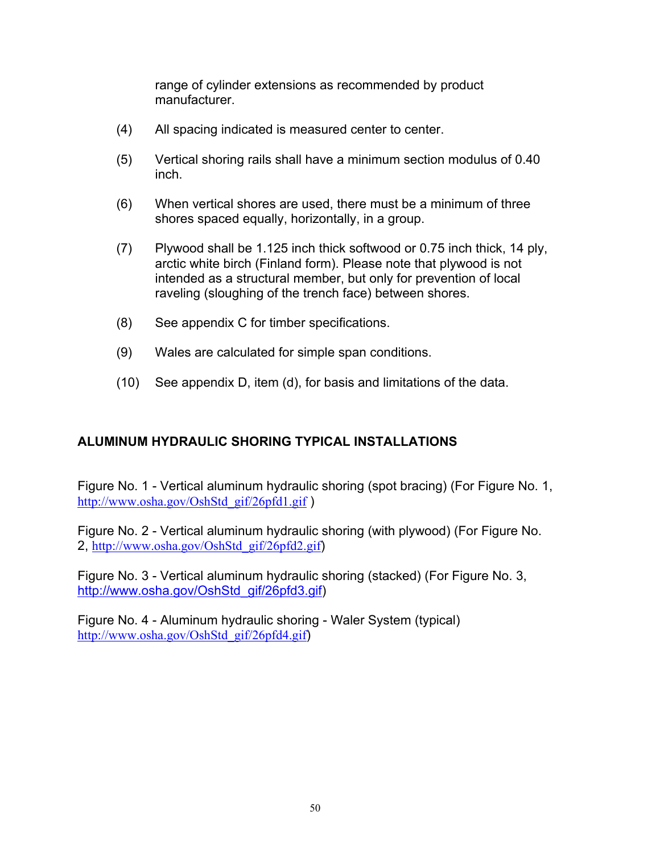range of cylinder extensions as recommended by product manufacturer.

- (4) All spacing indicated is measured center to center.
- (5) Vertical shoring rails shall have a minimum section modulus of 0.40 inch.
- (6) When vertical shores are used, there must be a minimum of three shores spaced equally, horizontally, in a group.
- (7) Plywood shall be 1.125 inch thick softwood or 0.75 inch thick, 14 ply, arctic white birch (Finland form). Please note that plywood is not intended as a structural member, but only for prevention of local raveling (sloughing of the trench face) between shores.
- (8) See appendix C for timber specifications.
- (9) Wales are calculated for simple span conditions.
- (10) See appendix D, item (d), for basis and limitations of the data.

# **ALUMINUM HYDRAULIC SHORING TYPICAL INSTALLATIONS**

Figure No. 1 - Vertical aluminum hydraulic shoring (spot bracing) (For Figure No. 1, [http://www.osha.gov/OshStd\\_gif/26pfd1.gif](http://www.osha.gov/OshStd_gif/26pfd1.gif) )

Figure No. 2 - Vertical aluminum hydraulic shoring (with plywood) (For Figure No. 2, [http://www.osha.gov/OshStd\\_gif/26pfd2.gif](http://www.osha.gov/OshStd_gif/26pfd2.gif))

Figure No. 3 - Vertical aluminum hydraulic shoring (stacked) (For Figure No. 3, [http://www.osha.gov/OshStd\\_gif/26pfd3.gif\)](http://www.osha.gov/OshStd_gif/26pfd3.gif)

Figure No. 4 - Aluminum hydraulic shoring - Waler System (typical) [http://www.osha.gov/OshStd\\_gif/26pfd4.gif](http://www.osha.gov/OshStd_gif/26pfd4.gif))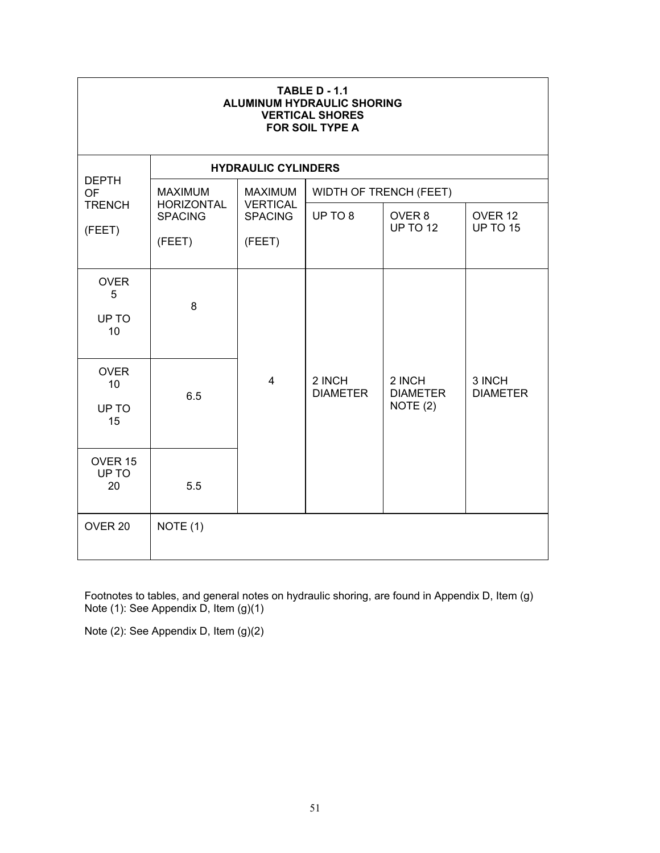| <b>TABLE D - 1.1</b><br><b>ALUMINUM HYDRAULIC SHORING</b><br><b>VERTICAL SHORES</b><br><b>FOR SOIL TYPE A</b> |                                     |                                   |                           |                                         |                            |  |  |  |
|---------------------------------------------------------------------------------------------------------------|-------------------------------------|-----------------------------------|---------------------------|-----------------------------------------|----------------------------|--|--|--|
|                                                                                                               | <b>HYDRAULIC CYLINDERS</b>          |                                   |                           |                                         |                            |  |  |  |
| <b>DEPTH</b><br><b>OF</b>                                                                                     | <b>MAXIMUM</b><br><b>HORIZONTAL</b> | <b>MAXIMUM</b><br><b>VERTICAL</b> |                           | WIDTH OF TRENCH (FEET)                  |                            |  |  |  |
| <b>TRENCH</b><br>(FEET)                                                                                       | <b>SPACING</b><br>(FEET)            | <b>SPACING</b><br>(FEET)          | UP TO 8                   | OVER <sub>8</sub><br><b>UP TO 12</b>    | OVER 12<br><b>UP TO 15</b> |  |  |  |
| <b>OVER</b><br>5<br>UP TO<br>10                                                                               | 8                                   |                                   |                           | 2 INCH<br><b>DIAMETER</b><br>NOTE $(2)$ | 3 INCH<br><b>DIAMETER</b>  |  |  |  |
| <b>OVER</b><br>10<br>UP TO<br>15                                                                              | 6.5                                 | $\overline{4}$                    | 2 INCH<br><b>DIAMETER</b> |                                         |                            |  |  |  |
| OVER 15<br>UP TO<br>20                                                                                        | 5.5                                 |                                   |                           |                                         |                            |  |  |  |
| OVER <sub>20</sub>                                                                                            | NOTE <sub>(1)</sub>                 |                                   |                           |                                         |                            |  |  |  |

Footnotes to tables, and general notes on hydraulic shoring, are found in Appendix D, Item (g) Note (1): See Appendix D, Item (g)(1)

Note (2): See Appendix D, Item (g)(2)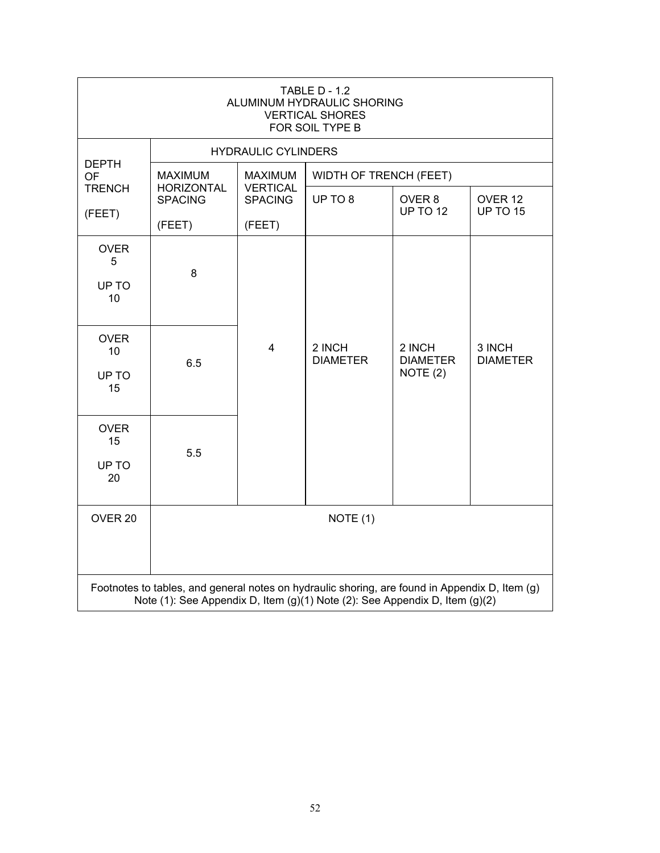| <b>TABLE D - 1.2</b><br>ALUMINUM HYDRAULIC SHORING<br><b>VERTICAL SHORES</b><br>FOR SOIL TYPE B                                                                               |                                     |                                   |                           |                                         |                            |  |  |
|-------------------------------------------------------------------------------------------------------------------------------------------------------------------------------|-------------------------------------|-----------------------------------|---------------------------|-----------------------------------------|----------------------------|--|--|
|                                                                                                                                                                               | <b>HYDRAULIC CYLINDERS</b>          |                                   |                           |                                         |                            |  |  |
| <b>DEPTH</b><br><b>OF</b>                                                                                                                                                     | <b>MAXIMUM</b>                      | <b>MAXIMUM</b>                    | WIDTH OF TRENCH (FEET)    |                                         |                            |  |  |
| <b>TRENCH</b>                                                                                                                                                                 | <b>HORIZONTAL</b><br><b>SPACING</b> | <b>VERTICAL</b><br><b>SPACING</b> | UP TO 8                   | OVER <sub>8</sub>                       | OVER 12<br><b>UP TO 15</b> |  |  |
| (FEET)                                                                                                                                                                        | (FEET)                              | (FEET)                            |                           | <b>UP TO 12</b>                         |                            |  |  |
| <b>OVER</b><br>5<br>UP TO<br>10                                                                                                                                               | 8                                   |                                   | 2 INCH<br><b>DIAMETER</b> | 2 INCH<br><b>DIAMETER</b><br>NOTE $(2)$ | 3 INCH<br><b>DIAMETER</b>  |  |  |
| <b>OVER</b><br>10<br>UP TO<br>15                                                                                                                                              | 6.5                                 | $\overline{4}$                    |                           |                                         |                            |  |  |
| <b>OVER</b><br>15<br>UP TO<br>20                                                                                                                                              | 5.5                                 |                                   |                           |                                         |                            |  |  |
| OVER <sub>20</sub>                                                                                                                                                            | NOTE (1)                            |                                   |                           |                                         |                            |  |  |
| Footnotes to tables, and general notes on hydraulic shoring, are found in Appendix D, Item (g)<br>Note (1): See Appendix D, Item (g)(1) Note (2): See Appendix D, Item (g)(2) |                                     |                                   |                           |                                         |                            |  |  |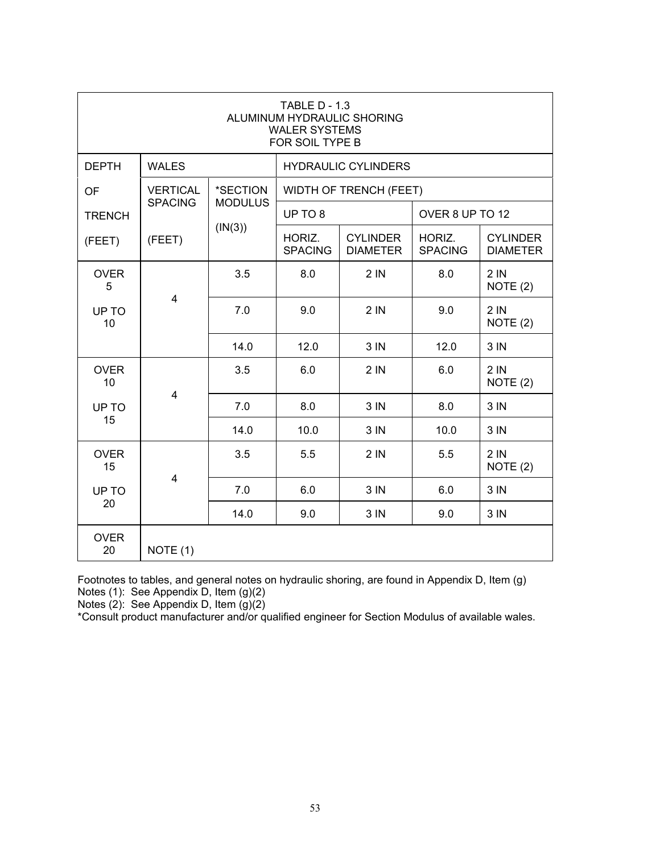| <b>TABLE D - 1.3</b><br>ALUMINUM HYDRAULIC SHORING<br><b>WALER SYSTEMS</b><br>FOR SOIL TYPE B |                     |                |                               |                                    |                          |                                    |  |  |
|-----------------------------------------------------------------------------------------------|---------------------|----------------|-------------------------------|------------------------------------|--------------------------|------------------------------------|--|--|
| <b>DEPTH</b>                                                                                  | <b>WALES</b>        |                | <b>HYDRAULIC CYLINDERS</b>    |                                    |                          |                                    |  |  |
| OF                                                                                            | <b>VERTICAL</b>     | *SECTION       | <b>WIDTH OF TRENCH (FEET)</b> |                                    |                          |                                    |  |  |
| <b>TRENCH</b>                                                                                 | <b>SPACING</b>      | <b>MODULUS</b> | UP TO 8                       |                                    | OVER 8 UP TO 12          |                                    |  |  |
| (FEET)                                                                                        | (FEET)              | (IN(3))        | HORIZ.<br><b>SPACING</b>      | <b>CYLINDER</b><br><b>DIAMETER</b> | HORIZ.<br><b>SPACING</b> | <b>CYLINDER</b><br><b>DIAMETER</b> |  |  |
| <b>OVER</b><br>5                                                                              |                     | 3.5            | 8.0                           | 2IN                                | 8.0                      | 2 <sub>IN</sub><br>NOTE $(2)$      |  |  |
| UP TO<br>10                                                                                   | $\overline{4}$      | 7.0            | 9.0                           | 2IN                                | 9.0                      | 2IN<br>NOTE $(2)$                  |  |  |
|                                                                                               |                     | 14.0           | 12.0                          | 3 IN                               | 12.0                     | 3 IN                               |  |  |
| <b>OVER</b><br>10                                                                             |                     | 3.5            | 6.0                           | 2IN                                | 6.0                      | 2IN<br>NOTE $(2)$                  |  |  |
| UP TO                                                                                         | $\overline{4}$      | 7.0            | 8.0                           | 3 IN                               | 8.0                      | 3 IN                               |  |  |
| 15                                                                                            |                     | 14.0           | 10.0                          | 3 IN                               | 10.0                     | 3 IN                               |  |  |
| <b>OVER</b><br>15                                                                             | $\overline{4}$      | 3.5            | 5.5                           | 2IN                                | 5.5                      | 2IN<br>NOTE $(2)$                  |  |  |
| UP TO<br>20                                                                                   |                     | 7.0            | 6.0                           | 3 IN                               | 6.0                      | 3 IN                               |  |  |
|                                                                                               |                     | 14.0           | 9.0                           | 3 IN                               | 9.0                      | 3 IN                               |  |  |
| <b>OVER</b><br>20                                                                             | NOTE <sub>(1)</sub> |                |                               |                                    |                          |                                    |  |  |

Footnotes to tables, and general notes on hydraulic shoring, are found in Appendix D, Item (g) Notes (1): See Appendix D, Item (g)(2)

Notes (2): See Appendix D, Item (g)(2)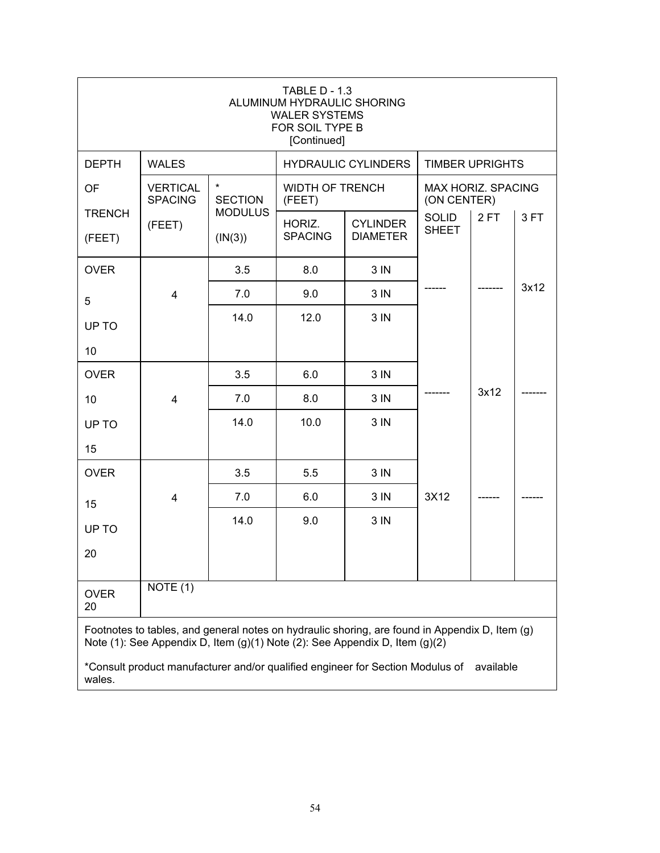| <b>TABLE D - 1.3</b><br>ALUMINUM HYDRAULIC SHORING<br><b>WALER SYSTEMS</b><br>FOR SOIL TYPE B<br>[Continued]                                                                  |                                   |                            |                                  |                                    |                                   |      |      |  |
|-------------------------------------------------------------------------------------------------------------------------------------------------------------------------------|-----------------------------------|----------------------------|----------------------------------|------------------------------------|-----------------------------------|------|------|--|
| <b>DEPTH</b>                                                                                                                                                                  | <b>WALES</b>                      |                            | <b>HYDRAULIC CYLINDERS</b>       |                                    | <b>TIMBER UPRIGHTS</b>            |      |      |  |
| <b>OF</b>                                                                                                                                                                     | <b>VERTICAL</b><br><b>SPACING</b> | $^\star$<br><b>SECTION</b> | <b>WIDTH OF TRENCH</b><br>(FEET) |                                    | MAX HORIZ. SPACING<br>(ON CENTER) |      |      |  |
| <b>TRENCH</b><br>(FEET)                                                                                                                                                       | (FEET)                            | <b>MODULUS</b><br>(IN(3))  | HORIZ.<br><b>SPACING</b>         | <b>CYLINDER</b><br><b>DIAMETER</b> | <b>SOLID</b><br><b>SHEET</b>      | 2FT  | 3FT  |  |
| <b>OVER</b>                                                                                                                                                                   |                                   | 3.5                        | 8.0                              | 3 IN                               |                                   |      |      |  |
| 5                                                                                                                                                                             | $\overline{4}$                    | 7.0                        | 9.0                              | 3 IN                               |                                   |      | 3x12 |  |
| UP TO                                                                                                                                                                         |                                   | 14.0                       | 12.0                             | 3 IN                               |                                   |      |      |  |
| 10                                                                                                                                                                            |                                   |                            |                                  |                                    |                                   |      |      |  |
| <b>OVER</b>                                                                                                                                                                   |                                   | 3.5                        | 6.0                              | 3 IN                               |                                   |      |      |  |
| 10                                                                                                                                                                            | $\overline{4}$                    | 7.0                        | 8.0                              | 3 IN                               |                                   | 3x12 |      |  |
| UP TO                                                                                                                                                                         |                                   | 14.0                       | 10.0                             | 3 IN                               |                                   |      |      |  |
| 15                                                                                                                                                                            |                                   |                            |                                  |                                    |                                   |      |      |  |
| <b>OVER</b>                                                                                                                                                                   |                                   | 3.5                        | 5.5                              | 3 IN                               |                                   |      |      |  |
| 15                                                                                                                                                                            | 4                                 | 7.0                        | 6.0                              | 3 IN                               | 3X12                              |      |      |  |
| UP TO                                                                                                                                                                         |                                   | 14.0                       | 9.0                              | 3 IN                               |                                   |      |      |  |
| 20                                                                                                                                                                            |                                   |                            |                                  |                                    |                                   |      |      |  |
| <b>OVER</b><br>20                                                                                                                                                             | NOTE <sub>(1)</sub>               |                            |                                  |                                    |                                   |      |      |  |
| Footnotes to tables, and general notes on hydraulic shoring, are found in Appendix D, Item (g)<br>Note (1): See Appendix D, Item (g)(1) Note (2): See Appendix D, Item (g)(2) |                                   |                            |                                  |                                    |                                   |      |      |  |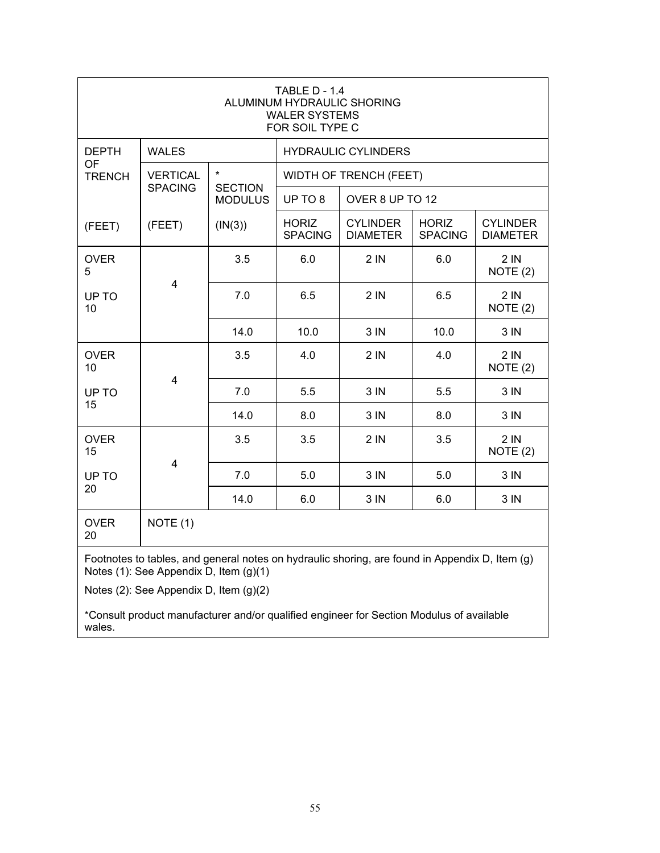| <b>TABLE D - 1.4</b><br>ALUMINUM HYDRAULIC SHORING<br><b>WALER SYSTEMS</b><br>FOR SOIL TYPE C |                                   |                                  |                                |                                    |                                |                                    |  |  |  |
|-----------------------------------------------------------------------------------------------|-----------------------------------|----------------------------------|--------------------------------|------------------------------------|--------------------------------|------------------------------------|--|--|--|
| <b>DEPTH</b>                                                                                  | <b>WALES</b>                      |                                  | <b>HYDRAULIC CYLINDERS</b>     |                                    |                                |                                    |  |  |  |
| <b>OF</b><br><b>TRENCH</b>                                                                    | <b>VERTICAL</b><br><b>SPACING</b> | $\star$                          | <b>WIDTH OF TRENCH (FEET)</b>  |                                    |                                |                                    |  |  |  |
|                                                                                               |                                   | <b>SECTION</b><br><b>MODULUS</b> | UP TO 8                        | OVER 8 UP TO 12                    |                                |                                    |  |  |  |
| (FEET)                                                                                        | (FEET)                            | (IN(3))                          | <b>HORIZ</b><br><b>SPACING</b> | <b>CYLINDER</b><br><b>DIAMETER</b> | <b>HORIZ</b><br><b>SPACING</b> | <b>CYLINDER</b><br><b>DIAMETER</b> |  |  |  |
| <b>OVER</b><br>5                                                                              | $\overline{\mathbf{4}}$           | 3.5                              | 6.0                            | 2 <sub>IN</sub>                    | 6.0                            | 2 <sub>IN</sub><br>NOTE $(2)$      |  |  |  |
| UP TO<br>10                                                                                   |                                   | 7.0                              | 6.5                            | 2 <sub>IN</sub>                    | 6.5                            | 2IN<br>NOTE $(2)$                  |  |  |  |
|                                                                                               |                                   | 14.0                             | 10.0                           | 3 IN                               | 10.0                           | 3 IN                               |  |  |  |
| <b>OVER</b><br>10                                                                             | $\overline{4}$                    | 3.5                              | 4.0                            | 2 <sub>IN</sub>                    | 4.0                            | 2IN<br>NOTE $(2)$                  |  |  |  |
| UP TO                                                                                         |                                   | 7.0                              | 5.5                            | 3 IN                               | 5.5                            | 3 IN                               |  |  |  |
| 15                                                                                            |                                   | 14.0                             | 8.0                            | 3 IN                               | 8.0                            | 3 IN                               |  |  |  |
| <b>OVER</b><br>15                                                                             | $\overline{\mathbf{4}}$           | 3.5                              | 3.5                            | 2IN                                | 3.5                            | 2IN<br>NOTE $(2)$                  |  |  |  |
| UP TO<br>20                                                                                   |                                   | 7.0                              | 5.0                            | 3 <sub>IN</sub>                    | 5.0                            | 3 IN                               |  |  |  |
|                                                                                               |                                   | 14.0                             | 6.0                            | 3 IN                               | 6.0                            | 3 IN                               |  |  |  |
| <b>OVER</b><br>20                                                                             | NOTE (1)                          |                                  |                                |                                    |                                |                                    |  |  |  |

Footnotes to tables, and general notes on hydraulic shoring, are found in Appendix D, Item (g) Notes (1): See Appendix D, Item (g)(1)

Notes (2): See Appendix D, Item (g)(2)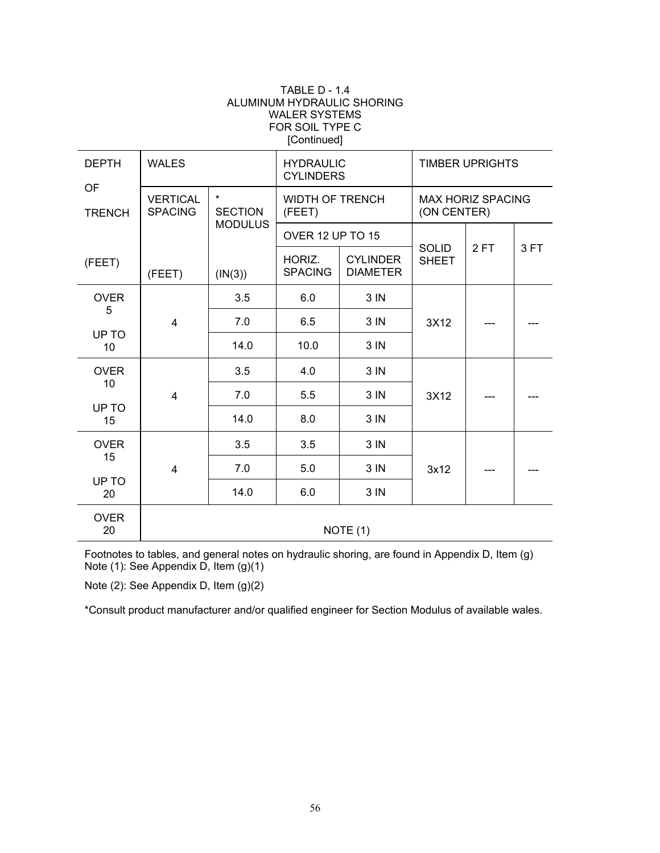| ALUMINUM HYDRAULIC SHORING<br><b>WALER SYSTEMS</b><br>FOR SOIL TYPE C<br>[Continued] |                                                                |                |                                      |                                    |                                         |     |     |  |
|--------------------------------------------------------------------------------------|----------------------------------------------------------------|----------------|--------------------------------------|------------------------------------|-----------------------------------------|-----|-----|--|
| <b>DEPTH</b><br>OF                                                                   | <b>WALES</b>                                                   |                | <b>HYDRAULIC</b><br><b>CYLINDERS</b> |                                    | <b>TIMBER UPRIGHTS</b>                  |     |     |  |
| <b>TRENCH</b>                                                                        | $\star$<br><b>VERTICAL</b><br><b>SPACING</b><br><b>SECTION</b> |                | <b>WIDTH OF TRENCH</b><br>(FEET)     |                                    | <b>MAX HORIZ SPACING</b><br>(ON CENTER) |     |     |  |
|                                                                                      |                                                                | <b>MODULUS</b> | OVER 12 UP TO 15                     |                                    |                                         |     |     |  |
| (FEET)                                                                               | (FEET)                                                         | (IN(3))        | HORIZ.<br><b>SPACING</b>             | <b>CYLINDER</b><br><b>DIAMETER</b> | <b>SOLID</b><br><b>SHEET</b>            | 2FT | 3FT |  |
| <b>OVER</b>                                                                          |                                                                | 3.5            | 6.0                                  | 3 IN                               |                                         |     |     |  |
| 5                                                                                    | $\overline{4}$                                                 | 7.0            | 6.5                                  | 3 IN                               | 3X12                                    |     |     |  |
| UP TO<br>10                                                                          |                                                                | 14.0           | 10.0                                 | 3 IN                               |                                         |     |     |  |
| <b>OVER</b>                                                                          |                                                                | 3.5            | 4.0                                  | 3 IN                               |                                         |     |     |  |
| 10                                                                                   | $\overline{4}$                                                 | 7.0            | 5.5                                  | 3 IN                               | 3X12                                    |     |     |  |
| UP TO<br>15                                                                          |                                                                | 14.0           | 8.0                                  | 3 IN                               |                                         |     |     |  |
| <b>OVER</b>                                                                          |                                                                | 3.5            | 3.5                                  | 3 IN                               |                                         |     |     |  |
| 15                                                                                   | $\overline{4}$                                                 | 7.0            | 5.0                                  | 3 IN                               | 3x12                                    |     |     |  |
| UP TO<br>20                                                                          |                                                                | 14.0           | 6.0                                  | 3 IN                               |                                         |     |     |  |
| <b>OVER</b><br>20                                                                    |                                                                |                |                                      | NOTE (1)                           |                                         |     |     |  |

TABLE D - 1.4

Footnotes to tables, and general notes on hydraulic shoring, are found in Appendix D, Item (g) Note (1): See Appendix D, Item (g)(1)

Note (2): See Appendix D, Item (g)(2)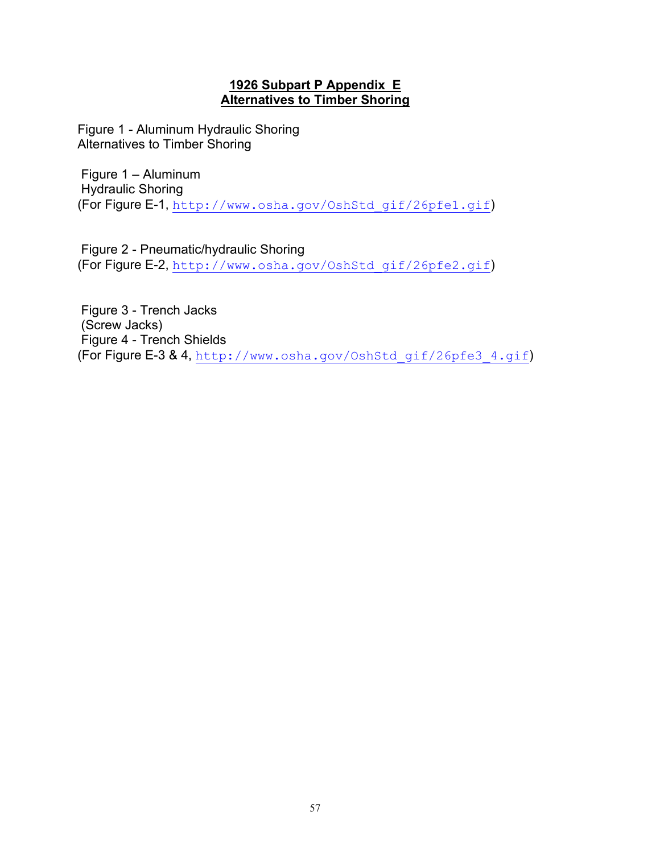## **1926 Subpart P Appendix E Alternatives to Timber Shoring**

Figure 1 - Aluminum Hydraulic Shoring Alternatives to Timber Shoring

 Figure 1 – Aluminum Hydraulic Shoring (For Figure E-1, [http://www.osha.gov/OshStd\\_gif/26pfe1.gif](http://www.osha.gov/OshStd_gif/26pfe1.gif))

 Figure 2 - Pneumatic/hydraulic Shoring (For Figure E-2, [http://www.osha.gov/OshStd\\_gif/26pfe2.gif](http://www.osha.gov/OshStd_gif/26pfe2.gif))

 Figure 3 - Trench Jacks (Screw Jacks) Figure 4 - Trench Shields (For Figure E-3 & 4, [http://www.osha.gov/OshStd\\_gif/26pfe3\\_4.gif](http://www.osha.gov/OshStd_gif/26pfe3_4.gif))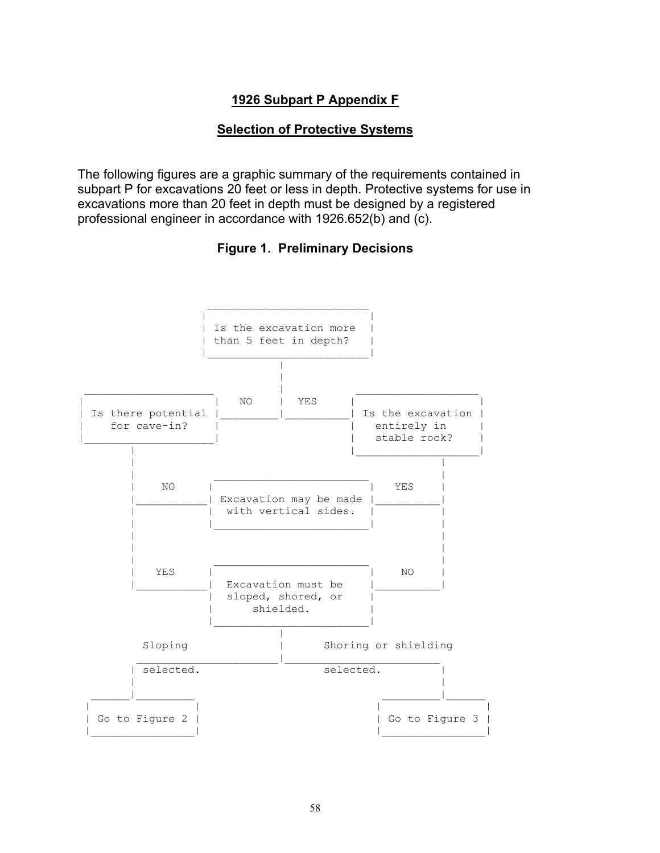# **1926 Subpart P Appendix F**

### **Selection of Protective Systems**

The following figures are a graphic summary of the requirements contained in subpart P for excavations 20 feet or less in depth. Protective systems for use in excavations more than 20 feet in depth must be designed by a registered professional engineer in accordance with 1926.652(b) and (c).

#### **Figure 1. Preliminary Decisions**

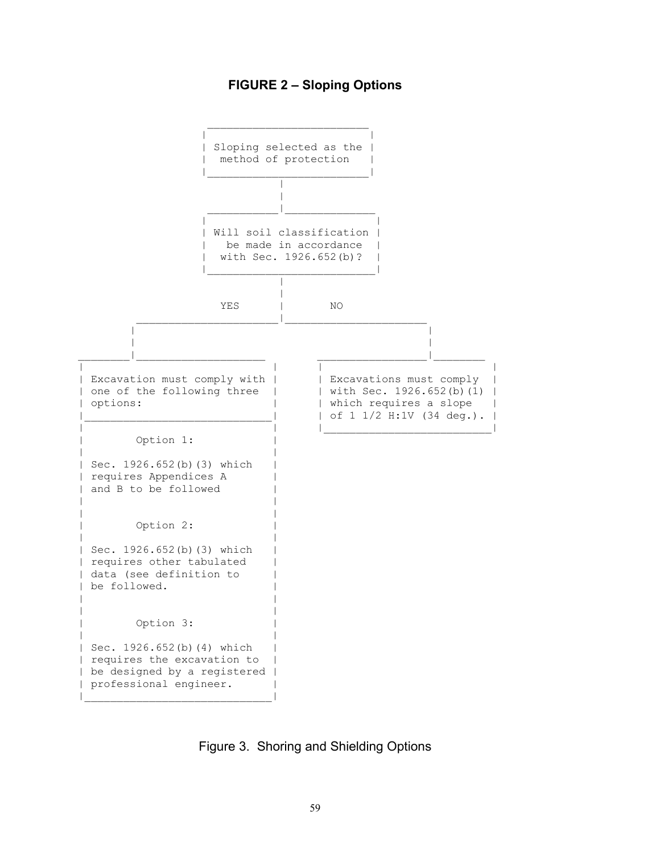### **FIGURE 2 – Sloping Options**